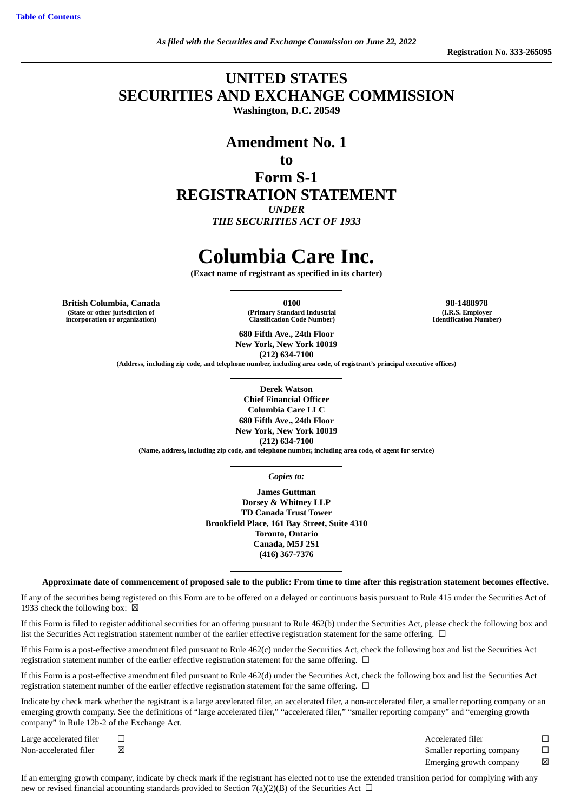# **UNITED STATES SECURITIES AND EXCHANGE COMMISSION**

**Washington, D.C. 20549**

# **Amendment No. 1**

# **to**

**Form S-1 REGISTRATION STATEMENT** *UNDER THE SECURITIES ACT OF 1933*

# **Columbia Care Inc.**

**(Exact name of registrant as specified in its charter)**

**British Columbia, Canada 0100 98-1488978 (State or other jurisdiction of incorporation or organization)**

**(Primary Standard Industrial Classification Code Number)**

**(I.R.S. Employer Identification Number)**

**680 Fifth Ave., 24th Floor New York, New York 10019 (212) 634-7100**

**(Address, including zip code, and telephone number, including area code, of registrant's principal executive offices)**

**Derek Watson Chief Financial Officer Columbia Care LLC 680 Fifth Ave., 24th Floor New York, New York 10019 (212) 634-7100 (Name, address, including zip code, and telephone number, including area code, of agent for service)**

*Copies to:*

**James Guttman Dorsey & Whitney LLP TD Canada Trust Tower Brookfield Place, 161 Bay Street, Suite 4310 Toronto, Ontario Canada, M5J 2S1 (416) 367-7376**

Approximate date of commencement of proposed sale to the public: From time to time after this registration statement becomes effective.

If any of the securities being registered on this Form are to be offered on a delayed or continuous basis pursuant to Rule 415 under the Securities Act of 1933 check the following box:  $\boxtimes$ 

If this Form is filed to register additional securities for an offering pursuant to Rule 462(b) under the Securities Act, please check the following box and list the Securities Act registration statement number of the earlier effective registration statement for the same offering. □

If this Form is a post-effective amendment filed pursuant to Rule 462(c) under the Securities Act, check the following box and list the Securities Act registration statement number of the earlier effective registration statement for the same offering.  $\Box$ 

If this Form is a post-effective amendment filed pursuant to Rule 462(d) under the Securities Act, check the following box and list the Securities Act registration statement number of the earlier effective registration statement for the same offering.  $\Box$ 

Indicate by check mark whether the registrant is a large accelerated filer, an accelerated filer, a non-accelerated filer, a smaller reporting company or an emerging growth company. See the definitions of "large accelerated filer," "accelerated filer," "smaller reporting company" and "emerging growth company" in Rule 12b-2 of the Exchange Act.

Large accelerated filer  $□$   $□$ Non-accelerated filer **⊠** △ Smaller reporting company <del>□</del> Emerging growth company  $\boxtimes$ 

If an emerging growth company, indicate by check mark if the registrant has elected not to use the extended transition period for complying with any new or revised financial accounting standards provided to Section 7(a)(2)(B) of the Securities Act  $\Box$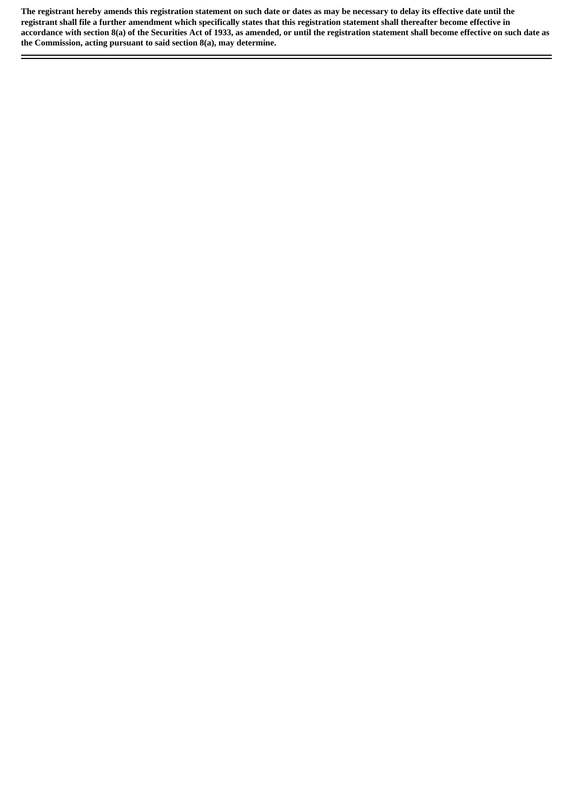The registrant hereby amends this registration statement on such date or dates as may be necessary to delay its effective date until the registrant shall file a further amendment which specifically states that this registration statement shall thereafter become effective in accordance with section 8(a) of the Securities Act of 1933, as amended, or until the registration statement shall become effective on such date as **the Commission, acting pursuant to said section 8(a), may determine.**

÷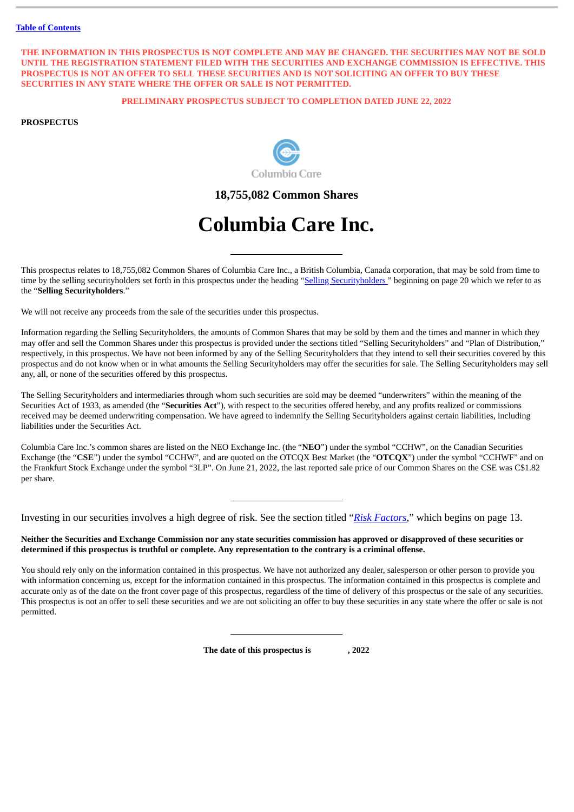#### THE INFORMATION IN THIS PROSPECTUS IS NOT COMPLETE AND MAY BE CHANGED. THE SECURITIES MAY NOT BE SOLD **UNTIL THE REGISTRATION STATEMENT FILED WITH THE SECURITIES AND EXCHANGE COMMISSION IS EFFECTIVE. THIS PROSPECTUS IS NOT AN OFFER TO SELL THESE SECURITIES AND IS NOT SOLICITING AN OFFER TO BUY THESE SECURITIES IN ANY STATE WHERE THE OFFER OR SALE IS NOT PERMITTED.**

# **PRELIMINARY PROSPECTUS SUBJECT TO COMPLETION DATED JUNE 22, 2022**

# **PROSPECTUS**



**18,755,082 Common Shares**

# **Columbia Care Inc.**

This prospectus relates to 18,755,082 Common Shares of Columbia Care Inc., a British Columbia, Canada corporation, that may be sold from time to time by the selling securityholders set forth in this prospectus under the heading "Selling [Securityholders](#page-23-0)" beginning on page 20 which we refer to as the "**Selling Securityholders**."

We will not receive any proceeds from the sale of the securities under this prospectus.

Information regarding the Selling Securityholders, the amounts of Common Shares that may be sold by them and the times and manner in which they may offer and sell the Common Shares under this prospectus is provided under the sections titled "Selling Securityholders" and "Plan of Distribution," respectively, in this prospectus. We have not been informed by any of the Selling Securityholders that they intend to sell their securities covered by this prospectus and do not know when or in what amounts the Selling Securityholders may offer the securities for sale. The Selling Securityholders may sell any, all, or none of the securities offered by this prospectus.

The Selling Securityholders and intermediaries through whom such securities are sold may be deemed "underwriters" within the meaning of the Securities Act of 1933, as amended (the "**Securities Act**"), with respect to the securities offered hereby, and any profits realized or commissions received may be deemed underwriting compensation. We have agreed to indemnify the Selling Securityholders against certain liabilities, including liabilities under the Securities Act.

Columbia Care Inc.'s common shares are listed on the NEO Exchange Inc. (the "**NEO**") under the symbol "CCHW", on the Canadian Securities Exchange (the "**CSE**") under the symbol "CCHW", and are quoted on the OTCQX Best Market (the "**OTCQX**") under the symbol "CCHWF" and on the Frankfurt Stock Exchange under the symbol "3LP". On June 21, 2022, the last reported sale price of our Common Shares on the CSE was C\$1.82 per share.

Investing in our securities involves a high degree of risk. See the section titled "*[Risk Factors](#page-16-0)*," which begins on page 13.

Neither the Securities and Exchange Commission nor any state securities commission has approved or disapproved of these securities or determined if this prospectus is truthful or complete. Any representation to the contrary is a criminal offense.

You should rely only on the information contained in this prospectus. We have not authorized any dealer, salesperson or other person to provide you with information concerning us, except for the information contained in this prospectus. The information contained in this prospectus is complete and accurate only as of the date on the front cover page of this prospectus, regardless of the time of delivery of this prospectus or the sale of any securities. This prospectus is not an offer to sell these securities and we are not soliciting an offer to buy these securities in any state where the offer or sale is not permitted.

**The date of this prospectus is , 2022**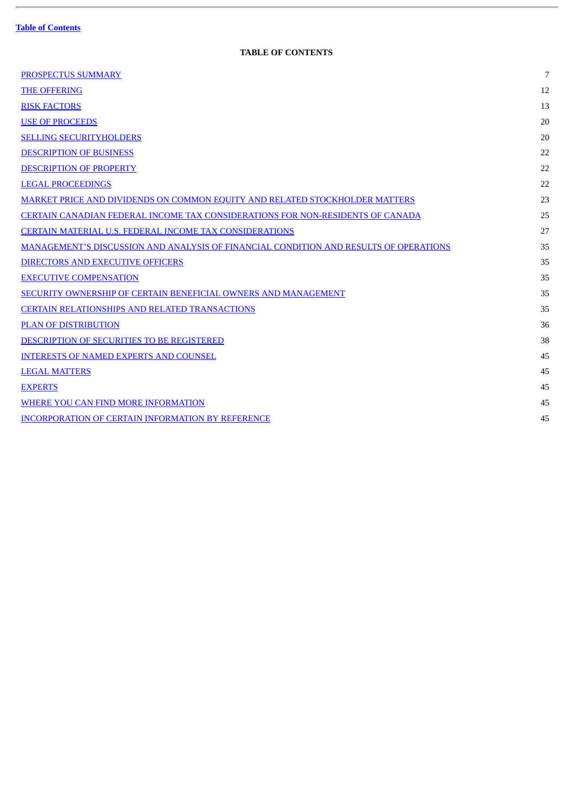$\overline{a}$ 

# **TABLE OF CONTENTS**

<span id="page-3-0"></span>

| <b>PROSPECTUS SUMMARY</b>                                                             | $7\overline{ }$ |
|---------------------------------------------------------------------------------------|-----------------|
| <b>THE OFFERING</b>                                                                   | 12              |
| <b>RISK FACTORS</b>                                                                   | 13              |
| <b>USE OF PROCEEDS</b>                                                                | 20              |
| <b>SELLING SECURITYHOLDERS</b>                                                        | 20              |
| <b>DESCRIPTION OF BUSINESS</b>                                                        | 22              |
| <b>DESCRIPTION OF PROPERTY</b>                                                        | 22              |
| <b>LEGAL PROCEEDINGS</b>                                                              | 22              |
| <b>MARKET PRICE AND DIVIDENDS ON COMMON EQUITY AND RELATED STOCKHOLDER MATTERS</b>    | 23              |
| <b>CERTAIN CANADIAN FEDERAL INCOME TAX CONSIDERATIONS FOR NON-RESIDENTS OF CANADA</b> | 25              |
| <b>CERTAIN MATERIAL U.S. FEDERAL INCOME TAX CONSIDERATIONS</b>                        | 27              |
| MANAGEMENT'S DISCUSSION AND ANALYSIS OF FINANCIAL CONDITION AND RESULTS OF OPERATIONS | 35              |
| <b>DIRECTORS AND EXECUTIVE OFFICERS</b>                                               | 35              |
| <b>EXECUTIVE COMPENSATION</b>                                                         | 35              |
| SECURITY OWNERSHIP OF CERTAIN BENEFICIAL OWNERS AND MANAGEMENT                        | 35              |
| <b>CERTAIN RELATIONSHIPS AND RELATED TRANSACTIONS</b>                                 | 35              |
| PLAN OF DISTRIBUTION                                                                  | 36              |
| DESCRIPTION OF SECURITIES TO BE REGISTERED                                            | 38              |
| <b>INTERESTS OF NAMED EXPERTS AND COUNSEL</b>                                         | 45              |
| <b>LEGAL MATTERS</b>                                                                  | 45              |
| <b>EXPERTS</b>                                                                        | 45              |
| WHERE YOU CAN FIND MORE INFORMATION                                                   | 45              |
| <b>INCORPORATION OF CERTAIN INFORMATION BY REFERENCE</b>                              | 45              |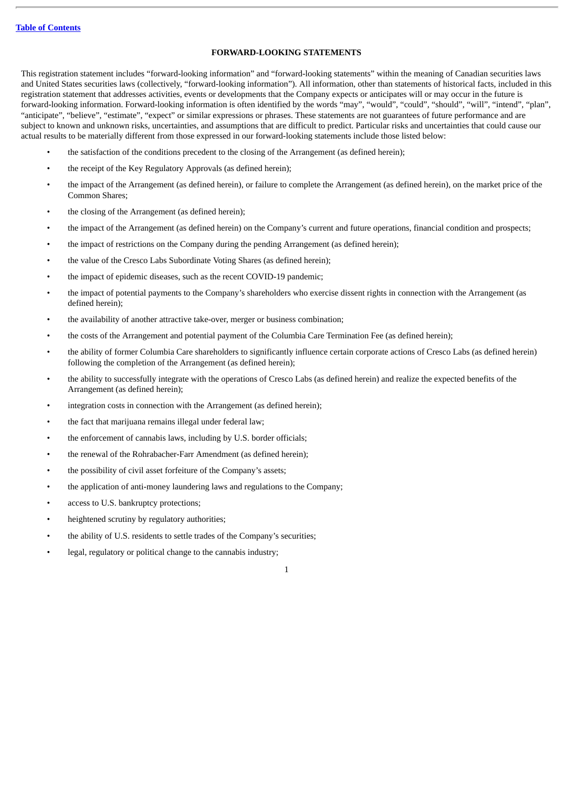#### **FORWARD-LOOKING STATEMENTS**

This registration statement includes "forward-looking information" and "forward-looking statements" within the meaning of Canadian securities laws and United States securities laws (collectively, "forward-looking information"). All information, other than statements of historical facts, included in this registration statement that addresses activities, events or developments that the Company expects or anticipates will or may occur in the future is forward-looking information. Forward-looking information is often identified by the words "may", "would", "could", "should", "will", "intend", "plan", "anticipate", "believe", "estimate", "expect" or similar expressions or phrases. These statements are not guarantees of future performance and are subject to known and unknown risks, uncertainties, and assumptions that are difficult to predict. Particular risks and uncertainties that could cause our actual results to be materially different from those expressed in our forward-looking statements include those listed below:

- the satisfaction of the conditions precedent to the closing of the Arrangement (as defined herein);
- the receipt of the Key Regulatory Approvals (as defined herein);
- the impact of the Arrangement (as defined herein), or failure to complete the Arrangement (as defined herein), on the market price of the Common Shares;
- the closing of the Arrangement (as defined herein);
- the impact of the Arrangement (as defined herein) on the Company's current and future operations, financial condition and prospects;
- the impact of restrictions on the Company during the pending Arrangement (as defined herein);
- the value of the Cresco Labs Subordinate Voting Shares (as defined herein);
- the impact of epidemic diseases, such as the recent COVID-19 pandemic;
- the impact of potential payments to the Company's shareholders who exercise dissent rights in connection with the Arrangement (as defined herein);
- the availability of another attractive take-over, merger or business combination;
- the costs of the Arrangement and potential payment of the Columbia Care Termination Fee (as defined herein);
- the ability of former Columbia Care shareholders to significantly influence certain corporate actions of Cresco Labs (as defined herein) following the completion of the Arrangement (as defined herein);
- the ability to successfully integrate with the operations of Cresco Labs (as defined herein) and realize the expected benefits of the Arrangement (as defined herein);
- integration costs in connection with the Arrangement (as defined herein);
- the fact that marijuana remains illegal under federal law;
- the enforcement of cannabis laws, including by U.S. border officials;
- the renewal of the Rohrabacher-Farr Amendment (as defined herein);
- the possibility of civil asset forfeiture of the Company's assets;
- the application of anti-money laundering laws and regulations to the Company;
- access to U.S. bankruptcy protections;
- heightened scrutiny by regulatory authorities;
- the ability of U.S. residents to settle trades of the Company's securities;
- legal, regulatory or political change to the cannabis industry;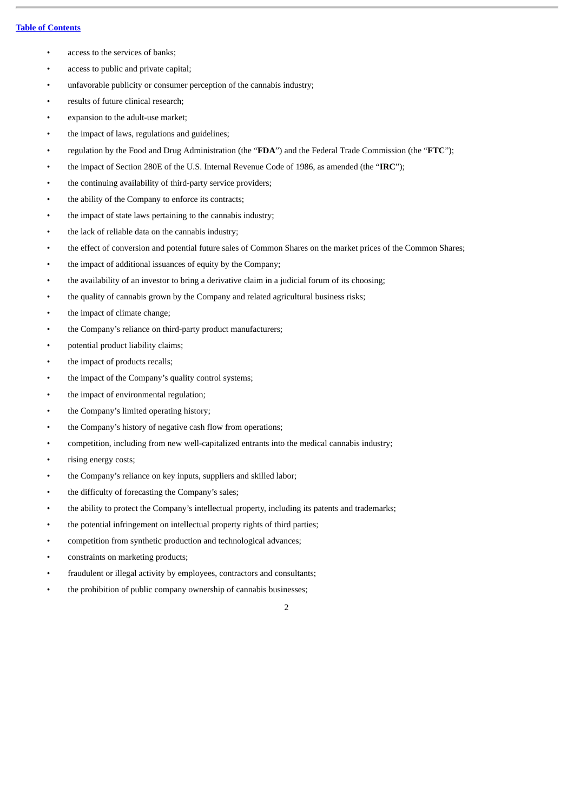- access to the services of banks;
- access to public and private capital;
- unfavorable publicity or consumer perception of the cannabis industry;
- results of future clinical research;
- expansion to the adult-use market;
- the impact of laws, regulations and guidelines;
- regulation by the Food and Drug Administration (the "**FDA**") and the Federal Trade Commission (the "**FTC**");
- the impact of Section 280E of the U.S. Internal Revenue Code of 1986, as amended (the "**IRC**");
- the continuing availability of third-party service providers;
- the ability of the Company to enforce its contracts;
- the impact of state laws pertaining to the cannabis industry;
- the lack of reliable data on the cannabis industry;
- the effect of conversion and potential future sales of Common Shares on the market prices of the Common Shares;
- the impact of additional issuances of equity by the Company;
- the availability of an investor to bring a derivative claim in a judicial forum of its choosing;
- the quality of cannabis grown by the Company and related agricultural business risks;
- the impact of climate change;
- the Company's reliance on third-party product manufacturers;
- potential product liability claims;
- the impact of products recalls;
- the impact of the Company's quality control systems;
- the impact of environmental regulation;
- the Company's limited operating history;
- the Company's history of negative cash flow from operations;
- competition, including from new well-capitalized entrants into the medical cannabis industry;
- rising energy costs;
- the Company's reliance on key inputs, suppliers and skilled labor;
- the difficulty of forecasting the Company's sales;
- the ability to protect the Company's intellectual property, including its patents and trademarks;
- the potential infringement on intellectual property rights of third parties;
- competition from synthetic production and technological advances;
- constraints on marketing products;
- fraudulent or illegal activity by employees, contractors and consultants;
- the prohibition of public company ownership of cannabis businesses;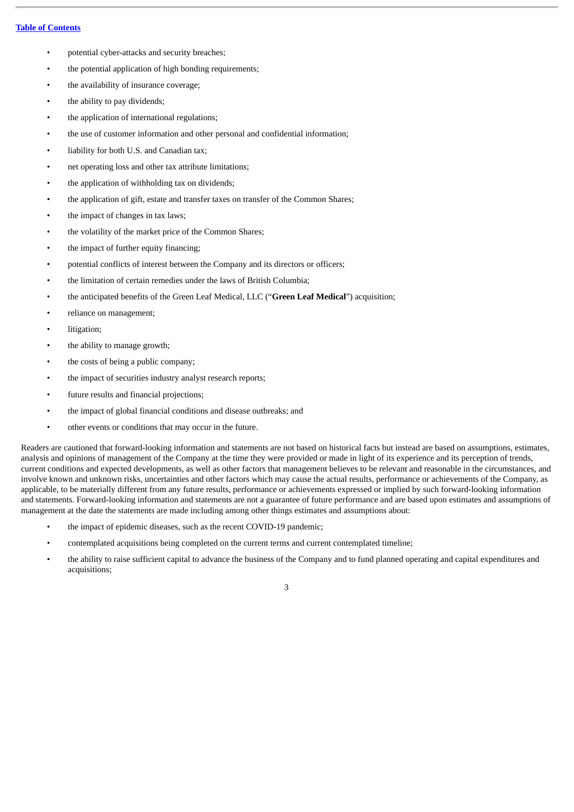- potential cyber-attacks and security breaches;
- the potential application of high bonding requirements;
- the availability of insurance coverage;
- the ability to pay dividends;
- the application of international regulations;
- the use of customer information and other personal and confidential information;
- liability for both U.S. and Canadian tax;
- net operating loss and other tax attribute limitations;
- the application of withholding tax on dividends;
- the application of gift, estate and transfer taxes on transfer of the Common Shares;
- the impact of changes in tax laws;
- the volatility of the market price of the Common Shares;
- the impact of further equity financing;
- potential conflicts of interest between the Company and its directors or officers;
- the limitation of certain remedies under the laws of British Columbia;
- the anticipated benefits of the Green Leaf Medical, LLC ("**Green Leaf Medical**") acquisition;
- reliance on management;
- litigation;
- the ability to manage growth;
- the costs of being a public company;
- the impact of securities industry analyst research reports;
- future results and financial projections;
- the impact of global financial conditions and disease outbreaks; and
- other events or conditions that may occur in the future.

Readers are cautioned that forward-looking information and statements are not based on historical facts but instead are based on assumptions, estimates, analysis and opinions of management of the Company at the time they were provided or made in light of its experience and its perception of trends, current conditions and expected developments, as well as other factors that management believes to be relevant and reasonable in the circumstances, and involve known and unknown risks, uncertainties and other factors which may cause the actual results, performance or achievements of the Company, as applicable, to be materially different from any future results, performance or achievements expressed or implied by such forward-looking information and statements. Forward-looking information and statements are not a guarantee of future performance and are based upon estimates and assumptions of management at the date the statements are made including among other things estimates and assumptions about:

- the impact of epidemic diseases, such as the recent COVID-19 pandemic;
- contemplated acquisitions being completed on the current terms and current contemplated timeline;
- the ability to raise sufficient capital to advance the business of the Company and to fund planned operating and capital expenditures and acquisitions;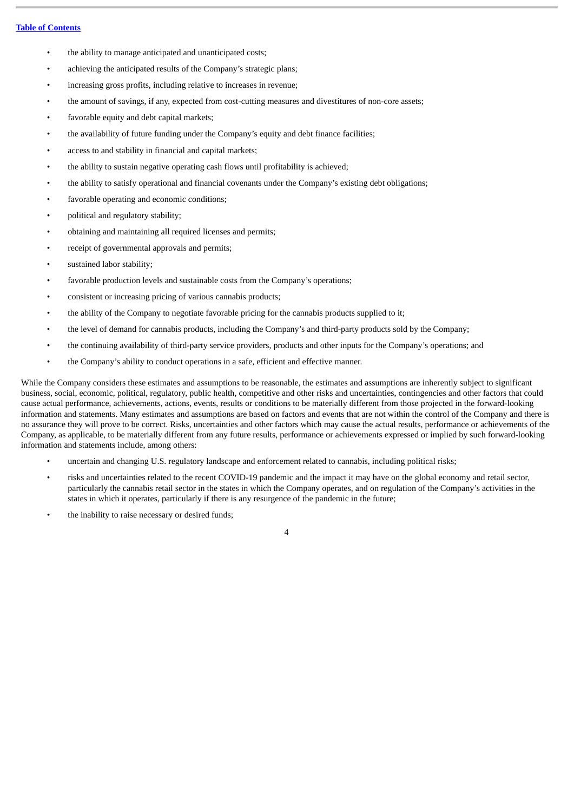- the ability to manage anticipated and unanticipated costs;
- achieving the anticipated results of the Company's strategic plans;
- increasing gross profits, including relative to increases in revenue;
- the amount of savings, if any, expected from cost-cutting measures and divestitures of non-core assets;
- favorable equity and debt capital markets;
- the availability of future funding under the Company's equity and debt finance facilities;
- access to and stability in financial and capital markets;
- the ability to sustain negative operating cash flows until profitability is achieved;
- the ability to satisfy operational and financial covenants under the Company's existing debt obligations;
- favorable operating and economic conditions;
- political and regulatory stability;
- obtaining and maintaining all required licenses and permits;
- receipt of governmental approvals and permits;
- sustained labor stability;
- favorable production levels and sustainable costs from the Company's operations;
- consistent or increasing pricing of various cannabis products;
- the ability of the Company to negotiate favorable pricing for the cannabis products supplied to it;
- the level of demand for cannabis products, including the Company's and third-party products sold by the Company;
- the continuing availability of third-party service providers, products and other inputs for the Company's operations; and
- the Company's ability to conduct operations in a safe, efficient and effective manner.

While the Company considers these estimates and assumptions to be reasonable, the estimates and assumptions are inherently subject to significant business, social, economic, political, regulatory, public health, competitive and other risks and uncertainties, contingencies and other factors that could cause actual performance, achievements, actions, events, results or conditions to be materially different from those projected in the forward-looking information and statements. Many estimates and assumptions are based on factors and events that are not within the control of the Company and there is no assurance they will prove to be correct. Risks, uncertainties and other factors which may cause the actual results, performance or achievements of the Company, as applicable, to be materially different from any future results, performance or achievements expressed or implied by such forward-looking information and statements include, among others:

- uncertain and changing U.S. regulatory landscape and enforcement related to cannabis, including political risks;
- risks and uncertainties related to the recent COVID-19 pandemic and the impact it may have on the global economy and retail sector, particularly the cannabis retail sector in the states in which the Company operates, and on regulation of the Company's activities in the states in which it operates, particularly if there is any resurgence of the pandemic in the future;
- the inability to raise necessary or desired funds;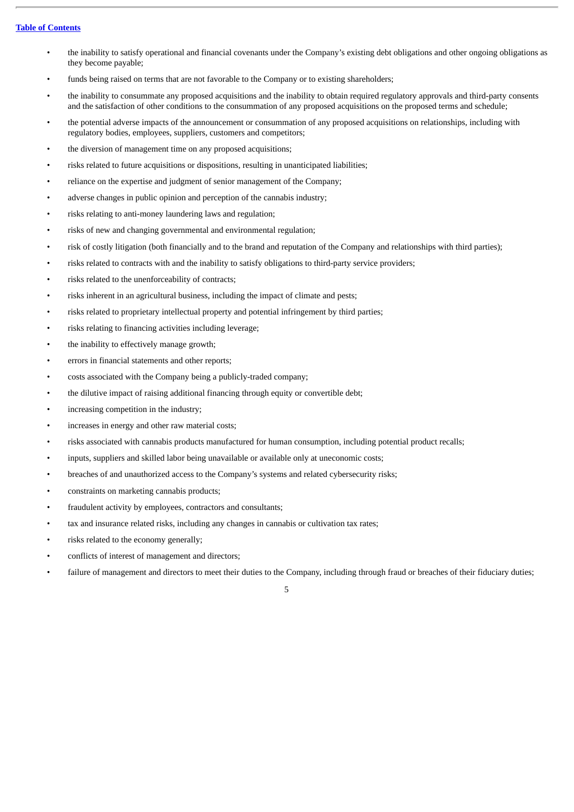- the inability to satisfy operational and financial covenants under the Company's existing debt obligations and other ongoing obligations as they become payable;
- funds being raised on terms that are not favorable to the Company or to existing shareholders;
- the inability to consummate any proposed acquisitions and the inability to obtain required regulatory approvals and third-party consents and the satisfaction of other conditions to the consummation of any proposed acquisitions on the proposed terms and schedule;
- the potential adverse impacts of the announcement or consummation of any proposed acquisitions on relationships, including with regulatory bodies, employees, suppliers, customers and competitors;
- the diversion of management time on any proposed acquisitions;
- risks related to future acquisitions or dispositions, resulting in unanticipated liabilities;
- reliance on the expertise and judgment of senior management of the Company;
- adverse changes in public opinion and perception of the cannabis industry;
- risks relating to anti-money laundering laws and regulation;
- risks of new and changing governmental and environmental regulation;
- risk of costly litigation (both financially and to the brand and reputation of the Company and relationships with third parties);
- risks related to contracts with and the inability to satisfy obligations to third-party service providers;
- risks related to the unenforceability of contracts;
- risks inherent in an agricultural business, including the impact of climate and pests;
- risks related to proprietary intellectual property and potential infringement by third parties;
- risks relating to financing activities including leverage;
- the inability to effectively manage growth;
- errors in financial statements and other reports;
- costs associated with the Company being a publicly-traded company;
- the dilutive impact of raising additional financing through equity or convertible debt;
- increasing competition in the industry;
- increases in energy and other raw material costs;
- risks associated with cannabis products manufactured for human consumption, including potential product recalls;
- inputs, suppliers and skilled labor being unavailable or available only at uneconomic costs;
- breaches of and unauthorized access to the Company's systems and related cybersecurity risks;
- constraints on marketing cannabis products;
- fraudulent activity by employees, contractors and consultants;
- tax and insurance related risks, including any changes in cannabis or cultivation tax rates;
- risks related to the economy generally;
- conflicts of interest of management and directors;
- failure of management and directors to meet their duties to the Company, including through fraud or breaches of their fiduciary duties;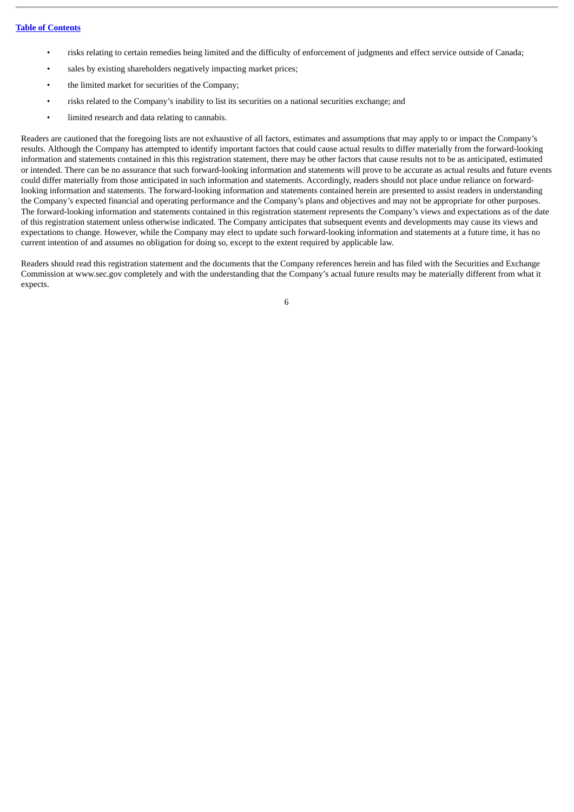- risks relating to certain remedies being limited and the difficulty of enforcement of judgments and effect service outside of Canada;
- sales by existing shareholders negatively impacting market prices;
- the limited market for securities of the Company;
- risks related to the Company's inability to list its securities on a national securities exchange; and
- limited research and data relating to cannabis.

Readers are cautioned that the foregoing lists are not exhaustive of all factors, estimates and assumptions that may apply to or impact the Company's results. Although the Company has attempted to identify important factors that could cause actual results to differ materially from the forward-looking information and statements contained in this this registration statement, there may be other factors that cause results not to be as anticipated, estimated or intended. There can be no assurance that such forward-looking information and statements will prove to be accurate as actual results and future events could differ materially from those anticipated in such information and statements. Accordingly, readers should not place undue reliance on forwardlooking information and statements. The forward-looking information and statements contained herein are presented to assist readers in understanding the Company's expected financial and operating performance and the Company's plans and objectives and may not be appropriate for other purposes. The forward-looking information and statements contained in this registration statement represents the Company's views and expectations as of the date of this registration statement unless otherwise indicated. The Company anticipates that subsequent events and developments may cause its views and expectations to change. However, while the Company may elect to update such forward-looking information and statements at a future time, it has no current intention of and assumes no obligation for doing so, except to the extent required by applicable law.

Readers should read this registration statement and the documents that the Company references herein and has filed with the Securities and Exchange Commission at www.sec.gov completely and with the understanding that the Company's actual future results may be materially different from what it expects.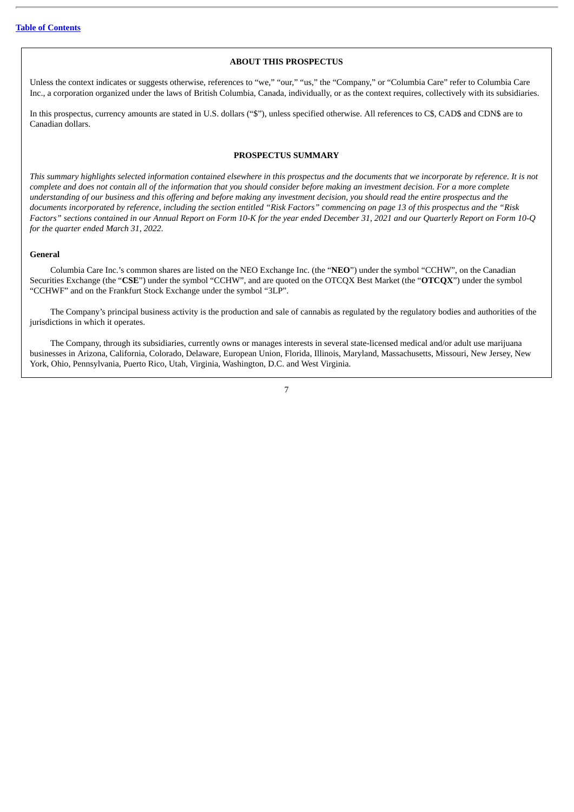#### **ABOUT THIS PROSPECTUS**

Unless the context indicates or suggests otherwise, references to "we," "our," "us," the "Company," or "Columbia Care" refer to Columbia Care Inc., a corporation organized under the laws of British Columbia, Canada, individually, or as the context requires, collectively with its subsidiaries.

In this prospectus, currency amounts are stated in U.S. dollars ("\$"), unless specified otherwise. All references to C\$, CAD\$ and CDN\$ are to Canadian dollars.

#### **PROSPECTUS SUMMARY**

<span id="page-10-0"></span>This summary highlights selected information contained elsewhere in this prospectus and the documents that we incorporate by reference. It is not complete and does not contain all of the information that you should consider before making an investment decision. For a more complete understanding of our business and this offering and before making any investment decision, you should read the entire prospectus and the documents incorporated by reference, including the section entitled "Risk Factors" commencing on page 13 of this prospectus and the "Risk Factors" sections contained in our Annual Report on Form 10-K for the year ended December 31, 2021 and our Quarterly Report on Form 10-Q *for the quarter ended March 31, 2022.*

#### **General**

Columbia Care Inc.'s common shares are listed on the NEO Exchange Inc. (the "**NEO**") under the symbol "CCHW", on the Canadian Securities Exchange (the "**CSE**") under the symbol "CCHW", and are quoted on the OTCQX Best Market (the "**OTCQX**") under the symbol "CCHWF" and on the Frankfurt Stock Exchange under the symbol "3LP".

The Company's principal business activity is the production and sale of cannabis as regulated by the regulatory bodies and authorities of the jurisdictions in which it operates.

The Company, through its subsidiaries, currently owns or manages interests in several state-licensed medical and/or adult use marijuana businesses in Arizona, California, Colorado, Delaware, European Union, Florida, Illinois, Maryland, Massachusetts, Missouri, New Jersey, New York, Ohio, Pennsylvania, Puerto Rico, Utah, Virginia, Washington, D.C. and West Virginia.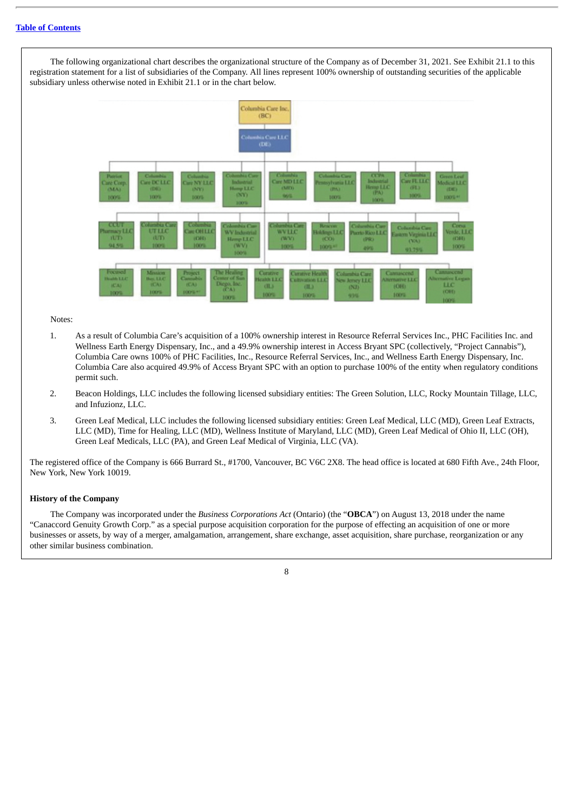The following organizational chart describes the organizational structure of the Company as of December 31, 2021. See Exhibit 21.1 to this registration statement for a list of subsidiaries of the Company. All lines represent 100% ownership of outstanding securities of the applicable subsidiary unless otherwise noted in Exhibit 21.1 or in the chart below.



#### Notes:

- 1. As a result of Columbia Care's acquisition of a 100% ownership interest in Resource Referral Services Inc., PHC Facilities Inc. and Wellness Earth Energy Dispensary, Inc., and a 49.9% ownership interest in Access Bryant SPC (collectively, "Project Cannabis"), Columbia Care owns 100% of PHC Facilities, Inc., Resource Referral Services, Inc., and Wellness Earth Energy Dispensary, Inc. Columbia Care also acquired 49.9% of Access Bryant SPC with an option to purchase 100% of the entity when regulatory conditions permit such.
- 2. Beacon Holdings, LLC includes the following licensed subsidiary entities: The Green Solution, LLC, Rocky Mountain Tillage, LLC, and Infuzionz, LLC.
- 3. Green Leaf Medical, LLC includes the following licensed subsidiary entities: Green Leaf Medical, LLC (MD), Green Leaf Extracts, LLC (MD), Time for Healing, LLC (MD), Wellness Institute of Maryland, LLC (MD), Green Leaf Medical of Ohio II, LLC (OH), Green Leaf Medicals, LLC (PA), and Green Leaf Medical of Virginia, LLC (VA).

The registered office of the Company is 666 Burrard St., #1700, Vancouver, BC V6C 2X8. The head office is located at 680 Fifth Ave., 24th Floor, New York, New York 10019.

#### **History of the Company**

The Company was incorporated under the *Business Corporations Act* (Ontario) (the "**OBCA**") on August 13, 2018 under the name "Canaccord Genuity Growth Corp." as a special purpose acquisition corporation for the purpose of effecting an acquisition of one or more businesses or assets, by way of a merger, amalgamation, arrangement, share exchange, asset acquisition, share purchase, reorganization or any other similar business combination.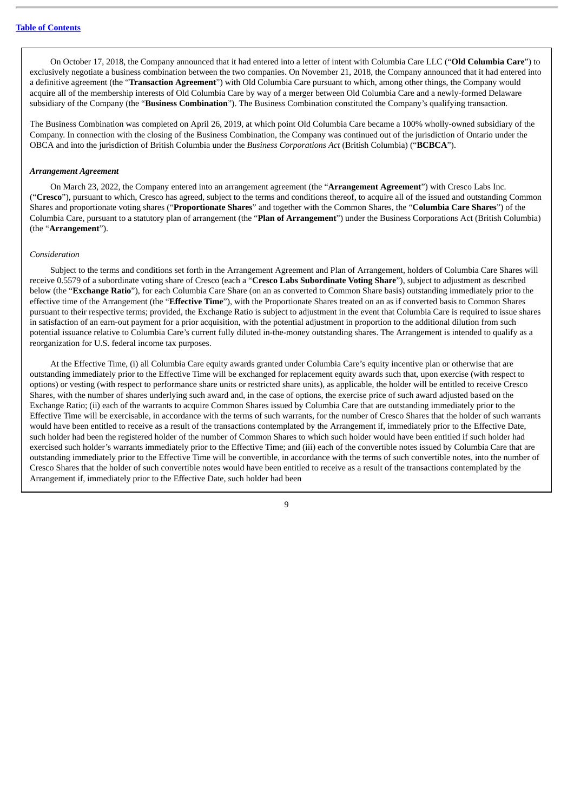On October 17, 2018, the Company announced that it had entered into a letter of intent with Columbia Care LLC ("**Old Columbia Care**") to exclusively negotiate a business combination between the two companies. On November 21, 2018, the Company announced that it had entered into a definitive agreement (the "**Transaction Agreement**") with Old Columbia Care pursuant to which, among other things, the Company would acquire all of the membership interests of Old Columbia Care by way of a merger between Old Columbia Care and a newly-formed Delaware subsidiary of the Company (the "**Business Combination**"). The Business Combination constituted the Company's qualifying transaction.

The Business Combination was completed on April 26, 2019, at which point Old Columbia Care became a 100% wholly-owned subsidiary of the Company. In connection with the closing of the Business Combination, the Company was continued out of the jurisdiction of Ontario under the OBCA and into the jurisdiction of British Columbia under the *Business Corporations Act* (British Columbia) ("**BCBCA**").

#### *Arrangement Agreement*

On March 23, 2022, the Company entered into an arrangement agreement (the "**Arrangement Agreement**") with Cresco Labs Inc. ("**Cresco**"), pursuant to which, Cresco has agreed, subject to the terms and conditions thereof, to acquire all of the issued and outstanding Common Shares and proportionate voting shares ("**Proportionate Shares**" and together with the Common Shares, the "**Columbia Care Shares**") of the Columbia Care, pursuant to a statutory plan of arrangement (the "**Plan of Arrangement**") under the Business Corporations Act (British Columbia) (the "**Arrangement**").

#### *Consideration*

Subject to the terms and conditions set forth in the Arrangement Agreement and Plan of Arrangement, holders of Columbia Care Shares will receive 0.5579 of a subordinate voting share of Cresco (each a "**Cresco Labs Subordinate Voting Share**"), subject to adjustment as described below (the "**Exchange Ratio**"), for each Columbia Care Share (on an as converted to Common Share basis) outstanding immediately prior to the effective time of the Arrangement (the "**Effective Time**"), with the Proportionate Shares treated on an as if converted basis to Common Shares pursuant to their respective terms; provided, the Exchange Ratio is subject to adjustment in the event that Columbia Care is required to issue shares in satisfaction of an earn-out payment for a prior acquisition, with the potential adjustment in proportion to the additional dilution from such potential issuance relative to Columbia Care's current fully diluted in-the-money outstanding shares. The Arrangement is intended to qualify as a reorganization for U.S. federal income tax purposes.

At the Effective Time, (i) all Columbia Care equity awards granted under Columbia Care's equity incentive plan or otherwise that are outstanding immediately prior to the Effective Time will be exchanged for replacement equity awards such that, upon exercise (with respect to options) or vesting (with respect to performance share units or restricted share units), as applicable, the holder will be entitled to receive Cresco Shares, with the number of shares underlying such award and, in the case of options, the exercise price of such award adjusted based on the Exchange Ratio; (ii) each of the warrants to acquire Common Shares issued by Columbia Care that are outstanding immediately prior to the Effective Time will be exercisable, in accordance with the terms of such warrants, for the number of Cresco Shares that the holder of such warrants would have been entitled to receive as a result of the transactions contemplated by the Arrangement if, immediately prior to the Effective Date, such holder had been the registered holder of the number of Common Shares to which such holder would have been entitled if such holder had exercised such holder's warrants immediately prior to the Effective Time; and (iii) each of the convertible notes issued by Columbia Care that are outstanding immediately prior to the Effective Time will be convertible, in accordance with the terms of such convertible notes, into the number of Cresco Shares that the holder of such convertible notes would have been entitled to receive as a result of the transactions contemplated by the Arrangement if, immediately prior to the Effective Date, such holder had been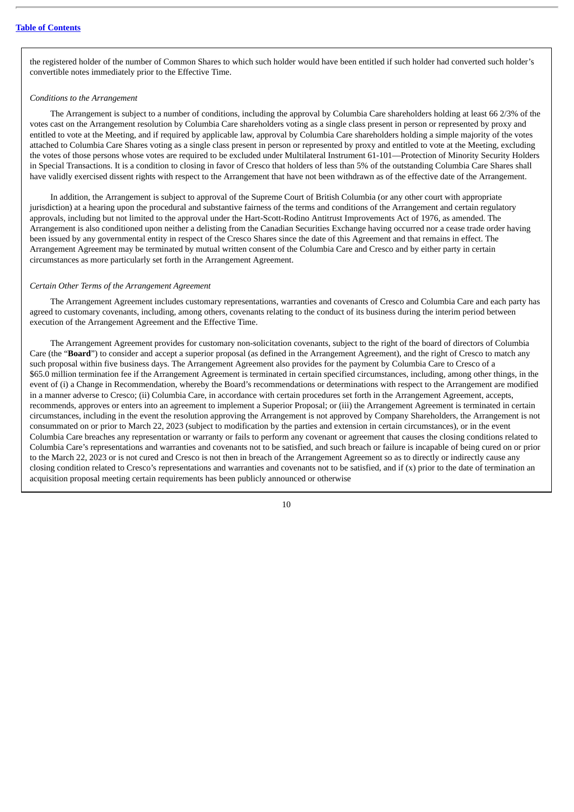the registered holder of the number of Common Shares to which such holder would have been entitled if such holder had converted such holder's convertible notes immediately prior to the Effective Time.

#### *Conditions to the Arrangement*

The Arrangement is subject to a number of conditions, including the approval by Columbia Care shareholders holding at least 66 2/3% of the votes cast on the Arrangement resolution by Columbia Care shareholders voting as a single class present in person or represented by proxy and entitled to vote at the Meeting, and if required by applicable law, approval by Columbia Care shareholders holding a simple majority of the votes attached to Columbia Care Shares voting as a single class present in person or represented by proxy and entitled to vote at the Meeting, excluding the votes of those persons whose votes are required to be excluded under Multilateral Instrument 61-101—Protection of Minority Security Holders in Special Transactions. It is a condition to closing in favor of Cresco that holders of less than 5% of the outstanding Columbia Care Shares shall have validly exercised dissent rights with respect to the Arrangement that have not been withdrawn as of the effective date of the Arrangement.

In addition, the Arrangement is subject to approval of the Supreme Court of British Columbia (or any other court with appropriate jurisdiction) at a hearing upon the procedural and substantive fairness of the terms and conditions of the Arrangement and certain regulatory approvals, including but not limited to the approval under the Hart-Scott-Rodino Antitrust Improvements Act of 1976, as amended. The Arrangement is also conditioned upon neither a delisting from the Canadian Securities Exchange having occurred nor a cease trade order having been issued by any governmental entity in respect of the Cresco Shares since the date of this Agreement and that remains in effect. The Arrangement Agreement may be terminated by mutual written consent of the Columbia Care and Cresco and by either party in certain circumstances as more particularly set forth in the Arrangement Agreement.

#### *Certain Other Terms of the Arrangement Agreement*

The Arrangement Agreement includes customary representations, warranties and covenants of Cresco and Columbia Care and each party has agreed to customary covenants, including, among others, covenants relating to the conduct of its business during the interim period between execution of the Arrangement Agreement and the Effective Time.

The Arrangement Agreement provides for customary non-solicitation covenants, subject to the right of the board of directors of Columbia Care (the "**Board**") to consider and accept a superior proposal (as defined in the Arrangement Agreement), and the right of Cresco to match any such proposal within five business days. The Arrangement Agreement also provides for the payment by Columbia Care to Cresco of a \$65.0 million termination fee if the Arrangement Agreement is terminated in certain specified circumstances, including, among other things, in the event of (i) a Change in Recommendation, whereby the Board's recommendations or determinations with respect to the Arrangement are modified in a manner adverse to Cresco; (ii) Columbia Care, in accordance with certain procedures set forth in the Arrangement Agreement, accepts, recommends, approves or enters into an agreement to implement a Superior Proposal; or (iii) the Arrangement Agreement is terminated in certain circumstances, including in the event the resolution approving the Arrangement is not approved by Company Shareholders, the Arrangement is not consummated on or prior to March 22, 2023 (subject to modification by the parties and extension in certain circumstances), or in the event Columbia Care breaches any representation or warranty or fails to perform any covenant or agreement that causes the closing conditions related to Columbia Care's representations and warranties and covenants not to be satisfied, and such breach or failure is incapable of being cured on or prior to the March 22, 2023 or is not cured and Cresco is not then in breach of the Arrangement Agreement so as to directly or indirectly cause any closing condition related to Cresco's representations and warranties and covenants not to be satisfied, and if  $(x)$  prior to the date of termination an acquisition proposal meeting certain requirements has been publicly announced or otherwise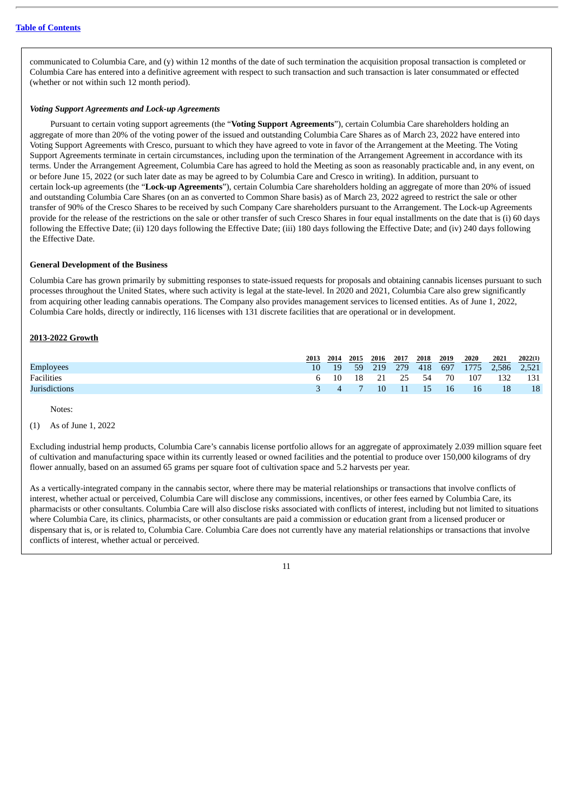communicated to Columbia Care, and (y) within 12 months of the date of such termination the acquisition proposal transaction is completed or Columbia Care has entered into a definitive agreement with respect to such transaction and such transaction is later consummated or effected (whether or not within such 12 month period).

#### *Voting Support Agreements and Lock-up Agreements*

Pursuant to certain voting support agreements (the "**Voting Support Agreements**"), certain Columbia Care shareholders holding an aggregate of more than 20% of the voting power of the issued and outstanding Columbia Care Shares as of March 23, 2022 have entered into Voting Support Agreements with Cresco, pursuant to which they have agreed to vote in favor of the Arrangement at the Meeting. The Voting Support Agreements terminate in certain circumstances, including upon the termination of the Arrangement Agreement in accordance with its terms. Under the Arrangement Agreement, Columbia Care has agreed to hold the Meeting as soon as reasonably practicable and, in any event, on or before June 15, 2022 (or such later date as may be agreed to by Columbia Care and Cresco in writing). In addition, pursuant to certain lock-up agreements (the "**Lock-up Agreements**"), certain Columbia Care shareholders holding an aggregate of more than 20% of issued and outstanding Columbia Care Shares (on an as converted to Common Share basis) as of March 23, 2022 agreed to restrict the sale or other transfer of 90% of the Cresco Shares to be received by such Company Care shareholders pursuant to the Arrangement. The Lock-up Agreements provide for the release of the restrictions on the sale or other transfer of such Cresco Shares in four equal installments on the date that is (i) 60 days following the Effective Date; (ii) 120 days following the Effective Date; (iii) 180 days following the Effective Date; and (iv) 240 days following the Effective Date.

#### **General Development of the Business**

Columbia Care has grown primarily by submitting responses to state-issued requests for proposals and obtaining cannabis licenses pursuant to such processes throughout the United States, where such activity is legal at the state-level. In 2020 and 2021, Columbia Care also grew significantly from acquiring other leading cannabis operations. The Company also provides management services to licensed entities. As of June 1, 2022, Columbia Care holds, directly or indirectly, 116 licenses with 131 discrete facilities that are operational or in development.

#### **2013-2022 Growth**

|                  | 2013 | 2014     | 2015            | 2016 | 2017                | 2018 | 2019 | 2020 | 2021                 | 2022(1) |
|------------------|------|----------|-----------------|------|---------------------|------|------|------|----------------------|---------|
| <b>Employees</b> | 10   | 19       | <b>59</b>       | 219  | 279                 | 418  |      |      | 697 1775 2,586 2,521 |         |
| Facilities       |      |          |                 |      | 6 10 18 21 25 54 70 |      |      | 107  | 132                  | - 131   |
| Jurisdictions    |      | $\Delta$ | $7\overline{7}$ |      | $10 \t 11 \t 15$    |      | 16   | 16   | 18                   | 18      |

Notes:

### (1) As of June 1, 2022

Excluding industrial hemp products, Columbia Care's cannabis license portfolio allows for an aggregate of approximately 2.039 million square feet of cultivation and manufacturing space within its currently leased or owned facilities and the potential to produce over 150,000 kilograms of dry flower annually, based on an assumed 65 grams per square foot of cultivation space and 5.2 harvests per year.

As a vertically-integrated company in the cannabis sector, where there may be material relationships or transactions that involve conflicts of interest, whether actual or perceived, Columbia Care will disclose any commissions, incentives, or other fees earned by Columbia Care, its pharmacists or other consultants. Columbia Care will also disclose risks associated with conflicts of interest, including but not limited to situations where Columbia Care, its clinics, pharmacists, or other consultants are paid a commission or education grant from a licensed producer or dispensary that is, or is related to, Columbia Care. Columbia Care does not currently have any material relationships or transactions that involve conflicts of interest, whether actual or perceived.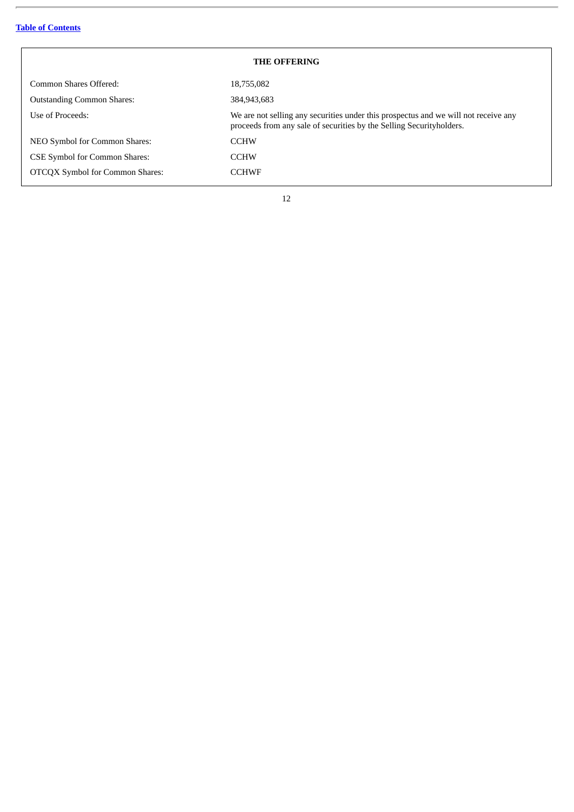$\equiv$ 

<span id="page-15-0"></span>

| <b>THE OFFERING</b>                    |                                                                                                                                                             |  |  |  |  |
|----------------------------------------|-------------------------------------------------------------------------------------------------------------------------------------------------------------|--|--|--|--|
| Common Shares Offered:                 | 18,755,082                                                                                                                                                  |  |  |  |  |
| <b>Outstanding Common Shares:</b>      | 384,943,683                                                                                                                                                 |  |  |  |  |
| Use of Proceeds:                       | We are not selling any securities under this prospectus and we will not receive any<br>proceeds from any sale of securities by the Selling Securityholders. |  |  |  |  |
| NEO Symbol for Common Shares:          | <b>CCHW</b>                                                                                                                                                 |  |  |  |  |
| <b>CSE Symbol for Common Shares:</b>   | <b>CCHW</b>                                                                                                                                                 |  |  |  |  |
| <b>OTCQX Symbol for Common Shares:</b> | <b>CCHWF</b>                                                                                                                                                |  |  |  |  |

 $\overline{\phantom{a}}$ 

٦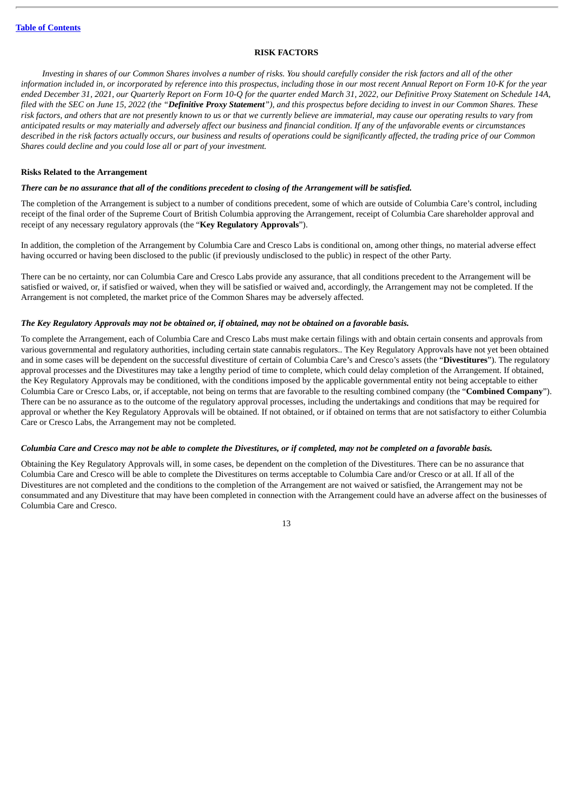#### **RISK FACTORS**

<span id="page-16-0"></span>Investing in shares of our Common Shares involves a number of risks. You should carefully consider the risk factors and all of the other information included in, or incorporated by reference into this prospectus, including those in our most recent Annual Report on Form 10-K for the year ended December 31, 2021, our Quarterly Report on Form 10-Q for the quarter ended March 31, 2022, our Definitive Proxy Statement on Schedule 14A, filed with the SEC on June 15, 2022 (the "Definitive Proxy Statement"), and this prospectus before deciding to invest in our Common Shares. These risk factors, and others that are not presently known to us or that we currently believe are immaterial, may cause our operating results to vary from anticipated results or may materially and adversely affect our business and financial condition. If any of the unfavorable events or circumstances described in the risk factors actually occurs, our business and results of operations could be significantly affected, the trading price of our Common *Shares could decline and you could lose all or part of your investment.*

#### **Risks Related to the Arrangement**

#### There can be no assurance that all of the conditions precedent to closing of the Arrangement will be satisfied.

The completion of the Arrangement is subject to a number of conditions precedent, some of which are outside of Columbia Care's control, including receipt of the final order of the Supreme Court of British Columbia approving the Arrangement, receipt of Columbia Care shareholder approval and receipt of any necessary regulatory approvals (the "**Key Regulatory Approvals**").

In addition, the completion of the Arrangement by Columbia Care and Cresco Labs is conditional on, among other things, no material adverse effect having occurred or having been disclosed to the public (if previously undisclosed to the public) in respect of the other Party.

There can be no certainty, nor can Columbia Care and Cresco Labs provide any assurance, that all conditions precedent to the Arrangement will be satisfied or waived, or, if satisfied or waived, when they will be satisfied or waived and, accordingly, the Arrangement may not be completed. If the Arrangement is not completed, the market price of the Common Shares may be adversely affected.

#### The Key Regulatory Approvals may not be obtained or, if obtained, may not be obtained on a favorable basis.

To complete the Arrangement, each of Columbia Care and Cresco Labs must make certain filings with and obtain certain consents and approvals from various governmental and regulatory authorities, including certain state cannabis regulators.. The Key Regulatory Approvals have not yet been obtained and in some cases will be dependent on the successful divestiture of certain of Columbia Care's and Cresco's assets (the "**Divestitures**"). The regulatory approval processes and the Divestitures may take a lengthy period of time to complete, which could delay completion of the Arrangement. If obtained, the Key Regulatory Approvals may be conditioned, with the conditions imposed by the applicable governmental entity not being acceptable to either Columbia Care or Cresco Labs, or, if acceptable, not being on terms that are favorable to the resulting combined company (the "**Combined Company**"). There can be no assurance as to the outcome of the regulatory approval processes, including the undertakings and conditions that may be required for approval or whether the Key Regulatory Approvals will be obtained. If not obtained, or if obtained on terms that are not satisfactory to either Columbia Care or Cresco Labs, the Arrangement may not be completed.

#### Columbia Care and Cresco may not be able to complete the Divestitures, or if completed, may not be completed on a favorable basis.

Obtaining the Key Regulatory Approvals will, in some cases, be dependent on the completion of the Divestitures. There can be no assurance that Columbia Care and Cresco will be able to complete the Divestitures on terms acceptable to Columbia Care and/or Cresco or at all. If all of the Divestitures are not completed and the conditions to the completion of the Arrangement are not waived or satisfied, the Arrangement may not be consummated and any Divestiture that may have been completed in connection with the Arrangement could have an adverse affect on the businesses of Columbia Care and Cresco.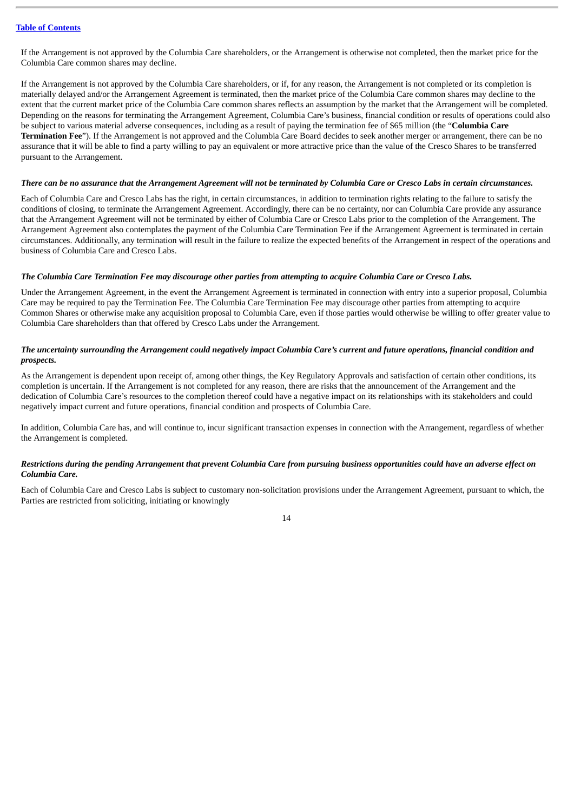If the Arrangement is not approved by the Columbia Care shareholders, or the Arrangement is otherwise not completed, then the market price for the Columbia Care common shares may decline.

If the Arrangement is not approved by the Columbia Care shareholders, or if, for any reason, the Arrangement is not completed or its completion is materially delayed and/or the Arrangement Agreement is terminated, then the market price of the Columbia Care common shares may decline to the extent that the current market price of the Columbia Care common shares reflects an assumption by the market that the Arrangement will be completed. Depending on the reasons for terminating the Arrangement Agreement, Columbia Care's business, financial condition or results of operations could also be subject to various material adverse consequences, including as a result of paying the termination fee of \$65 million (the "**Columbia Care Termination Fee**"). If the Arrangement is not approved and the Columbia Care Board decides to seek another merger or arrangement, there can be no assurance that it will be able to find a party willing to pay an equivalent or more attractive price than the value of the Cresco Shares to be transferred pursuant to the Arrangement.

#### There can be no assurance that the Arrangement Agreement will not be terminated by Columbia Care or Cresco Labs in certain circumstances.

Each of Columbia Care and Cresco Labs has the right, in certain circumstances, in addition to termination rights relating to the failure to satisfy the conditions of closing, to terminate the Arrangement Agreement. Accordingly, there can be no certainty, nor can Columbia Care provide any assurance that the Arrangement Agreement will not be terminated by either of Columbia Care or Cresco Labs prior to the completion of the Arrangement. The Arrangement Agreement also contemplates the payment of the Columbia Care Termination Fee if the Arrangement Agreement is terminated in certain circumstances. Additionally, any termination will result in the failure to realize the expected benefits of the Arrangement in respect of the operations and business of Columbia Care and Cresco Labs.

#### The Columbia Care Termination Fee may discourage other parties from attempting to acquire Columbia Care or Cresco Labs.

Under the Arrangement Agreement, in the event the Arrangement Agreement is terminated in connection with entry into a superior proposal, Columbia Care may be required to pay the Termination Fee. The Columbia Care Termination Fee may discourage other parties from attempting to acquire Common Shares or otherwise make any acquisition proposal to Columbia Care, even if those parties would otherwise be willing to offer greater value to Columbia Care shareholders than that offered by Cresco Labs under the Arrangement.

#### The uncertainty surrounding the Arrangement could negatively impact Columbia Care's current and future operations, financial condition and *prospects.*

As the Arrangement is dependent upon receipt of, among other things, the Key Regulatory Approvals and satisfaction of certain other conditions, its completion is uncertain. If the Arrangement is not completed for any reason, there are risks that the announcement of the Arrangement and the dedication of Columbia Care's resources to the completion thereof could have a negative impact on its relationships with its stakeholders and could negatively impact current and future operations, financial condition and prospects of Columbia Care.

In addition, Columbia Care has, and will continue to, incur significant transaction expenses in connection with the Arrangement, regardless of whether the Arrangement is completed.

#### Restrictions during the pending Arrangement that prevent Columbia Care from pursuing business opportunities could have an adverse effect on *Columbia Care.*

Each of Columbia Care and Cresco Labs is subject to customary non-solicitation provisions under the Arrangement Agreement, pursuant to which, the Parties are restricted from soliciting, initiating or knowingly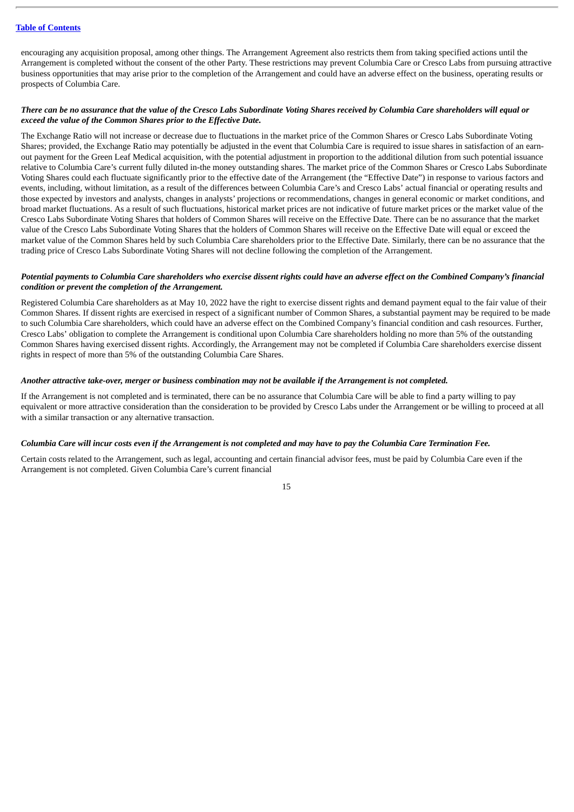encouraging any acquisition proposal, among other things. The Arrangement Agreement also restricts them from taking specified actions until the Arrangement is completed without the consent of the other Party. These restrictions may prevent Columbia Care or Cresco Labs from pursuing attractive business opportunities that may arise prior to the completion of the Arrangement and could have an adverse effect on the business, operating results or prospects of Columbia Care.

#### There can be no assurance that the value of the Cresco Labs Subordinate Voting Shares received by Columbia Care shareholders will equal or *exceed the value of the Common Shares prior to the Effective Date.*

The Exchange Ratio will not increase or decrease due to fluctuations in the market price of the Common Shares or Cresco Labs Subordinate Voting Shares; provided, the Exchange Ratio may potentially be adjusted in the event that Columbia Care is required to issue shares in satisfaction of an earnout payment for the Green Leaf Medical acquisition, with the potential adjustment in proportion to the additional dilution from such potential issuance relative to Columbia Care's current fully diluted in-the money outstanding shares. The market price of the Common Shares or Cresco Labs Subordinate Voting Shares could each fluctuate significantly prior to the effective date of the Arrangement (the "Effective Date") in response to various factors and events, including, without limitation, as a result of the differences between Columbia Care's and Cresco Labs' actual financial or operating results and those expected by investors and analysts, changes in analysts' projections or recommendations, changes in general economic or market conditions, and broad market fluctuations. As a result of such fluctuations, historical market prices are not indicative of future market prices or the market value of the Cresco Labs Subordinate Voting Shares that holders of Common Shares will receive on the Effective Date. There can be no assurance that the market value of the Cresco Labs Subordinate Voting Shares that the holders of Common Shares will receive on the Effective Date will equal or exceed the market value of the Common Shares held by such Columbia Care shareholders prior to the Effective Date. Similarly, there can be no assurance that the trading price of Cresco Labs Subordinate Voting Shares will not decline following the completion of the Arrangement.

#### Potential payments to Columbia Care shareholders who exercise dissent rights could have an adverse effect on the Combined Company's financial *condition or prevent the completion of the Arrangement.*

Registered Columbia Care shareholders as at May 10, 2022 have the right to exercise dissent rights and demand payment equal to the fair value of their Common Shares. If dissent rights are exercised in respect of a significant number of Common Shares, a substantial payment may be required to be made to such Columbia Care shareholders, which could have an adverse effect on the Combined Company's financial condition and cash resources. Further, Cresco Labs' obligation to complete the Arrangement is conditional upon Columbia Care shareholders holding no more than 5% of the outstanding Common Shares having exercised dissent rights. Accordingly, the Arrangement may not be completed if Columbia Care shareholders exercise dissent rights in respect of more than 5% of the outstanding Columbia Care Shares.

#### Another attractive take-over, merger or business combination may not be available if the Arrangement is not completed.

If the Arrangement is not completed and is terminated, there can be no assurance that Columbia Care will be able to find a party willing to pay equivalent or more attractive consideration than the consideration to be provided by Cresco Labs under the Arrangement or be willing to proceed at all with a similar transaction or any alternative transaction.

#### Columbia Care will incur costs even if the Arrangement is not completed and may have to pay the Columbia Care Termination Fee.

Certain costs related to the Arrangement, such as legal, accounting and certain financial advisor fees, must be paid by Columbia Care even if the Arrangement is not completed. Given Columbia Care's current financial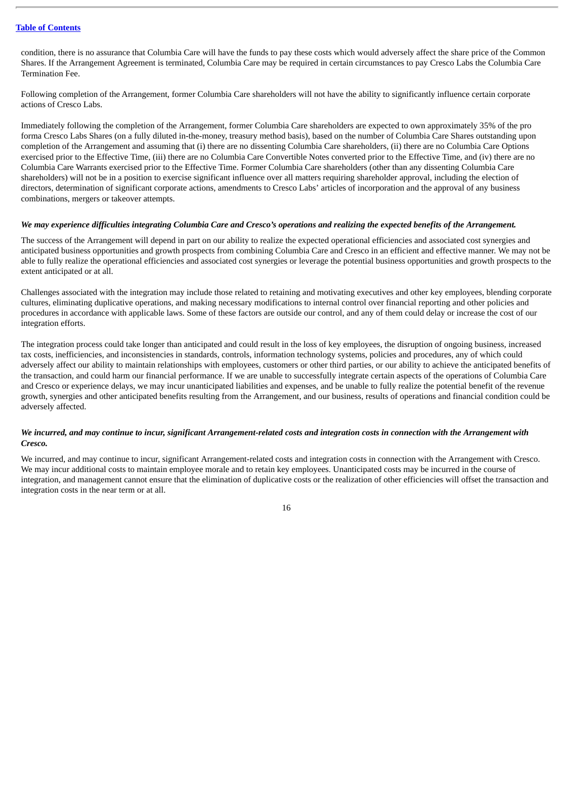condition, there is no assurance that Columbia Care will have the funds to pay these costs which would adversely affect the share price of the Common Shares. If the Arrangement Agreement is terminated, Columbia Care may be required in certain circumstances to pay Cresco Labs the Columbia Care Termination Fee.

Following completion of the Arrangement, former Columbia Care shareholders will not have the ability to significantly influence certain corporate actions of Cresco Labs.

Immediately following the completion of the Arrangement, former Columbia Care shareholders are expected to own approximately 35% of the pro forma Cresco Labs Shares (on a fully diluted in-the-money, treasury method basis), based on the number of Columbia Care Shares outstanding upon completion of the Arrangement and assuming that (i) there are no dissenting Columbia Care shareholders, (ii) there are no Columbia Care Options exercised prior to the Effective Time, (iii) there are no Columbia Care Convertible Notes converted prior to the Effective Time, and (iv) there are no Columbia Care Warrants exercised prior to the Effective Time. Former Columbia Care shareholders (other than any dissenting Columbia Care shareholders) will not be in a position to exercise significant influence over all matters requiring shareholder approval, including the election of directors, determination of significant corporate actions, amendments to Cresco Labs' articles of incorporation and the approval of any business combinations, mergers or takeover attempts.

#### We may experience difficulties integrating Columbia Care and Cresco's operations and realizing the expected benefits of the Arrangement.

The success of the Arrangement will depend in part on our ability to realize the expected operational efficiencies and associated cost synergies and anticipated business opportunities and growth prospects from combining Columbia Care and Cresco in an efficient and effective manner. We may not be able to fully realize the operational efficiencies and associated cost synergies or leverage the potential business opportunities and growth prospects to the extent anticipated or at all.

Challenges associated with the integration may include those related to retaining and motivating executives and other key employees, blending corporate cultures, eliminating duplicative operations, and making necessary modifications to internal control over financial reporting and other policies and procedures in accordance with applicable laws. Some of these factors are outside our control, and any of them could delay or increase the cost of our integration efforts.

The integration process could take longer than anticipated and could result in the loss of key employees, the disruption of ongoing business, increased tax costs, inefficiencies, and inconsistencies in standards, controls, information technology systems, policies and procedures, any of which could adversely affect our ability to maintain relationships with employees, customers or other third parties, or our ability to achieve the anticipated benefits of the transaction, and could harm our financial performance. If we are unable to successfully integrate certain aspects of the operations of Columbia Care and Cresco or experience delays, we may incur unanticipated liabilities and expenses, and be unable to fully realize the potential benefit of the revenue growth, synergies and other anticipated benefits resulting from the Arrangement, and our business, results of operations and financial condition could be adversely affected.

#### We incurred, and may continue to incur, significant Arrangement-related costs and integration costs in connection with the Arrangement with *Cresco.*

We incurred, and may continue to incur, significant Arrangement-related costs and integration costs in connection with the Arrangement with Cresco. We may incur additional costs to maintain employee morale and to retain key employees. Unanticipated costs may be incurred in the course of integration, and management cannot ensure that the elimination of duplicative costs or the realization of other efficiencies will offset the transaction and integration costs in the near term or at all.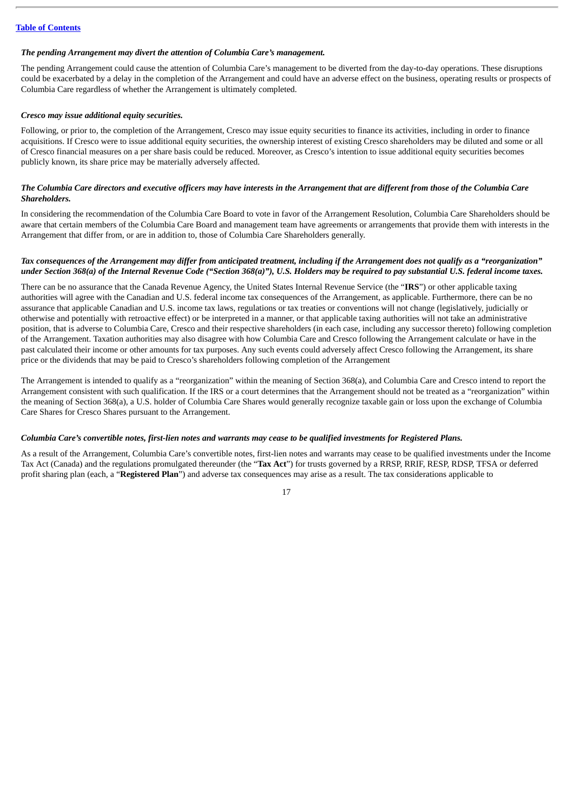#### *The pending Arrangement may divert the attention of Columbia Care's management.*

The pending Arrangement could cause the attention of Columbia Care's management to be diverted from the day-to-day operations. These disruptions could be exacerbated by a delay in the completion of the Arrangement and could have an adverse effect on the business, operating results or prospects of Columbia Care regardless of whether the Arrangement is ultimately completed.

#### *Cresco may issue additional equity securities.*

Following, or prior to, the completion of the Arrangement, Cresco may issue equity securities to finance its activities, including in order to finance acquisitions. If Cresco were to issue additional equity securities, the ownership interest of existing Cresco shareholders may be diluted and some or all of Cresco financial measures on a per share basis could be reduced. Moreover, as Cresco's intention to issue additional equity securities becomes publicly known, its share price may be materially adversely affected.

#### The Columbia Care directors and executive officers may have interests in the Arrangement that are different from those of the Columbia Care *Shareholders.*

In considering the recommendation of the Columbia Care Board to vote in favor of the Arrangement Resolution, Columbia Care Shareholders should be aware that certain members of the Columbia Care Board and management team have agreements or arrangements that provide them with interests in the Arrangement that differ from, or are in addition to, those of Columbia Care Shareholders generally.

#### Tax consequences of the Arrangement may differ from anticipated treatment, including if the Arrangement does not qualify as a "reorganization" under Section 368(a) of the Internal Revenue Code ("Section 368(a)"), U.S. Holders may be reauired to pay substantial U.S. federal income taxes.

There can be no assurance that the Canada Revenue Agency, the United States Internal Revenue Service (the "**IRS**") or other applicable taxing authorities will agree with the Canadian and U.S. federal income tax consequences of the Arrangement, as applicable. Furthermore, there can be no assurance that applicable Canadian and U.S. income tax laws, regulations or tax treaties or conventions will not change (legislatively, judicially or otherwise and potentially with retroactive effect) or be interpreted in a manner, or that applicable taxing authorities will not take an administrative position, that is adverse to Columbia Care, Cresco and their respective shareholders (in each case, including any successor thereto) following completion of the Arrangement. Taxation authorities may also disagree with how Columbia Care and Cresco following the Arrangement calculate or have in the past calculated their income or other amounts for tax purposes. Any such events could adversely affect Cresco following the Arrangement, its share price or the dividends that may be paid to Cresco's shareholders following completion of the Arrangement

The Arrangement is intended to qualify as a "reorganization" within the meaning of Section 368(a), and Columbia Care and Cresco intend to report the Arrangement consistent with such qualification. If the IRS or a court determines that the Arrangement should not be treated as a "reorganization" within the meaning of Section 368(a), a U.S. holder of Columbia Care Shares would generally recognize taxable gain or loss upon the exchange of Columbia Care Shares for Cresco Shares pursuant to the Arrangement.

#### Columbia Care's convertible notes, first-lien notes and warrants may cease to be qualified investments for Registered Plans.

As a result of the Arrangement, Columbia Care's convertible notes, first-lien notes and warrants may cease to be qualified investments under the Income Tax Act (Canada) and the regulations promulgated thereunder (the "**Tax Act**") for trusts governed by a RRSP, RRIF, RESP, RDSP, TFSA or deferred profit sharing plan (each, a "**Registered Plan**") and adverse tax consequences may arise as a result. The tax considerations applicable to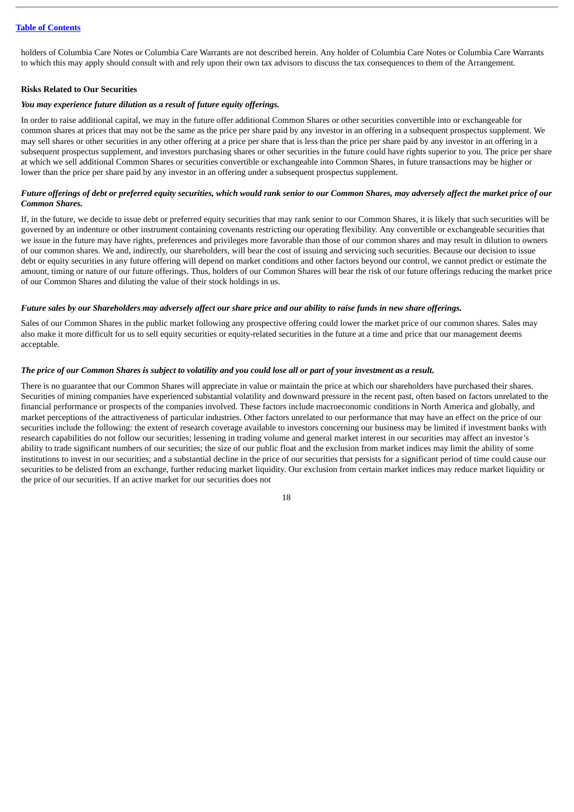holders of Columbia Care Notes or Columbia Care Warrants are not described herein. Any holder of Columbia Care Notes or Columbia Care Warrants to which this may apply should consult with and rely upon their own tax advisors to discuss the tax consequences to them of the Arrangement.

#### **Risks Related to Our Securities**

#### *You may experience future dilution as a result of future equity offerings.*

In order to raise additional capital, we may in the future offer additional Common Shares or other securities convertible into or exchangeable for common shares at prices that may not be the same as the price per share paid by any investor in an offering in a subsequent prospectus supplement. We may sell shares or other securities in any other offering at a price per share that is less than the price per share paid by any investor in an offering in a subsequent prospectus supplement, and investors purchasing shares or other securities in the future could have rights superior to you. The price per share at which we sell additional Common Shares or securities convertible or exchangeable into Common Shares, in future transactions may be higher or lower than the price per share paid by any investor in an offering under a subsequent prospectus supplement.

#### Future offerings of debt or preferred equity securities, which would rank senior to our Common Shares, may adversely affect the market price of our *Common Shares.*

If, in the future, we decide to issue debt or preferred equity securities that may rank senior to our Common Shares, it is likely that such securities will be governed by an indenture or other instrument containing covenants restricting our operating flexibility. Any convertible or exchangeable securities that we issue in the future may have rights, preferences and privileges more favorable than those of our common shares and may result in dilution to owners of our common shares. We and, indirectly, our shareholders, will bear the cost of issuing and servicing such securities. Because our decision to issue debt or equity securities in any future offering will depend on market conditions and other factors beyond our control, we cannot predict or estimate the amount, timing or nature of our future offerings. Thus, holders of our Common Shares will bear the risk of our future offerings reducing the market price of our Common Shares and diluting the value of their stock holdings in us.

#### Future sales by our Shareholders may adversely affect our share price and our ability to raise funds in new share offerings.

Sales of our Common Shares in the public market following any prospective offering could lower the market price of our common shares. Sales may also make it more difficult for us to sell equity securities or equity-related securities in the future at a time and price that our management deems acceptable.

#### The price of our Common Shares is subject to volatility and you could lose all or part of your investment as a result.

There is no guarantee that our Common Shares will appreciate in value or maintain the price at which our shareholders have purchased their shares. Securities of mining companies have experienced substantial volatility and downward pressure in the recent past, often based on factors unrelated to the financial performance or prospects of the companies involved. These factors include macroeconomic conditions in North America and globally, and market perceptions of the attractiveness of particular industries. Other factors unrelated to our performance that may have an effect on the price of our securities include the following: the extent of research coverage available to investors concerning our business may be limited if investment banks with research capabilities do not follow our securities; lessening in trading volume and general market interest in our securities may affect an investor's ability to trade significant numbers of our securities; the size of our public float and the exclusion from market indices may limit the ability of some institutions to invest in our securities; and a substantial decline in the price of our securities that persists for a significant period of time could cause our securities to be delisted from an exchange, further reducing market liquidity. Our exclusion from certain market indices may reduce market liquidity or the price of our securities. If an active market for our securities does not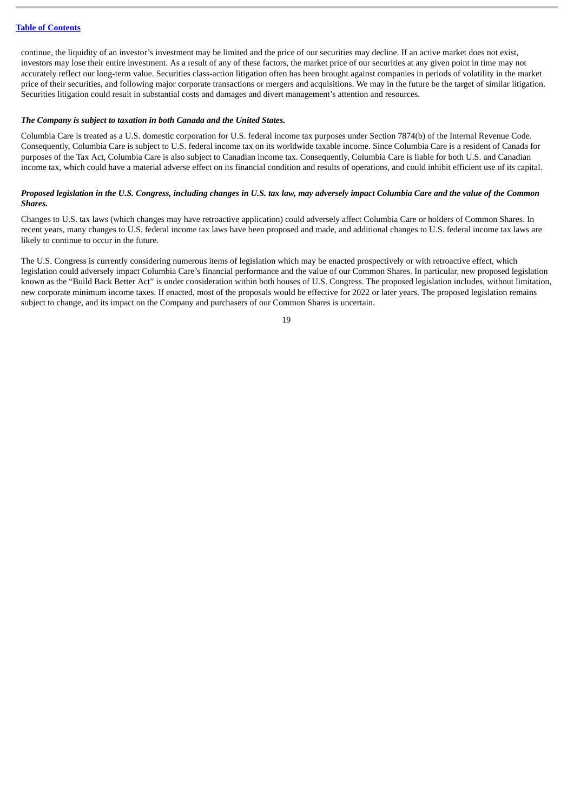continue, the liquidity of an investor's investment may be limited and the price of our securities may decline. If an active market does not exist, investors may lose their entire investment. As a result of any of these factors, the market price of our securities at any given point in time may not accurately reflect our long-term value. Securities class-action litigation often has been brought against companies in periods of volatility in the market price of their securities, and following major corporate transactions or mergers and acquisitions. We may in the future be the target of similar litigation. Securities litigation could result in substantial costs and damages and divert management's attention and resources.

#### *The Company is subject to taxation in both Canada and the United States.*

Columbia Care is treated as a U.S. domestic corporation for U.S. federal income tax purposes under Section 7874(b) of the Internal Revenue Code. Consequently, Columbia Care is subject to U.S. federal income tax on its worldwide taxable income. Since Columbia Care is a resident of Canada for purposes of the Tax Act, Columbia Care is also subject to Canadian income tax. Consequently, Columbia Care is liable for both U.S. and Canadian income tax, which could have a material adverse effect on its financial condition and results of operations, and could inhibit efficient use of its capital.

#### Proposed legislation in the U.S. Congress, including changes in U.S. tax law, may adversely impact Columbia Care and the value of the Common *Shares.*

Changes to U.S. tax laws (which changes may have retroactive application) could adversely affect Columbia Care or holders of Common Shares. In recent years, many changes to U.S. federal income tax laws have been proposed and made, and additional changes to U.S. federal income tax laws are likely to continue to occur in the future.

The U.S. Congress is currently considering numerous items of legislation which may be enacted prospectively or with retroactive effect, which legislation could adversely impact Columbia Care's financial performance and the value of our Common Shares. In particular, new proposed legislation known as the "Build Back Better Act" is under consideration within both houses of U.S. Congress. The proposed legislation includes, without limitation, new corporate minimum income taxes. If enacted, most of the proposals would be effective for 2022 or later years. The proposed legislation remains subject to change, and its impact on the Company and purchasers of our Common Shares is uncertain.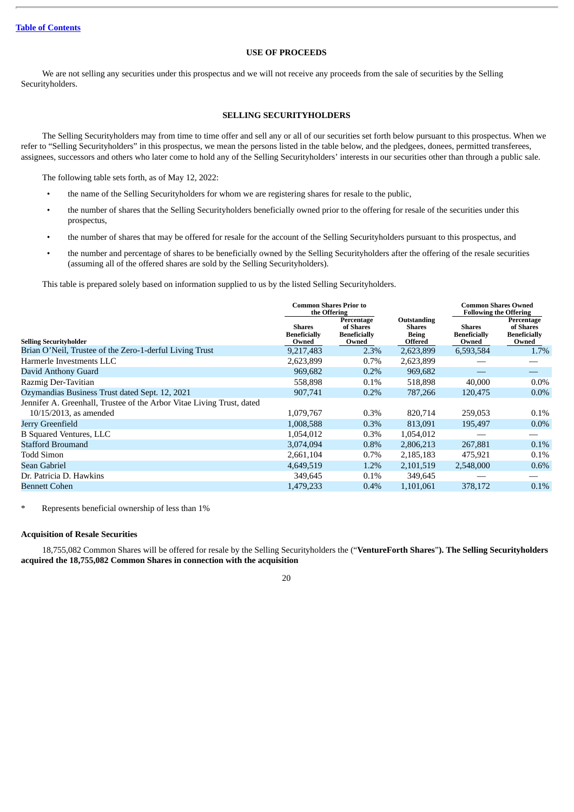### **USE OF PROCEEDS**

<span id="page-23-1"></span>We are not selling any securities under this prospectus and we will not receive any proceeds from the sale of securities by the Selling Securityholders.

#### **SELLING SECURITYHOLDERS**

<span id="page-23-0"></span>The Selling Securityholders may from time to time offer and sell any or all of our securities set forth below pursuant to this prospectus. When we refer to "Selling Securityholders" in this prospectus, we mean the persons listed in the table below, and the pledgees, donees, permitted transferees, assignees, successors and others who later come to hold any of the Selling Securityholders' interests in our securities other than through a public sale.

The following table sets forth, as of May 12, 2022:

- the name of the Selling Securityholders for whom we are registering shares for resale to the public,
- the number of shares that the Selling Securityholders beneficially owned prior to the offering for resale of the securities under this prospectus,
- the number of shares that may be offered for resale for the account of the Selling Securityholders pursuant to this prospectus, and
- the number and percentage of shares to be beneficially owned by the Selling Securityholders after the offering of the resale securities (assuming all of the offered shares are sold by the Selling Securityholders).

This table is prepared solely based on information supplied to us by the listed Selling Securityholders.

|                                                                       | <b>Common Shares Prior to</b><br>the Offering |                                                         |                                                                | <b>Common Shares Owned</b><br><b>Following the Offering</b> |                                                         |  |
|-----------------------------------------------------------------------|-----------------------------------------------|---------------------------------------------------------|----------------------------------------------------------------|-------------------------------------------------------------|---------------------------------------------------------|--|
| <b>Selling Securityholder</b>                                         | <b>Shares</b><br><b>Beneficially</b><br>Owned | Percentage<br>of Shares<br><b>Beneficially</b><br>Owned | Outstanding<br><b>Shares</b><br><b>Being</b><br><b>Offered</b> | <b>Shares</b><br><b>Beneficially</b><br>Owned               | Percentage<br>of Shares<br><b>Beneficially</b><br>Owned |  |
| Brian O'Neil, Trustee of the Zero-1-derful Living Trust               | 9,217,483                                     | 2.3%                                                    | 2,623,899                                                      | 6,593,584                                                   | 1.7%                                                    |  |
| Harmerle Investments LLC                                              | 2,623,899                                     | $0.7\%$                                                 | 2,623,899                                                      |                                                             |                                                         |  |
| David Anthony Guard                                                   | 969,682                                       | 0.2%                                                    | 969,682                                                        |                                                             |                                                         |  |
| Razmig Der-Tavitian                                                   | 558,898                                       | 0.1%                                                    | 518,898                                                        | 40,000                                                      | $0.0\%$                                                 |  |
| Ozymandias Business Trust dated Sept. 12, 2021                        | 907,741                                       | $0.2\%$                                                 | 787,266                                                        | 120,475                                                     | $0.0\%$                                                 |  |
| Jennifer A. Greenhall, Trustee of the Arbor Vitae Living Trust, dated |                                               |                                                         |                                                                |                                                             |                                                         |  |
| 10/15/2013, as amended                                                | 1,079,767                                     | $0.3\%$                                                 | 820,714                                                        | 259,053                                                     | $0.1\%$                                                 |  |
| Jerry Greenfield                                                      | 1,008,588                                     | 0.3%                                                    | 813,091                                                        | 195,497                                                     | $0.0\%$                                                 |  |
| <b>B Squared Ventures, LLC</b>                                        | 1,054,012                                     | $0.3\%$                                                 | 1,054,012                                                      |                                                             |                                                         |  |
| <b>Stafford Broumand</b>                                              | 3,074,094                                     | 0.8%                                                    | 2,806,213                                                      | 267,881                                                     | $0.1\%$                                                 |  |
| Todd Simon                                                            | 2,661,104                                     | $0.7\%$                                                 | 2,185,183                                                      | 475,921                                                     | $0.1\%$                                                 |  |
| Sean Gabriel                                                          | 4,649,519                                     | 1.2%                                                    | 2,101,519                                                      | 2,548,000                                                   | $0.6\%$                                                 |  |
| Dr. Patricia D. Hawkins                                               | 349,645                                       | 0.1%                                                    | 349,645                                                        |                                                             |                                                         |  |
| <b>Bennett Cohen</b>                                                  | 1,479,233                                     | 0.4%                                                    | 1,101,061                                                      | 378,172                                                     | 0.1%                                                    |  |

\* Represents beneficial ownership of less than 1%

#### **Acquisition of Resale Securities**

18,755,082 Common Shares will be offered for resale by the Selling Securityholders the ("**VentureForth Shares**"**). The Selling Securityholders acquired the 18,755,082 Common Shares in connection with the acquisition**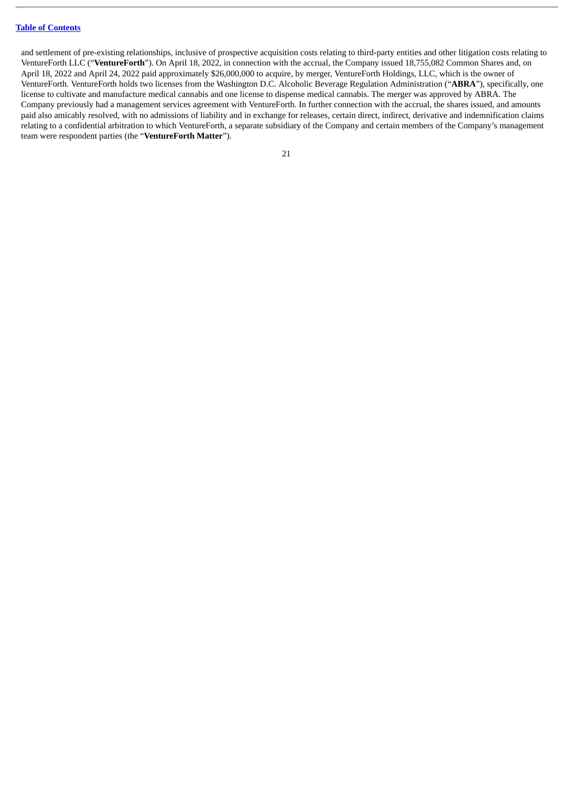and settlement of pre-existing relationships, inclusive of prospective acquisition costs relating to third-party entities and other litigation costs relating to VentureForth LLC ("**VentureForth**"). On April 18, 2022, in connection with the accrual, the Company issued 18,755,082 Common Shares and, on April 18, 2022 and April 24, 2022 paid approximately \$26,000,000 to acquire, by merger, VentureForth Holdings, LLC, which is the owner of VentureForth. VentureForth holds two licenses from the Washington D.C. Alcoholic Beverage Regulation Administration ("**ABRA**"), specifically, one license to cultivate and manufacture medical cannabis and one license to dispense medical cannabis. The merger was approved by ABRA. The Company previously had a management services agreement with VentureForth. In further connection with the accrual, the shares issued, and amounts paid also amicably resolved, with no admissions of liability and in exchange for releases, certain direct, indirect, derivative and indemnification claims relating to a confidential arbitration to which VentureForth, a separate subsidiary of the Company and certain members of the Company's management team were respondent parties (the "**VentureForth Matter**").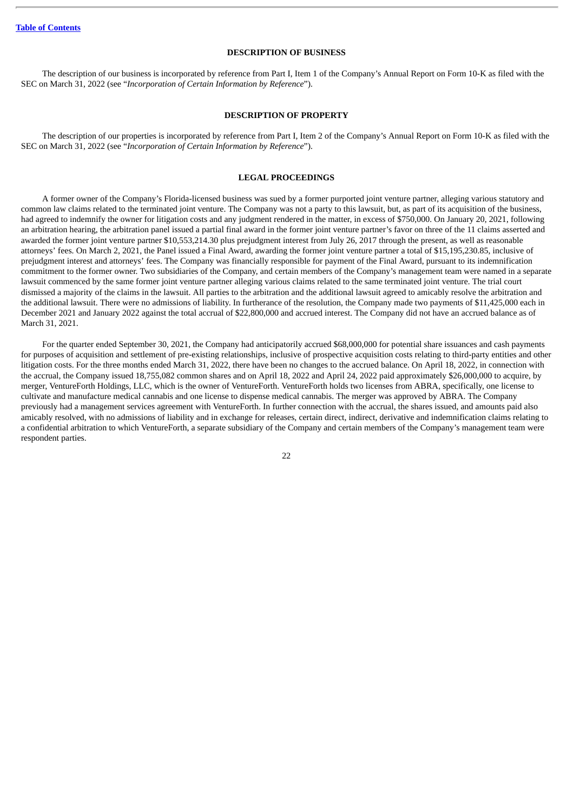#### **DESCRIPTION OF BUSINESS**

<span id="page-25-0"></span>The description of our business is incorporated by reference from Part I, Item 1 of the Company's Annual Report on Form 10-K as filed with the SEC on March 31, 2022 (see "*Incorporation of Certain Information by Reference*").

#### **DESCRIPTION OF PROPERTY**

<span id="page-25-1"></span>The description of our properties is incorporated by reference from Part I, Item 2 of the Company's Annual Report on Form 10-K as filed with the SEC on March 31, 2022 (see "*Incorporation of Certain Information by Reference*").

#### **LEGAL PROCEEDINGS**

<span id="page-25-2"></span>A former owner of the Company's Florida-licensed business was sued by a former purported joint venture partner, alleging various statutory and common law claims related to the terminated joint venture. The Company was not a party to this lawsuit, but, as part of its acquisition of the business, had agreed to indemnify the owner for litigation costs and any judgment rendered in the matter, in excess of \$750,000. On January 20, 2021, following an arbitration hearing, the arbitration panel issued a partial final award in the former joint venture partner's favor on three of the 11 claims asserted and awarded the former joint venture partner \$10,553,214.30 plus prejudgment interest from July 26, 2017 through the present, as well as reasonable attorneys' fees. On March 2, 2021, the Panel issued a Final Award, awarding the former joint venture partner a total of \$15,195,230.85, inclusive of prejudgment interest and attorneys' fees. The Company was financially responsible for payment of the Final Award, pursuant to its indemnification commitment to the former owner. Two subsidiaries of the Company, and certain members of the Company's management team were named in a separate lawsuit commenced by the same former joint venture partner alleging various claims related to the same terminated joint venture. The trial court dismissed a majority of the claims in the lawsuit. All parties to the arbitration and the additional lawsuit agreed to amicably resolve the arbitration and the additional lawsuit. There were no admissions of liability. In furtherance of the resolution, the Company made two payments of \$11,425,000 each in December 2021 and January 2022 against the total accrual of \$22,800,000 and accrued interest. The Company did not have an accrued balance as of March 31, 2021.

For the quarter ended September 30, 2021, the Company had anticipatorily accrued \$68,000,000 for potential share issuances and cash payments for purposes of acquisition and settlement of pre-existing relationships, inclusive of prospective acquisition costs relating to third-party entities and other litigation costs. For the three months ended March 31, 2022, there have been no changes to the accrued balance. On April 18, 2022, in connection with the accrual, the Company issued 18,755,082 common shares and on April 18, 2022 and April 24, 2022 paid approximately \$26,000,000 to acquire, by merger, VentureForth Holdings, LLC, which is the owner of VentureForth. VentureForth holds two licenses from ABRA, specifically, one license to cultivate and manufacture medical cannabis and one license to dispense medical cannabis. The merger was approved by ABRA. The Company previously had a management services agreement with VentureForth. In further connection with the accrual, the shares issued, and amounts paid also amicably resolved, with no admissions of liability and in exchange for releases, certain direct, indirect, derivative and indemnification claims relating to a confidential arbitration to which VentureForth, a separate subsidiary of the Company and certain members of the Company's management team were respondent parties.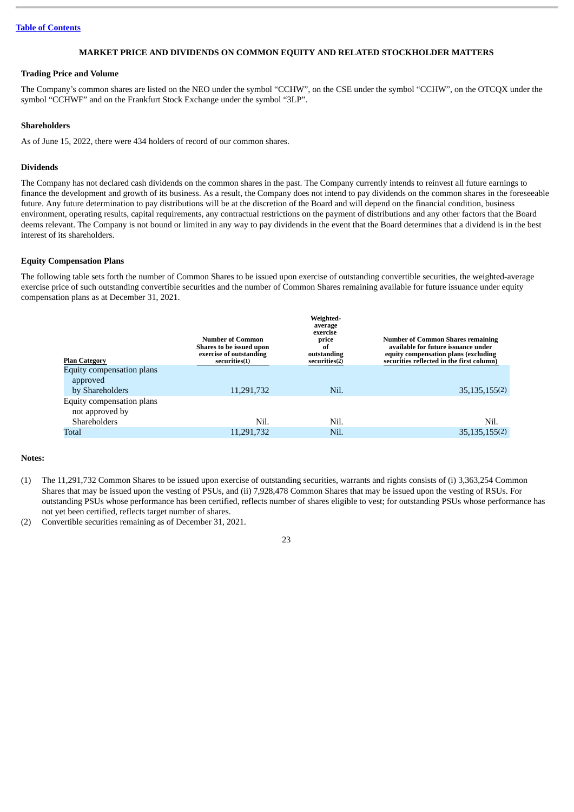### **MARKET PRICE AND DIVIDENDS ON COMMON EQUITY AND RELATED STOCKHOLDER MATTERS**

#### <span id="page-26-0"></span>**Trading Price and Volume**

The Company's common shares are listed on the NEO under the symbol "CCHW", on the CSE under the symbol "CCHW", on the OTCQX under the symbol "CCHWF" and on the Frankfurt Stock Exchange under the symbol "3LP".

#### **Shareholders**

As of June 15, 2022, there were 434 holders of record of our common shares.

#### **Dividends**

The Company has not declared cash dividends on the common shares in the past. The Company currently intends to reinvest all future earnings to finance the development and growth of its business. As a result, the Company does not intend to pay dividends on the common shares in the foreseeable future. Any future determination to pay distributions will be at the discretion of the Board and will depend on the financial condition, business environment, operating results, capital requirements, any contractual restrictions on the payment of distributions and any other factors that the Board deems relevant. The Company is not bound or limited in any way to pay dividends in the event that the Board determines that a dividend is in the best interest of its shareholders.

#### **Equity Compensation Plans**

The following table sets forth the number of Common Shares to be issued upon exercise of outstanding convertible securities, the weighted-average exercise price of such outstanding convertible securities and the number of Common Shares remaining available for future issuance under equity compensation plans as at December 31, 2021.

|                           | Number of Common<br>Shares to be issued upon<br>exercise of outstanding | Weighted-<br>average<br>exercise<br>price<br>of<br>outstanding | <b>Number of Common Shares remaining</b><br>available for future issuance under<br>equity compensation plans (excluding |
|---------------------------|-------------------------------------------------------------------------|----------------------------------------------------------------|-------------------------------------------------------------------------------------------------------------------------|
| <b>Plan Category</b>      | securities(1)                                                           | securities(2)                                                  | securities reflected in the first column)                                                                               |
| Equity compensation plans |                                                                         |                                                                |                                                                                                                         |
| approved                  |                                                                         |                                                                |                                                                                                                         |
| by Shareholders           | 11,291,732                                                              | Nil.                                                           | 35, 135, 155(2)                                                                                                         |
| Equity compensation plans |                                                                         |                                                                |                                                                                                                         |
| not approved by           |                                                                         |                                                                |                                                                                                                         |
| <b>Shareholders</b>       | Nil.                                                                    | Nil.                                                           | Nil.                                                                                                                    |
| Total                     | 11,291,732                                                              | Nil.                                                           | 35, 135, 155(2)                                                                                                         |

#### **Notes:**

- (1) The 11,291,732 Common Shares to be issued upon exercise of outstanding securities, warrants and rights consists of (i) 3,363,254 Common Shares that may be issued upon the vesting of PSUs, and (ii) 7,928,478 Common Shares that may be issued upon the vesting of RSUs. For outstanding PSUs whose performance has been certified, reflects number of shares eligible to vest; for outstanding PSUs whose performance has not yet been certified, reflects target number of shares.
- (2) Convertible securities remaining as of December 31, 2021.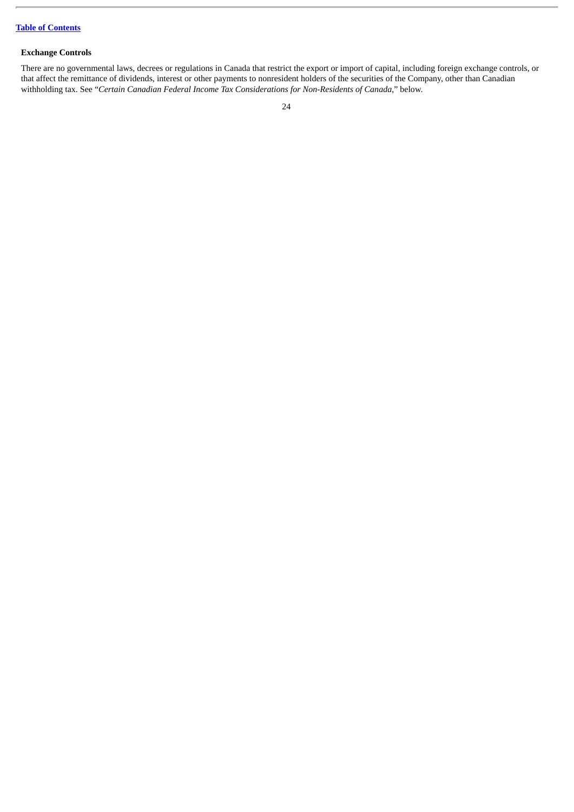# **Exchange Controls**

There are no governmental laws, decrees or regulations in Canada that restrict the export or import of capital, including foreign exchange controls, or that affect the remittance of dividends, interest or other payments to nonresident holders of the securities of the Company, other than Canadian withholding tax. See "*Certain Canadian Federal Income Tax Considerations for Non-Residents of Canada*," below.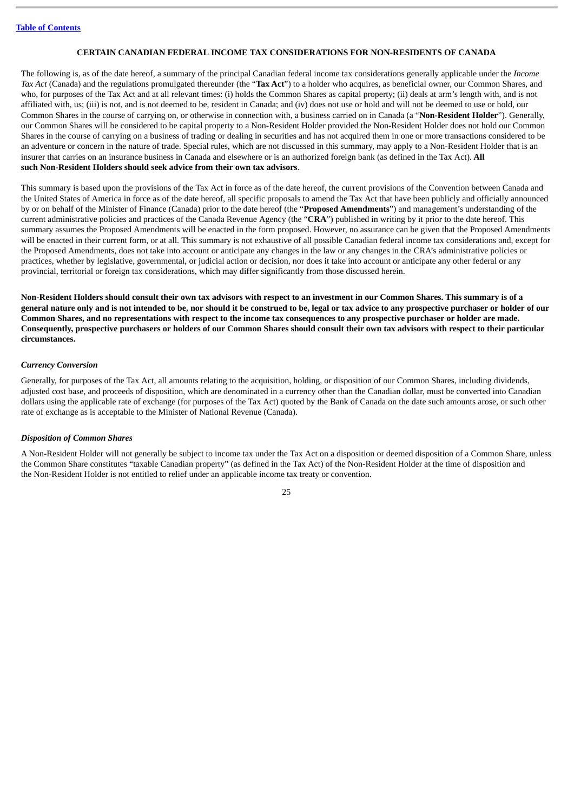#### **CERTAIN CANADIAN FEDERAL INCOME TAX CONSIDERATIONS FOR NON-RESIDENTS OF CANADA**

<span id="page-28-0"></span>The following is, as of the date hereof, a summary of the principal Canadian federal income tax considerations generally applicable under the *Income Tax Act* (Canada) and the regulations promulgated thereunder (the "**Tax Act**") to a holder who acquires, as beneficial owner, our Common Shares, and who, for purposes of the Tax Act and at all relevant times: (i) holds the Common Shares as capital property; (ii) deals at arm's length with, and is not affiliated with, us; (iii) is not, and is not deemed to be, resident in Canada; and (iv) does not use or hold and will not be deemed to use or hold, our Common Shares in the course of carrying on, or otherwise in connection with, a business carried on in Canada (a "**Non-Resident Holder**"). Generally, our Common Shares will be considered to be capital property to a Non-Resident Holder provided the Non-Resident Holder does not hold our Common Shares in the course of carrying on a business of trading or dealing in securities and has not acquired them in one or more transactions considered to be an adventure or concern in the nature of trade. Special rules, which are not discussed in this summary, may apply to a Non-Resident Holder that is an insurer that carries on an insurance business in Canada and elsewhere or is an authorized foreign bank (as defined in the Tax Act). **All such Non-Resident Holders should seek advice from their own tax advisors**.

This summary is based upon the provisions of the Tax Act in force as of the date hereof, the current provisions of the Convention between Canada and the United States of America in force as of the date hereof, all specific proposals to amend the Tax Act that have been publicly and officially announced by or on behalf of the Minister of Finance (Canada) prior to the date hereof (the "**Proposed Amendments**") and management's understanding of the current administrative policies and practices of the Canada Revenue Agency (the "**CRA**") published in writing by it prior to the date hereof. This summary assumes the Proposed Amendments will be enacted in the form proposed. However, no assurance can be given that the Proposed Amendments will be enacted in their current form, or at all. This summary is not exhaustive of all possible Canadian federal income tax considerations and, except for the Proposed Amendments, does not take into account or anticipate any changes in the law or any changes in the CRA's administrative policies or practices, whether by legislative, governmental, or judicial action or decision, nor does it take into account or anticipate any other federal or any provincial, territorial or foreign tax considerations, which may differ significantly from those discussed herein.

Non-Resident Holders should consult their own tax advisors with respect to an investment in our Common Shares. This summary is of a general nature only and is not intended to be, nor should it be construed to be, legal or tax advice to any prospective purchaser or holder of our Common Shares, and no representations with respect to the income tax consequences to any prospective purchaser or holder are made. Consequently, prospective purchasers or holders of our Common Shares should consult their own tax advisors with respect to their particular **circumstances.**

#### *Currency Conversion*

Generally, for purposes of the Tax Act, all amounts relating to the acquisition, holding, or disposition of our Common Shares, including dividends, adjusted cost base, and proceeds of disposition, which are denominated in a currency other than the Canadian dollar, must be converted into Canadian dollars using the applicable rate of exchange (for purposes of the Tax Act) quoted by the Bank of Canada on the date such amounts arose, or such other rate of exchange as is acceptable to the Minister of National Revenue (Canada).

#### *Disposition of Common Shares*

A Non-Resident Holder will not generally be subject to income tax under the Tax Act on a disposition or deemed disposition of a Common Share, unless the Common Share constitutes "taxable Canadian property" (as defined in the Tax Act) of the Non-Resident Holder at the time of disposition and the Non-Resident Holder is not entitled to relief under an applicable income tax treaty or convention.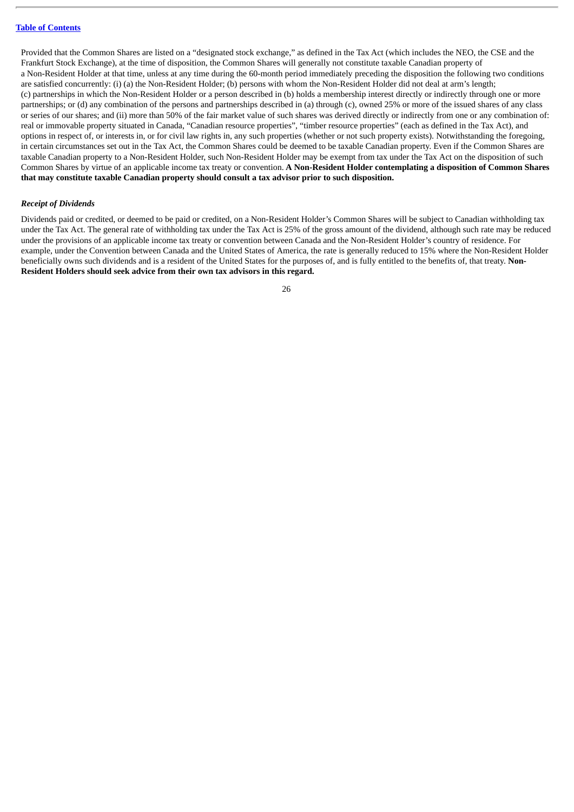Provided that the Common Shares are listed on a "designated stock exchange," as defined in the Tax Act (which includes the NEO, the CSE and the Frankfurt Stock Exchange), at the time of disposition, the Common Shares will generally not constitute taxable Canadian property of a Non-Resident Holder at that time, unless at any time during the 60-month period immediately preceding the disposition the following two conditions are satisfied concurrently: (i) (a) the Non-Resident Holder; (b) persons with whom the Non-Resident Holder did not deal at arm's length; (c) partnerships in which the Non-Resident Holder or a person described in (b) holds a membership interest directly or indirectly through one or more partnerships; or (d) any combination of the persons and partnerships described in (a) through (c), owned 25% or more of the issued shares of any class or series of our shares; and (ii) more than 50% of the fair market value of such shares was derived directly or indirectly from one or any combination of: real or immovable property situated in Canada, "Canadian resource properties", "timber resource properties" (each as defined in the Tax Act), and options in respect of, or interests in, or for civil law rights in, any such properties (whether or not such property exists). Notwithstanding the foregoing, in certain circumstances set out in the Tax Act, the Common Shares could be deemed to be taxable Canadian property. Even if the Common Shares are taxable Canadian property to a Non-Resident Holder, such Non-Resident Holder may be exempt from tax under the Tax Act on the disposition of such Common Shares by virtue of an applicable income tax treaty or convention. **A Non-Resident Holder contemplating a disposition of Common Shares that may constitute taxable Canadian property should consult a tax advisor prior to such disposition.**

#### *Receipt of Dividends*

Dividends paid or credited, or deemed to be paid or credited, on a Non-Resident Holder's Common Shares will be subject to Canadian withholding tax under the Tax Act. The general rate of withholding tax under the Tax Act is 25% of the gross amount of the dividend, although such rate may be reduced under the provisions of an applicable income tax treaty or convention between Canada and the Non-Resident Holder's country of residence. For example, under the Convention between Canada and the United States of America, the rate is generally reduced to 15% where the Non-Resident Holder beneficially owns such dividends and is a resident of the United States for the purposes of, and is fully entitled to the benefits of, that treaty. **Non-Resident Holders should seek advice from their own tax advisors in this regard.**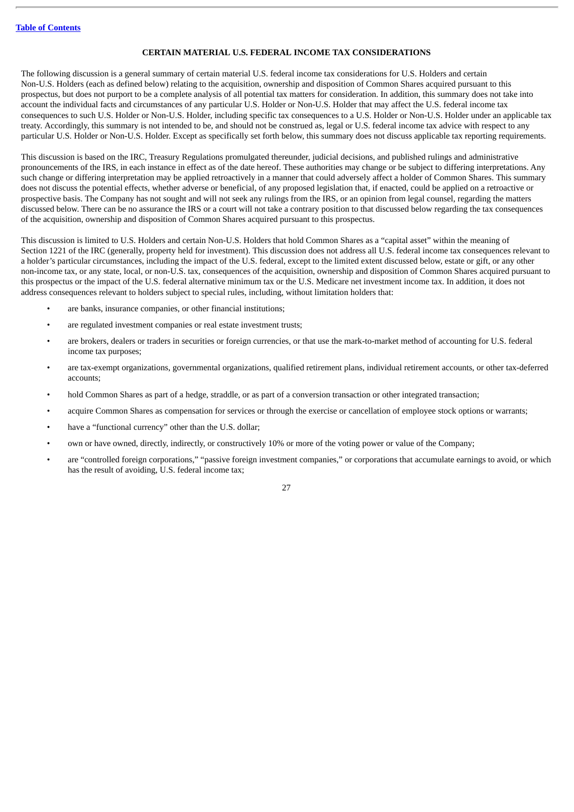#### **CERTAIN MATERIAL U.S. FEDERAL INCOME TAX CONSIDERATIONS**

<span id="page-30-0"></span>The following discussion is a general summary of certain material U.S. federal income tax considerations for U.S. Holders and certain Non-U.S. Holders (each as defined below) relating to the acquisition, ownership and disposition of Common Shares acquired pursuant to this prospectus, but does not purport to be a complete analysis of all potential tax matters for consideration. In addition, this summary does not take into account the individual facts and circumstances of any particular U.S. Holder or Non-U.S. Holder that may affect the U.S. federal income tax consequences to such U.S. Holder or Non-U.S. Holder, including specific tax consequences to a U.S. Holder or Non-U.S. Holder under an applicable tax treaty. Accordingly, this summary is not intended to be, and should not be construed as, legal or U.S. federal income tax advice with respect to any particular U.S. Holder or Non-U.S. Holder. Except as specifically set forth below, this summary does not discuss applicable tax reporting requirements.

This discussion is based on the IRC, Treasury Regulations promulgated thereunder, judicial decisions, and published rulings and administrative pronouncements of the IRS, in each instance in effect as of the date hereof. These authorities may change or be subject to differing interpretations. Any such change or differing interpretation may be applied retroactively in a manner that could adversely affect a holder of Common Shares. This summary does not discuss the potential effects, whether adverse or beneficial, of any proposed legislation that, if enacted, could be applied on a retroactive or prospective basis. The Company has not sought and will not seek any rulings from the IRS, or an opinion from legal counsel, regarding the matters discussed below. There can be no assurance the IRS or a court will not take a contrary position to that discussed below regarding the tax consequences of the acquisition, ownership and disposition of Common Shares acquired pursuant to this prospectus.

This discussion is limited to U.S. Holders and certain Non-U.S. Holders that hold Common Shares as a "capital asset" within the meaning of Section 1221 of the IRC (generally, property held for investment). This discussion does not address all U.S. federal income tax consequences relevant to a holder's particular circumstances, including the impact of the U.S. federal, except to the limited extent discussed below, estate or gift, or any other non-income tax, or any state, local, or non-U.S. tax, consequences of the acquisition, ownership and disposition of Common Shares acquired pursuant to this prospectus or the impact of the U.S. federal alternative minimum tax or the U.S. Medicare net investment income tax. In addition, it does not address consequences relevant to holders subject to special rules, including, without limitation holders that:

- are banks, insurance companies, or other financial institutions;
- are regulated investment companies or real estate investment trusts;
- are brokers, dealers or traders in securities or foreign currencies, or that use the mark-to-market method of accounting for U.S. federal income tax purposes;
- are tax-exempt organizations, governmental organizations, qualified retirement plans, individual retirement accounts, or other tax-deferred accounts;
- hold Common Shares as part of a hedge, straddle, or as part of a conversion transaction or other integrated transaction;
- acquire Common Shares as compensation for services or through the exercise or cancellation of employee stock options or warrants;
- have a "functional currency" other than the U.S. dollar;
- own or have owned, directly, indirectly, or constructively 10% or more of the voting power or value of the Company;
- are "controlled foreign corporations," "passive foreign investment companies," or corporations that accumulate earnings to avoid, or which has the result of avoiding, U.S. federal income tax;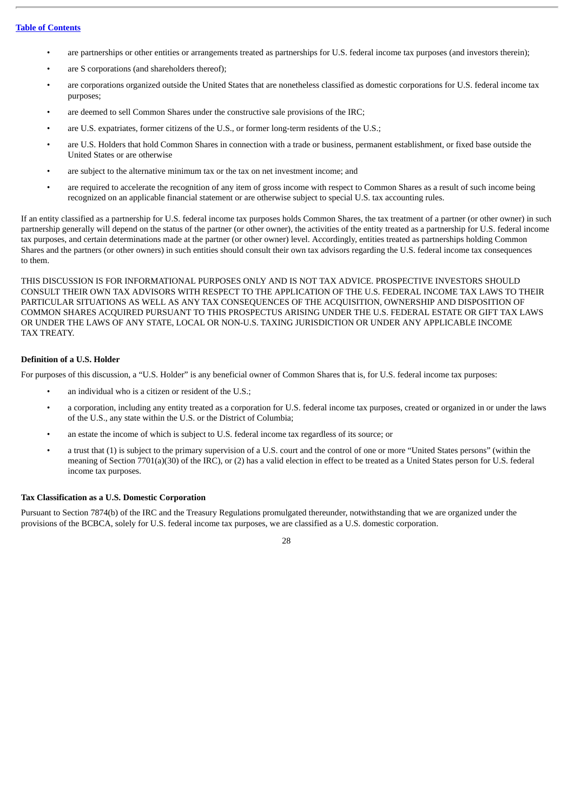- are partnerships or other entities or arrangements treated as partnerships for U.S. federal income tax purposes (and investors therein);
- are S corporations (and shareholders thereof);
- are corporations organized outside the United States that are nonetheless classified as domestic corporations for U.S. federal income tax purposes;
- are deemed to sell Common Shares under the constructive sale provisions of the IRC;
- are U.S. expatriates, former citizens of the U.S., or former long-term residents of the U.S.;
- are U.S. Holders that hold Common Shares in connection with a trade or business, permanent establishment, or fixed base outside the United States or are otherwise
- are subject to the alternative minimum tax or the tax on net investment income; and
- are required to accelerate the recognition of any item of gross income with respect to Common Shares as a result of such income being recognized on an applicable financial statement or are otherwise subject to special U.S. tax accounting rules.

If an entity classified as a partnership for U.S. federal income tax purposes holds Common Shares, the tax treatment of a partner (or other owner) in such partnership generally will depend on the status of the partner (or other owner), the activities of the entity treated as a partnership for U.S. federal income tax purposes, and certain determinations made at the partner (or other owner) level. Accordingly, entities treated as partnerships holding Common Shares and the partners (or other owners) in such entities should consult their own tax advisors regarding the U.S. federal income tax consequences to them.

THIS DISCUSSION IS FOR INFORMATIONAL PURPOSES ONLY AND IS NOT TAX ADVICE. PROSPECTIVE INVESTORS SHOULD CONSULT THEIR OWN TAX ADVISORS WITH RESPECT TO THE APPLICATION OF THE U.S. FEDERAL INCOME TAX LAWS TO THEIR PARTICULAR SITUATIONS AS WELL AS ANY TAX CONSEQUENCES OF THE ACQUISITION, OWNERSHIP AND DISPOSITION OF COMMON SHARES ACQUIRED PURSUANT TO THIS PROSPECTUS ARISING UNDER THE U.S. FEDERAL ESTATE OR GIFT TAX LAWS OR UNDER THE LAWS OF ANY STATE, LOCAL OR NON-U.S. TAXING JURISDICTION OR UNDER ANY APPLICABLE INCOME TAX TREATY.

# **Definition of a U.S. Holder**

For purposes of this discussion, a "U.S. Holder" is any beneficial owner of Common Shares that is, for U.S. federal income tax purposes:

- an individual who is a citizen or resident of the U.S.;
- a corporation, including any entity treated as a corporation for U.S. federal income tax purposes, created or organized in or under the laws of the U.S., any state within the U.S. or the District of Columbia;
- an estate the income of which is subject to U.S. federal income tax regardless of its source; or
- a trust that (1) is subject to the primary supervision of a U.S. court and the control of one or more "United States persons" (within the meaning of Section 7701(a)(30) of the IRC), or (2) has a valid election in effect to be treated as a United States person for U.S. federal income tax purposes.

#### **Tax Classification as a U.S. Domestic Corporation**

Pursuant to Section 7874(b) of the IRC and the Treasury Regulations promulgated thereunder, notwithstanding that we are organized under the provisions of the BCBCA, solely for U.S. federal income tax purposes, we are classified as a U.S. domestic corporation.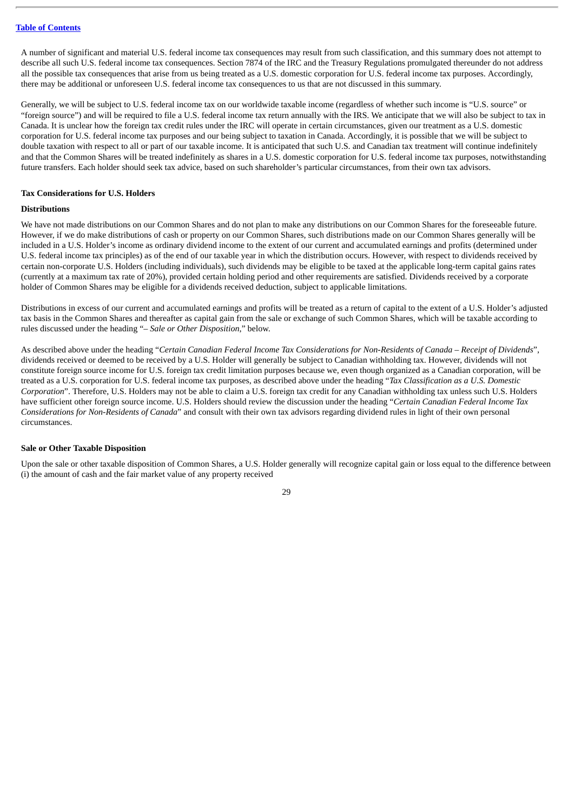A number of significant and material U.S. federal income tax consequences may result from such classification, and this summary does not attempt to describe all such U.S. federal income tax consequences. Section 7874 of the IRC and the Treasury Regulations promulgated thereunder do not address all the possible tax consequences that arise from us being treated as a U.S. domestic corporation for U.S. federal income tax purposes. Accordingly, there may be additional or unforeseen U.S. federal income tax consequences to us that are not discussed in this summary.

Generally, we will be subject to U.S. federal income tax on our worldwide taxable income (regardless of whether such income is "U.S. source" or "foreign source") and will be required to file a U.S. federal income tax return annually with the IRS. We anticipate that we will also be subject to tax in Canada. It is unclear how the foreign tax credit rules under the IRC will operate in certain circumstances, given our treatment as a U.S. domestic corporation for U.S. federal income tax purposes and our being subject to taxation in Canada. Accordingly, it is possible that we will be subject to double taxation with respect to all or part of our taxable income. It is anticipated that such U.S. and Canadian tax treatment will continue indefinitely and that the Common Shares will be treated indefinitely as shares in a U.S. domestic corporation for U.S. federal income tax purposes, notwithstanding future transfers. Each holder should seek tax advice, based on such shareholder's particular circumstances, from their own tax advisors.

#### **Tax Considerations for U.S. Holders**

#### **Distributions**

We have not made distributions on our Common Shares and do not plan to make any distributions on our Common Shares for the foreseeable future. However, if we do make distributions of cash or property on our Common Shares, such distributions made on our Common Shares generally will be included in a U.S. Holder's income as ordinary dividend income to the extent of our current and accumulated earnings and profits (determined under U.S. federal income tax principles) as of the end of our taxable year in which the distribution occurs. However, with respect to dividends received by certain non-corporate U.S. Holders (including individuals), such dividends may be eligible to be taxed at the applicable long-term capital gains rates (currently at a maximum tax rate of 20%), provided certain holding period and other requirements are satisfied. Dividends received by a corporate holder of Common Shares may be eligible for a dividends received deduction, subject to applicable limitations.

Distributions in excess of our current and accumulated earnings and profits will be treated as a return of capital to the extent of a U.S. Holder's adjusted tax basis in the Common Shares and thereafter as capital gain from the sale or exchange of such Common Shares, which will be taxable according to rules discussed under the heading "*– Sale or Other Disposition*," below.

As described above under the heading "Certain Canadian Federal Income Tax Considerations for Non-Residents of Canada - Receipt of Dividends", dividends received or deemed to be received by a U.S. Holder will generally be subject to Canadian withholding tax. However, dividends will not constitute foreign source income for U.S. foreign tax credit limitation purposes because we, even though organized as a Canadian corporation, will be treated as a U.S. corporation for U.S. federal income tax purposes, as described above under the heading "*Tax Classification as a U.S. Domestic Corporation*". Therefore, U.S. Holders may not be able to claim a U.S. foreign tax credit for any Canadian withholding tax unless such U.S. Holders have sufficient other foreign source income. U.S. Holders should review the discussion under the heading "*Certain Canadian Federal Income Tax Considerations for Non-Residents of Canada*" and consult with their own tax advisors regarding dividend rules in light of their own personal circumstances.

#### **Sale or Other Taxable Disposition**

Upon the sale or other taxable disposition of Common Shares, a U.S. Holder generally will recognize capital gain or loss equal to the difference between (i) the amount of cash and the fair market value of any property received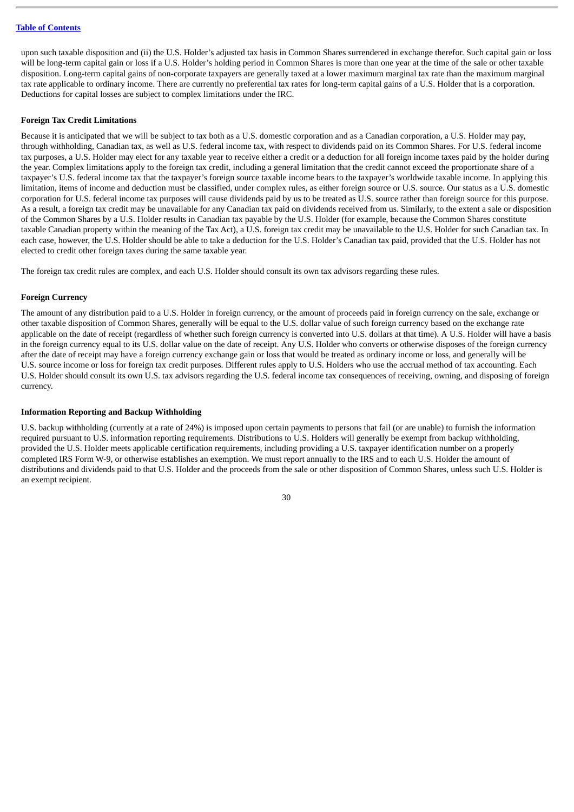upon such taxable disposition and (ii) the U.S. Holder's adjusted tax basis in Common Shares surrendered in exchange therefor. Such capital gain or loss will be long-term capital gain or loss if a U.S. Holder's holding period in Common Shares is more than one year at the time of the sale or other taxable disposition. Long-term capital gains of non-corporate taxpayers are generally taxed at a lower maximum marginal tax rate than the maximum marginal tax rate applicable to ordinary income. There are currently no preferential tax rates for long-term capital gains of a U.S. Holder that is a corporation. Deductions for capital losses are subject to complex limitations under the IRC.

#### **Foreign Tax Credit Limitations**

Because it is anticipated that we will be subject to tax both as a U.S. domestic corporation and as a Canadian corporation, a U.S. Holder may pay, through withholding, Canadian tax, as well as U.S. federal income tax, with respect to dividends paid on its Common Shares. For U.S. federal income tax purposes, a U.S. Holder may elect for any taxable year to receive either a credit or a deduction for all foreign income taxes paid by the holder during the year. Complex limitations apply to the foreign tax credit, including a general limitation that the credit cannot exceed the proportionate share of a taxpayer's U.S. federal income tax that the taxpayer's foreign source taxable income bears to the taxpayer's worldwide taxable income. In applying this limitation, items of income and deduction must be classified, under complex rules, as either foreign source or U.S. source. Our status as a U.S. domestic corporation for U.S. federal income tax purposes will cause dividends paid by us to be treated as U.S. source rather than foreign source for this purpose. As a result, a foreign tax credit may be unavailable for any Canadian tax paid on dividends received from us. Similarly, to the extent a sale or disposition of the Common Shares by a U.S. Holder results in Canadian tax payable by the U.S. Holder (for example, because the Common Shares constitute taxable Canadian property within the meaning of the Tax Act), a U.S. foreign tax credit may be unavailable to the U.S. Holder for such Canadian tax. In each case, however, the U.S. Holder should be able to take a deduction for the U.S. Holder's Canadian tax paid, provided that the U.S. Holder has not elected to credit other foreign taxes during the same taxable year.

The foreign tax credit rules are complex, and each U.S. Holder should consult its own tax advisors regarding these rules.

#### **Foreign Currency**

The amount of any distribution paid to a U.S. Holder in foreign currency, or the amount of proceeds paid in foreign currency on the sale, exchange or other taxable disposition of Common Shares, generally will be equal to the U.S. dollar value of such foreign currency based on the exchange rate applicable on the date of receipt (regardless of whether such foreign currency is converted into U.S. dollars at that time). A U.S. Holder will have a basis in the foreign currency equal to its U.S. dollar value on the date of receipt. Any U.S. Holder who converts or otherwise disposes of the foreign currency after the date of receipt may have a foreign currency exchange gain or loss that would be treated as ordinary income or loss, and generally will be U.S. source income or loss for foreign tax credit purposes. Different rules apply to U.S. Holders who use the accrual method of tax accounting. Each U.S. Holder should consult its own U.S. tax advisors regarding the U.S. federal income tax consequences of receiving, owning, and disposing of foreign currency.

#### **Information Reporting and Backup Withholding**

U.S. backup withholding (currently at a rate of 24%) is imposed upon certain payments to persons that fail (or are unable) to furnish the information required pursuant to U.S. information reporting requirements. Distributions to U.S. Holders will generally be exempt from backup withholding, provided the U.S. Holder meets applicable certification requirements, including providing a U.S. taxpayer identification number on a properly completed IRS Form W-9, or otherwise establishes an exemption. We must report annually to the IRS and to each U.S. Holder the amount of distributions and dividends paid to that U.S. Holder and the proceeds from the sale or other disposition of Common Shares, unless such U.S. Holder is an exempt recipient.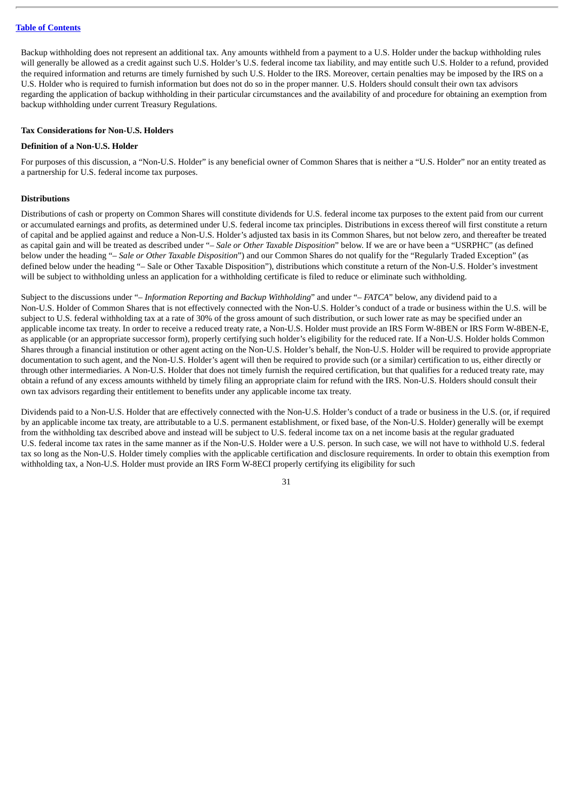Backup withholding does not represent an additional tax. Any amounts withheld from a payment to a U.S. Holder under the backup withholding rules will generally be allowed as a credit against such U.S. Holder's U.S. federal income tax liability, and may entitle such U.S. Holder to a refund, provided the required information and returns are timely furnished by such U.S. Holder to the IRS. Moreover, certain penalties may be imposed by the IRS on a U.S. Holder who is required to furnish information but does not do so in the proper manner. U.S. Holders should consult their own tax advisors regarding the application of backup withholding in their particular circumstances and the availability of and procedure for obtaining an exemption from backup withholding under current Treasury Regulations.

#### **Tax Considerations for Non-U.S. Holders**

#### **Definition of a Non-U.S. Holder**

For purposes of this discussion, a "Non-U.S. Holder" is any beneficial owner of Common Shares that is neither a "U.S. Holder" nor an entity treated as a partnership for U.S. federal income tax purposes.

#### **Distributions**

Distributions of cash or property on Common Shares will constitute dividends for U.S. federal income tax purposes to the extent paid from our current or accumulated earnings and profits, as determined under U.S. federal income tax principles. Distributions in excess thereof will first constitute a return of capital and be applied against and reduce a Non-U.S. Holder's adjusted tax basis in its Common Shares, but not below zero, and thereafter be treated as capital gain and will be treated as described under "– *Sale or Other Taxable Disposition*" below. If we are or have been a "USRPHC" (as defined below under the heading "– *Sale or Other Taxable Disposition*") and our Common Shares do not qualify for the "Regularly Traded Exception" (as defined below under the heading "– Sale or Other Taxable Disposition"), distributions which constitute a return of the Non-U.S. Holder's investment will be subject to withholding unless an application for a withholding certificate is filed to reduce or eliminate such withholding.

Subject to the discussions under "*– Information Reporting and Backup Withholding*" and under "*– FATCA*" below, any dividend paid to a Non-U.S. Holder of Common Shares that is not effectively connected with the Non-U.S. Holder's conduct of a trade or business within the U.S. will be subject to U.S. federal withholding tax at a rate of 30% of the gross amount of such distribution, or such lower rate as may be specified under an applicable income tax treaty. In order to receive a reduced treaty rate, a Non-U.S. Holder must provide an IRS Form W-8BEN or IRS Form W-8BEN-E, as applicable (or an appropriate successor form), properly certifying such holder's eligibility for the reduced rate. If a Non-U.S. Holder holds Common Shares through a financial institution or other agent acting on the Non-U.S. Holder's behalf, the Non-U.S. Holder will be required to provide appropriate documentation to such agent, and the Non-U.S. Holder's agent will then be required to provide such (or a similar) certification to us, either directly or through other intermediaries. A Non-U.S. Holder that does not timely furnish the required certification, but that qualifies for a reduced treaty rate, may obtain a refund of any excess amounts withheld by timely filing an appropriate claim for refund with the IRS. Non-U.S. Holders should consult their own tax advisors regarding their entitlement to benefits under any applicable income tax treaty.

Dividends paid to a Non-U.S. Holder that are effectively connected with the Non-U.S. Holder's conduct of a trade or business in the U.S. (or, if required by an applicable income tax treaty, are attributable to a U.S. permanent establishment, or fixed base, of the Non-U.S. Holder) generally will be exempt from the withholding tax described above and instead will be subject to U.S. federal income tax on a net income basis at the regular graduated U.S. federal income tax rates in the same manner as if the Non-U.S. Holder were a U.S. person. In such case, we will not have to withhold U.S. federal tax so long as the Non-U.S. Holder timely complies with the applicable certification and disclosure requirements. In order to obtain this exemption from withholding tax, a Non-U.S. Holder must provide an IRS Form W-8ECI properly certifying its eligibility for such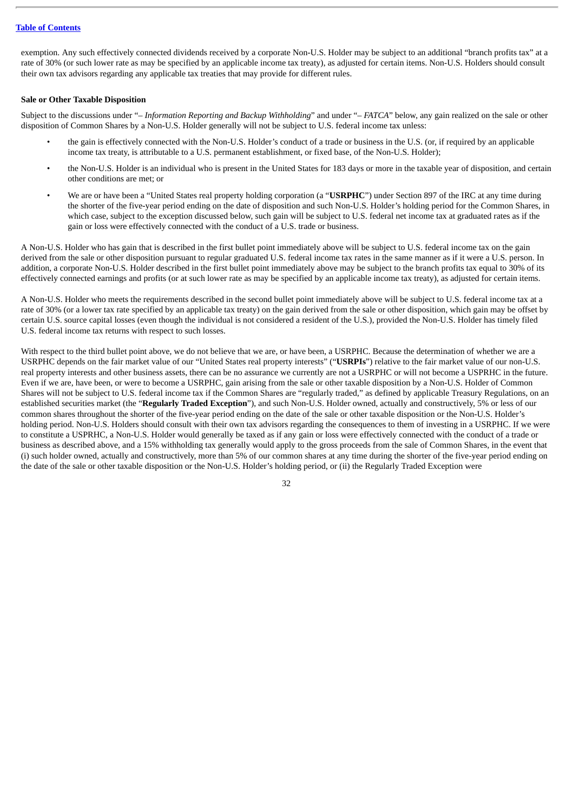exemption. Any such effectively connected dividends received by a corporate Non-U.S. Holder may be subject to an additional "branch profits tax" at a rate of 30% (or such lower rate as may be specified by an applicable income tax treaty), as adjusted for certain items. Non-U.S. Holders should consult their own tax advisors regarding any applicable tax treaties that may provide for different rules.

#### **Sale or Other Taxable Disposition**

Subject to the discussions under "*– Information Reporting and Backup Withholding*" and under "*– FATCA*" below, any gain realized on the sale or other disposition of Common Shares by a Non-U.S. Holder generally will not be subject to U.S. federal income tax unless:

- the gain is effectively connected with the Non-U.S. Holder's conduct of a trade or business in the U.S. (or, if required by an applicable income tax treaty, is attributable to a U.S. permanent establishment, or fixed base, of the Non-U.S. Holder);
- the Non-U.S. Holder is an individual who is present in the United States for 183 days or more in the taxable year of disposition, and certain other conditions are met; or
- We are or have been a "United States real property holding corporation (a "**USRPHC**") under Section 897 of the IRC at any time during the shorter of the five-year period ending on the date of disposition and such Non-U.S. Holder's holding period for the Common Shares, in which case, subject to the exception discussed below, such gain will be subject to U.S. federal net income tax at graduated rates as if the gain or loss were effectively connected with the conduct of a U.S. trade or business.

A Non-U.S. Holder who has gain that is described in the first bullet point immediately above will be subject to U.S. federal income tax on the gain derived from the sale or other disposition pursuant to regular graduated U.S. federal income tax rates in the same manner as if it were a U.S. person. In addition, a corporate Non-U.S. Holder described in the first bullet point immediately above may be subject to the branch profits tax equal to 30% of its effectively connected earnings and profits (or at such lower rate as may be specified by an applicable income tax treaty), as adjusted for certain items.

A Non-U.S. Holder who meets the requirements described in the second bullet point immediately above will be subject to U.S. federal income tax at a rate of 30% (or a lower tax rate specified by an applicable tax treaty) on the gain derived from the sale or other disposition, which gain may be offset by certain U.S. source capital losses (even though the individual is not considered a resident of the U.S.), provided the Non-U.S. Holder has timely filed U.S. federal income tax returns with respect to such losses.

With respect to the third bullet point above, we do not believe that we are, or have been, a USRPHC. Because the determination of whether we are a USRPHC depends on the fair market value of our "United States real property interests" ("**USRPIs**") relative to the fair market value of our non-U.S. real property interests and other business assets, there can be no assurance we currently are not a USRPHC or will not become a USPRHC in the future. Even if we are, have been, or were to become a USRPHC, gain arising from the sale or other taxable disposition by a Non-U.S. Holder of Common Shares will not be subject to U.S. federal income tax if the Common Shares are "regularly traded," as defined by applicable Treasury Regulations, on an established securities market (the "**Regularly Traded Exception**"), and such Non-U.S. Holder owned, actually and constructively, 5% or less of our common shares throughout the shorter of the five-year period ending on the date of the sale or other taxable disposition or the Non-U.S. Holder's holding period. Non-U.S. Holders should consult with their own tax advisors regarding the consequences to them of investing in a USRPHC. If we were to constitute a USPRHC, a Non-U.S. Holder would generally be taxed as if any gain or loss were effectively connected with the conduct of a trade or business as described above, and a 15% withholding tax generally would apply to the gross proceeds from the sale of Common Shares, in the event that (i) such holder owned, actually and constructively, more than 5% of our common shares at any time during the shorter of the five-year period ending on the date of the sale or other taxable disposition or the Non-U.S. Holder's holding period, or (ii) the Regularly Traded Exception were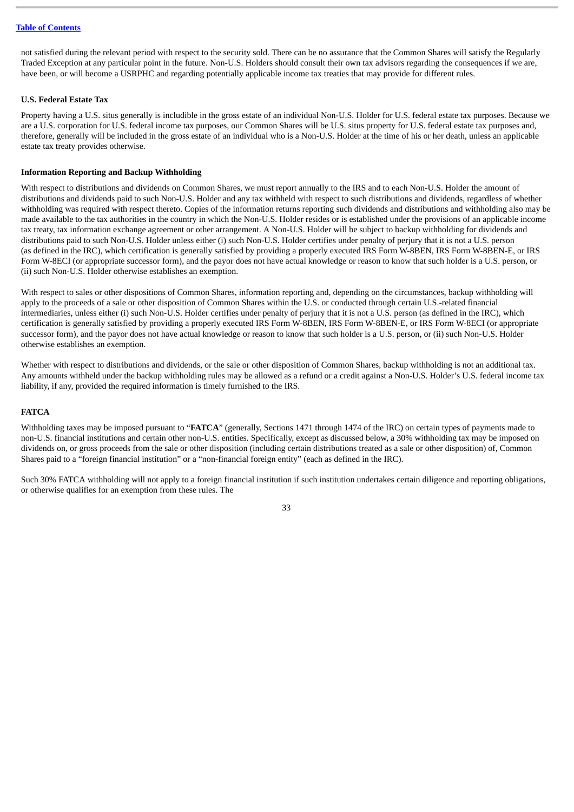not satisfied during the relevant period with respect to the security sold. There can be no assurance that the Common Shares will satisfy the Regularly Traded Exception at any particular point in the future. Non-U.S. Holders should consult their own tax advisors regarding the consequences if we are, have been, or will become a USRPHC and regarding potentially applicable income tax treaties that may provide for different rules.

#### **U.S. Federal Estate Tax**

Property having a U.S. situs generally is includible in the gross estate of an individual Non-U.S. Holder for U.S. federal estate tax purposes. Because we are a U.S. corporation for U.S. federal income tax purposes, our Common Shares will be U.S. situs property for U.S. federal estate tax purposes and, therefore, generally will be included in the gross estate of an individual who is a Non-U.S. Holder at the time of his or her death, unless an applicable estate tax treaty provides otherwise.

#### **Information Reporting and Backup Withholding**

With respect to distributions and dividends on Common Shares, we must report annually to the IRS and to each Non-U.S. Holder the amount of distributions and dividends paid to such Non-U.S. Holder and any tax withheld with respect to such distributions and dividends, regardless of whether withholding was required with respect thereto. Copies of the information returns reporting such dividends and distributions and withholding also may be made available to the tax authorities in the country in which the Non-U.S. Holder resides or is established under the provisions of an applicable income tax treaty, tax information exchange agreement or other arrangement. A Non-U.S. Holder will be subject to backup withholding for dividends and distributions paid to such Non-U.S. Holder unless either (i) such Non-U.S. Holder certifies under penalty of perjury that it is not a U.S. person (as defined in the IRC), which certification is generally satisfied by providing a properly executed IRS Form W-8BEN, IRS Form W-8BEN-E, or IRS Form W-8ECI (or appropriate successor form), and the payor does not have actual knowledge or reason to know that such holder is a U.S. person, or (ii) such Non-U.S. Holder otherwise establishes an exemption.

With respect to sales or other dispositions of Common Shares, information reporting and, depending on the circumstances, backup withholding will apply to the proceeds of a sale or other disposition of Common Shares within the U.S. or conducted through certain U.S.-related financial intermediaries, unless either (i) such Non-U.S. Holder certifies under penalty of perjury that it is not a U.S. person (as defined in the IRC), which certification is generally satisfied by providing a properly executed IRS Form W-8BEN, IRS Form W-8BEN-E, or IRS Form W-8ECI (or appropriate successor form), and the payor does not have actual knowledge or reason to know that such holder is a U.S. person, or (ii) such Non-U.S. Holder otherwise establishes an exemption.

Whether with respect to distributions and dividends, or the sale or other disposition of Common Shares, backup withholding is not an additional tax. Any amounts withheld under the backup withholding rules may be allowed as a refund or a credit against a Non-U.S. Holder's U.S. federal income tax liability, if any, provided the required information is timely furnished to the IRS.

#### **FATCA**

Withholding taxes may be imposed pursuant to "**FATCA**" (generally, Sections 1471 through 1474 of the IRC) on certain types of payments made to non-U.S. financial institutions and certain other non-U.S. entities. Specifically, except as discussed below, a 30% withholding tax may be imposed on dividends on, or gross proceeds from the sale or other disposition (including certain distributions treated as a sale or other disposition) of, Common Shares paid to a "foreign financial institution" or a "non-financial foreign entity" (each as defined in the IRC).

Such 30% FATCA withholding will not apply to a foreign financial institution if such institution undertakes certain diligence and reporting obligations, or otherwise qualifies for an exemption from these rules. The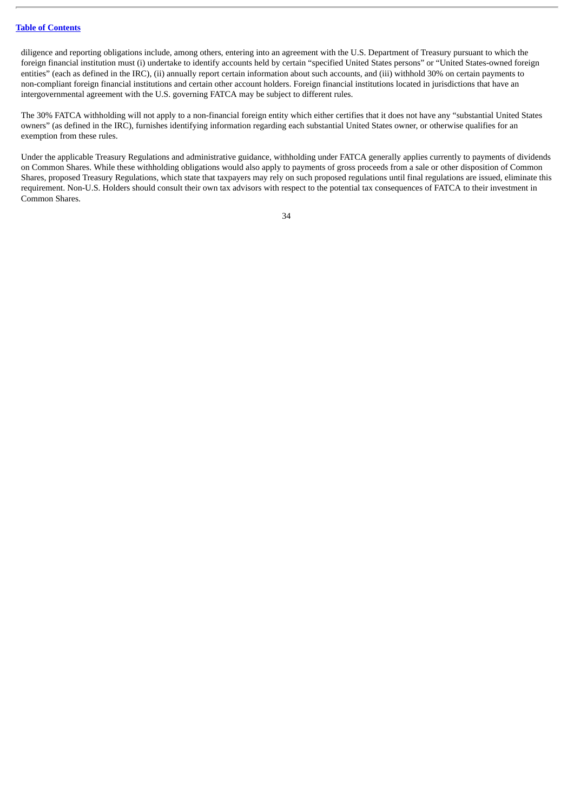diligence and reporting obligations include, among others, entering into an agreement with the U.S. Department of Treasury pursuant to which the foreign financial institution must (i) undertake to identify accounts held by certain "specified United States persons" or "United States-owned foreign entities" (each as defined in the IRC), (ii) annually report certain information about such accounts, and (iii) withhold 30% on certain payments to non-compliant foreign financial institutions and certain other account holders. Foreign financial institutions located in jurisdictions that have an intergovernmental agreement with the U.S. governing FATCA may be subject to different rules.

The 30% FATCA withholding will not apply to a non-financial foreign entity which either certifies that it does not have any "substantial United States owners" (as defined in the IRC), furnishes identifying information regarding each substantial United States owner, or otherwise qualifies for an exemption from these rules.

Under the applicable Treasury Regulations and administrative guidance, withholding under FATCA generally applies currently to payments of dividends on Common Shares. While these withholding obligations would also apply to payments of gross proceeds from a sale or other disposition of Common Shares, proposed Treasury Regulations, which state that taxpayers may rely on such proposed regulations until final regulations are issued, eliminate this requirement. Non-U.S. Holders should consult their own tax advisors with respect to the potential tax consequences of FATCA to their investment in Common Shares.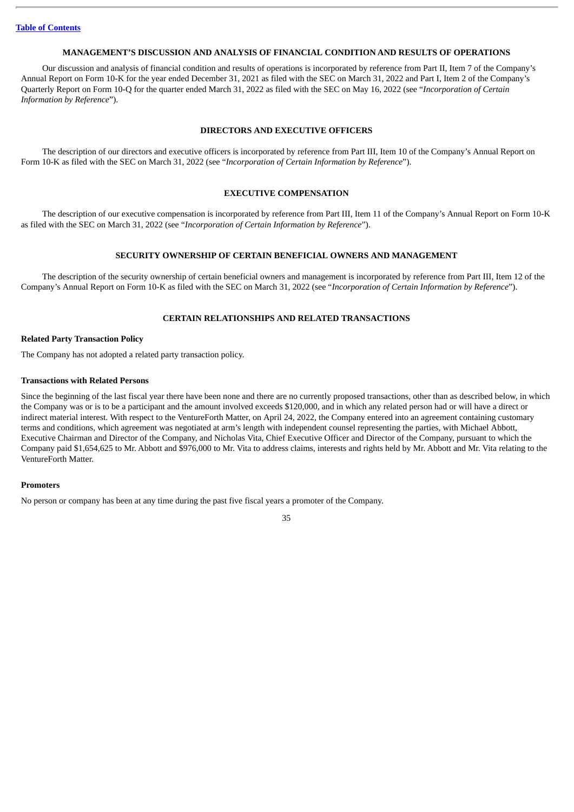#### **MANAGEMENT'S DISCUSSION AND ANALYSIS OF FINANCIAL CONDITION AND RESULTS OF OPERATIONS**

<span id="page-38-0"></span>Our discussion and analysis of financial condition and results of operations is incorporated by reference from Part II, Item 7 of the Company's Annual Report on Form 10-K for the year ended December 31, 2021 as filed with the SEC on March 31, 2022 and Part I, Item 2 of the Company's Quarterly Report on Form 10-Q for the quarter ended March 31, 2022 as filed with the SEC on May 16, 2022 (see "*Incorporation of Certain Information by Reference*").

#### **DIRECTORS AND EXECUTIVE OFFICERS**

<span id="page-38-1"></span>The description of our directors and executive officers is incorporated by reference from Part III, Item 10 of the Company's Annual Report on Form 10-K as filed with the SEC on March 31, 2022 (see "*Incorporation of Certain Information by Reference*").

#### **EXECUTIVE COMPENSATION**

<span id="page-38-2"></span>The description of our executive compensation is incorporated by reference from Part III, Item 11 of the Company's Annual Report on Form 10-K as filed with the SEC on March 31, 2022 (see "*Incorporation of Certain Information by Reference*").

#### **SECURITY OWNERSHIP OF CERTAIN BENEFICIAL OWNERS AND MANAGEMENT**

<span id="page-38-3"></span>The description of the security ownership of certain beneficial owners and management is incorporated by reference from Part III, Item 12 of the Company's Annual Report on Form 10-K as filed with the SEC on March 31, 2022 (see "*Incorporation of Certain Information by Reference*").

#### **CERTAIN RELATIONSHIPS AND RELATED TRANSACTIONS**

#### <span id="page-38-4"></span>**Related Party Transaction Policy**

The Company has not adopted a related party transaction policy.

#### **Transactions with Related Persons**

Since the beginning of the last fiscal year there have been none and there are no currently proposed transactions, other than as described below, in which the Company was or is to be a participant and the amount involved exceeds \$120,000, and in which any related person had or will have a direct or indirect material interest. With respect to the VentureForth Matter, on April 24, 2022, the Company entered into an agreement containing customary terms and conditions, which agreement was negotiated at arm's length with independent counsel representing the parties, with Michael Abbott, Executive Chairman and Director of the Company, and Nicholas Vita, Chief Executive Officer and Director of the Company, pursuant to which the Company paid \$1,654,625 to Mr. Abbott and \$976,000 to Mr. Vita to address claims, interests and rights held by Mr. Abbott and Mr. Vita relating to the VentureForth Matter.

#### **Promoters**

No person or company has been at any time during the past five fiscal years a promoter of the Company.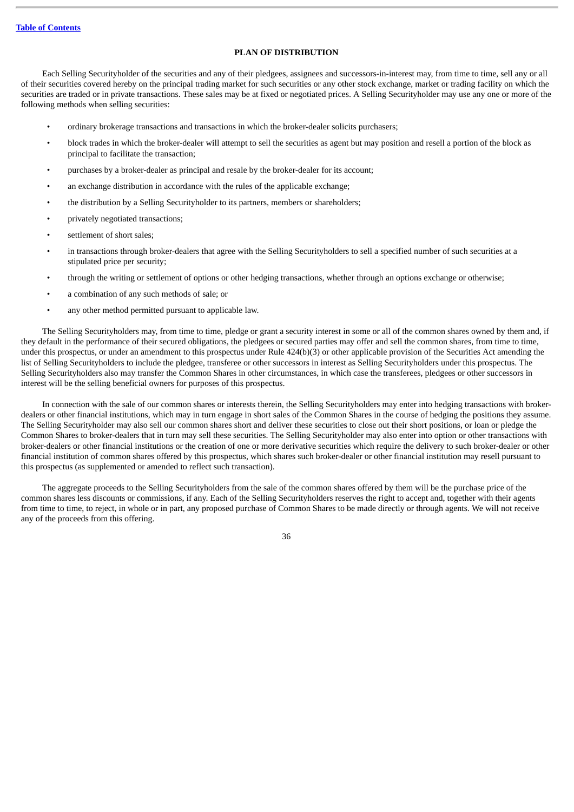### **PLAN OF DISTRIBUTION**

<span id="page-39-0"></span>Each Selling Securityholder of the securities and any of their pledgees, assignees and successors-in-interest may, from time to time, sell any or all of their securities covered hereby on the principal trading market for such securities or any other stock exchange, market or trading facility on which the securities are traded or in private transactions. These sales may be at fixed or negotiated prices. A Selling Securityholder may use any one or more of the following methods when selling securities:

- ordinary brokerage transactions and transactions in which the broker-dealer solicits purchasers;
- block trades in which the broker-dealer will attempt to sell the securities as agent but may position and resell a portion of the block as principal to facilitate the transaction;
- purchases by a broker-dealer as principal and resale by the broker-dealer for its account;
- an exchange distribution in accordance with the rules of the applicable exchange;
- the distribution by a Selling Securityholder to its partners, members or shareholders;
- privately negotiated transactions;
- settlement of short sales;
- in transactions through broker-dealers that agree with the Selling Securityholders to sell a specified number of such securities at a stipulated price per security;
- through the writing or settlement of options or other hedging transactions, whether through an options exchange or otherwise;
- a combination of any such methods of sale; or
- any other method permitted pursuant to applicable law.

The Selling Securityholders may, from time to time, pledge or grant a security interest in some or all of the common shares owned by them and, if they default in the performance of their secured obligations, the pledgees or secured parties may offer and sell the common shares, from time to time, under this prospectus, or under an amendment to this prospectus under Rule 424(b)(3) or other applicable provision of the Securities Act amending the list of Selling Securityholders to include the pledgee, transferee or other successors in interest as Selling Securityholders under this prospectus. The Selling Securityholders also may transfer the Common Shares in other circumstances, in which case the transferees, pledgees or other successors in interest will be the selling beneficial owners for purposes of this prospectus.

In connection with the sale of our common shares or interests therein, the Selling Securityholders may enter into hedging transactions with brokerdealers or other financial institutions, which may in turn engage in short sales of the Common Shares in the course of hedging the positions they assume. The Selling Securityholder may also sell our common shares short and deliver these securities to close out their short positions, or loan or pledge the Common Shares to broker-dealers that in turn may sell these securities. The Selling Securityholder may also enter into option or other transactions with broker-dealers or other financial institutions or the creation of one or more derivative securities which require the delivery to such broker-dealer or other financial institution of common shares offered by this prospectus, which shares such broker-dealer or other financial institution may resell pursuant to this prospectus (as supplemented or amended to reflect such transaction).

The aggregate proceeds to the Selling Securityholders from the sale of the common shares offered by them will be the purchase price of the common shares less discounts or commissions, if any. Each of the Selling Securityholders reserves the right to accept and, together with their agents from time to time, to reject, in whole or in part, any proposed purchase of Common Shares to be made directly or through agents. We will not receive any of the proceeds from this offering.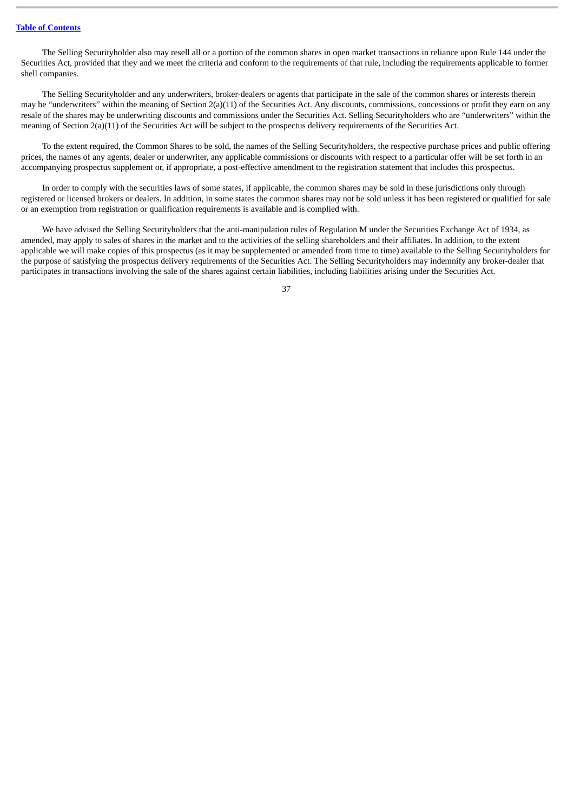The Selling Securityholder also may resell all or a portion of the common shares in open market transactions in reliance upon Rule 144 under the Securities Act, provided that they and we meet the criteria and conform to the requirements of that rule, including the requirements applicable to former shell companies.

The Selling Securityholder and any underwriters, broker-dealers or agents that participate in the sale of the common shares or interests therein may be "underwriters" within the meaning of Section  $2(a)(11)$  of the Securities Act. Any discounts, commissions, concessions or profit they earn on any resale of the shares may be underwriting discounts and commissions under the Securities Act. Selling Securityholders who are "underwriters" within the meaning of Section 2(a)(11) of the Securities Act will be subject to the prospectus delivery requirements of the Securities Act.

To the extent required, the Common Shares to be sold, the names of the Selling Securityholders, the respective purchase prices and public offering prices, the names of any agents, dealer or underwriter, any applicable commissions or discounts with respect to a particular offer will be set forth in an accompanying prospectus supplement or, if appropriate, a post-effective amendment to the registration statement that includes this prospectus.

In order to comply with the securities laws of some states, if applicable, the common shares may be sold in these jurisdictions only through registered or licensed brokers or dealers. In addition, in some states the common shares may not be sold unless it has been registered or qualified for sale or an exemption from registration or qualification requirements is available and is complied with.

We have advised the Selling Securityholders that the anti-manipulation rules of Regulation M under the Securities Exchange Act of 1934, as amended, may apply to sales of shares in the market and to the activities of the selling shareholders and their affiliates. In addition, to the extent applicable we will make copies of this prospectus (as it may be supplemented or amended from time to time) available to the Selling Securityholders for the purpose of satisfying the prospectus delivery requirements of the Securities Act. The Selling Securityholders may indemnify any broker-dealer that participates in transactions involving the sale of the shares against certain liabilities, including liabilities arising under the Securities Act.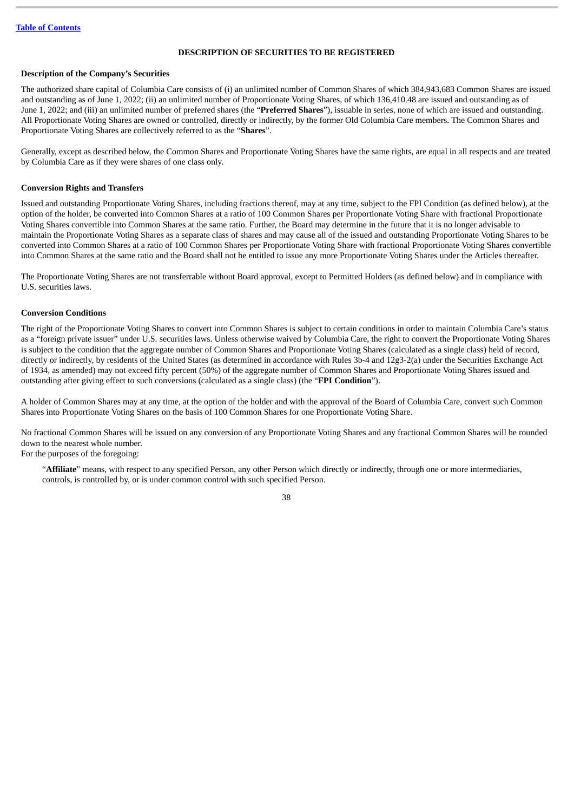#### **DESCRIPTION OF SECURITIES TO BE REGISTERED**

#### <span id="page-41-0"></span>**Description of the Company's Securities**

The authorized share capital of Columbia Care consists of (i) an unlimited number of Common Shares of which 384,943,683 Common Shares are issued and outstanding as of June 1, 2022; (ii) an unlimited number of Proportionate Voting Shares, of which 136,410.48 are issued and outstanding as of June 1, 2022; and (iii) an unlimited number of preferred shares (the "**Preferred Shares**"), issuable in series, none of which are issued and outstanding. All Proportionate Voting Shares are owned or controlled, directly or indirectly, by the former Old Columbia Care members. The Common Shares and Proportionate Voting Shares are collectively referred to as the "**Shares**".

Generally, except as described below, the Common Shares and Proportionate Voting Shares have the same rights, are equal in all respects and are treated by Columbia Care as if they were shares of one class only.

#### **Conversion Rights and Transfers**

Issued and outstanding Proportionate Voting Shares, including fractions thereof, may at any time, subject to the FPI Condition (as defined below), at the option of the holder, be converted into Common Shares at a ratio of 100 Common Shares per Proportionate Voting Share with fractional Proportionate Voting Shares convertible into Common Shares at the same ratio. Further, the Board may determine in the future that it is no longer advisable to maintain the Proportionate Voting Shares as a separate class of shares and may cause all of the issued and outstanding Proportionate Voting Shares to be converted into Common Shares at a ratio of 100 Common Shares per Proportionate Voting Share with fractional Proportionate Voting Shares convertible into Common Shares at the same ratio and the Board shall not be entitled to issue any more Proportionate Voting Shares under the Articles thereafter.

The Proportionate Voting Shares are not transferrable without Board approval, except to Permitted Holders (as defined below) and in compliance with U.S. securities laws.

#### **Conversion Conditions**

The right of the Proportionate Voting Shares to convert into Common Shares is subject to certain conditions in order to maintain Columbia Care's status as a "foreign private issuer" under U.S. securities laws. Unless otherwise waived by Columbia Care, the right to convert the Proportionate Voting Shares is subject to the condition that the aggregate number of Common Shares and Proportionate Voting Shares (calculated as a single class) held of record, directly or indirectly, by residents of the United States (as determined in accordance with Rules 3b-4 and 12g3-2(a) under the Securities Exchange Act of 1934, as amended) may not exceed fifty percent (50%) of the aggregate number of Common Shares and Proportionate Voting Shares issued and outstanding after giving effect to such conversions (calculated as a single class) (the "**FPI Condition**").

A holder of Common Shares may at any time, at the option of the holder and with the approval of the Board of Columbia Care, convert such Common Shares into Proportionate Voting Shares on the basis of 100 Common Shares for one Proportionate Voting Share.

No fractional Common Shares will be issued on any conversion of any Proportionate Voting Shares and any fractional Common Shares will be rounded down to the nearest whole number.

For the purposes of the foregoing:

"**Affiliate**" means, with respect to any specified Person, any other Person which directly or indirectly, through one or more intermediaries, controls, is controlled by, or is under common control with such specified Person.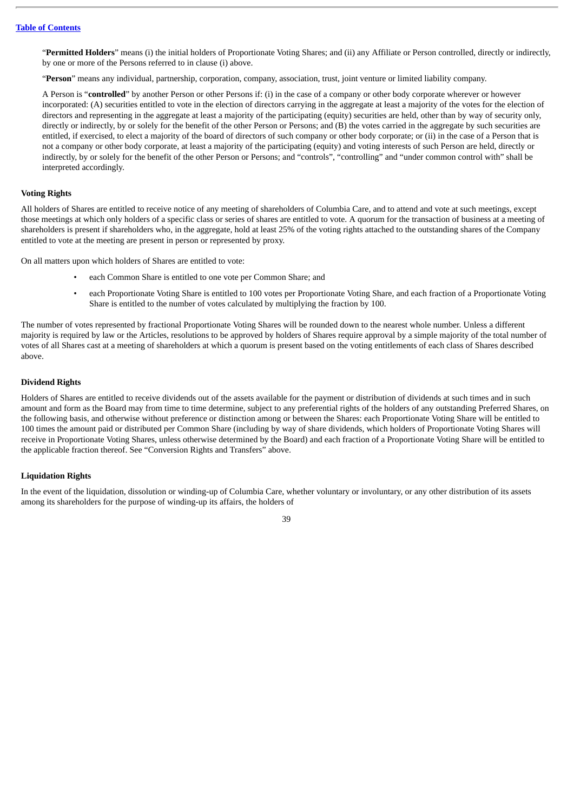"**Permitted Holders**" means (i) the initial holders of Proportionate Voting Shares; and (ii) any Affiliate or Person controlled, directly or indirectly, by one or more of the Persons referred to in clause (i) above.

"**Person**" means any individual, partnership, corporation, company, association, trust, joint venture or limited liability company.

A Person is "**controlled**" by another Person or other Persons if: (i) in the case of a company or other body corporate wherever or however incorporated: (A) securities entitled to vote in the election of directors carrying in the aggregate at least a majority of the votes for the election of directors and representing in the aggregate at least a majority of the participating (equity) securities are held, other than by way of security only, directly or indirectly, by or solely for the benefit of the other Person or Persons; and (B) the votes carried in the aggregate by such securities are entitled, if exercised, to elect a majority of the board of directors of such company or other body corporate; or (ii) in the case of a Person that is not a company or other body corporate, at least a majority of the participating (equity) and voting interests of such Person are held, directly or indirectly, by or solely for the benefit of the other Person or Persons; and "controls", "controlling" and "under common control with" shall be interpreted accordingly.

#### **Voting Rights**

All holders of Shares are entitled to receive notice of any meeting of shareholders of Columbia Care, and to attend and vote at such meetings, except those meetings at which only holders of a specific class or series of shares are entitled to vote. A quorum for the transaction of business at a meeting of shareholders is present if shareholders who, in the aggregate, hold at least 25% of the voting rights attached to the outstanding shares of the Company entitled to vote at the meeting are present in person or represented by proxy.

On all matters upon which holders of Shares are entitled to vote:

- each Common Share is entitled to one vote per Common Share; and
- each Proportionate Voting Share is entitled to 100 votes per Proportionate Voting Share, and each fraction of a Proportionate Voting Share is entitled to the number of votes calculated by multiplying the fraction by 100.

The number of votes represented by fractional Proportionate Voting Shares will be rounded down to the nearest whole number. Unless a different majority is required by law or the Articles, resolutions to be approved by holders of Shares require approval by a simple majority of the total number of votes of all Shares cast at a meeting of shareholders at which a quorum is present based on the voting entitlements of each class of Shares described above.

#### **Dividend Rights**

Holders of Shares are entitled to receive dividends out of the assets available for the payment or distribution of dividends at such times and in such amount and form as the Board may from time to time determine, subject to any preferential rights of the holders of any outstanding Preferred Shares, on the following basis, and otherwise without preference or distinction among or between the Shares: each Proportionate Voting Share will be entitled to 100 times the amount paid or distributed per Common Share (including by way of share dividends, which holders of Proportionate Voting Shares will receive in Proportionate Voting Shares, unless otherwise determined by the Board) and each fraction of a Proportionate Voting Share will be entitled to the applicable fraction thereof. See "Conversion Rights and Transfers" above.

#### **Liquidation Rights**

In the event of the liquidation, dissolution or winding-up of Columbia Care, whether voluntary or involuntary, or any other distribution of its assets among its shareholders for the purpose of winding-up its affairs, the holders of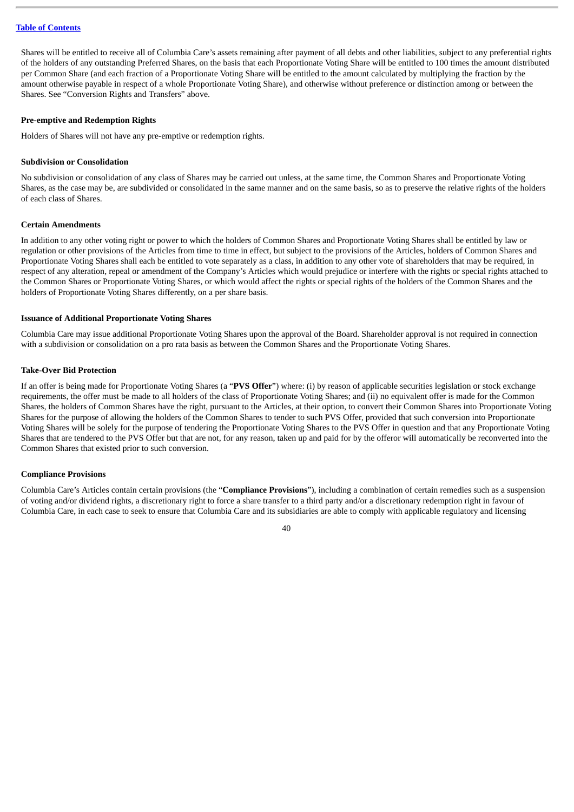Shares will be entitled to receive all of Columbia Care's assets remaining after payment of all debts and other liabilities, subject to any preferential rights of the holders of any outstanding Preferred Shares, on the basis that each Proportionate Voting Share will be entitled to 100 times the amount distributed per Common Share (and each fraction of a Proportionate Voting Share will be entitled to the amount calculated by multiplying the fraction by the amount otherwise payable in respect of a whole Proportionate Voting Share), and otherwise without preference or distinction among or between the Shares. See "Conversion Rights and Transfers" above.

#### **Pre-emptive and Redemption Rights**

Holders of Shares will not have any pre-emptive or redemption rights.

#### **Subdivision or Consolidation**

No subdivision or consolidation of any class of Shares may be carried out unless, at the same time, the Common Shares and Proportionate Voting Shares, as the case may be, are subdivided or consolidated in the same manner and on the same basis, so as to preserve the relative rights of the holders of each class of Shares.

#### **Certain Amendments**

In addition to any other voting right or power to which the holders of Common Shares and Proportionate Voting Shares shall be entitled by law or regulation or other provisions of the Articles from time to time in effect, but subject to the provisions of the Articles, holders of Common Shares and Proportionate Voting Shares shall each be entitled to vote separately as a class, in addition to any other vote of shareholders that may be required, in respect of any alteration, repeal or amendment of the Company's Articles which would prejudice or interfere with the rights or special rights attached to the Common Shares or Proportionate Voting Shares, or which would affect the rights or special rights of the holders of the Common Shares and the holders of Proportionate Voting Shares differently, on a per share basis.

#### **Issuance of Additional Proportionate Voting Shares**

Columbia Care may issue additional Proportionate Voting Shares upon the approval of the Board. Shareholder approval is not required in connection with a subdivision or consolidation on a pro rata basis as between the Common Shares and the Proportionate Voting Shares.

#### **Take-Over Bid Protection**

If an offer is being made for Proportionate Voting Shares (a "**PVS Offer**") where: (i) by reason of applicable securities legislation or stock exchange requirements, the offer must be made to all holders of the class of Proportionate Voting Shares; and (ii) no equivalent offer is made for the Common Shares, the holders of Common Shares have the right, pursuant to the Articles, at their option, to convert their Common Shares into Proportionate Voting Shares for the purpose of allowing the holders of the Common Shares to tender to such PVS Offer, provided that such conversion into Proportionate Voting Shares will be solely for the purpose of tendering the Proportionate Voting Shares to the PVS Offer in question and that any Proportionate Voting Shares that are tendered to the PVS Offer but that are not, for any reason, taken up and paid for by the offeror will automatically be reconverted into the Common Shares that existed prior to such conversion.

#### **Compliance Provisions**

Columbia Care's Articles contain certain provisions (the "**Compliance Provisions**"), including a combination of certain remedies such as a suspension of voting and/or dividend rights, a discretionary right to force a share transfer to a third party and/or a discretionary redemption right in favour of Columbia Care, in each case to seek to ensure that Columbia Care and its subsidiaries are able to comply with applicable regulatory and licensing

#### $\overline{40}$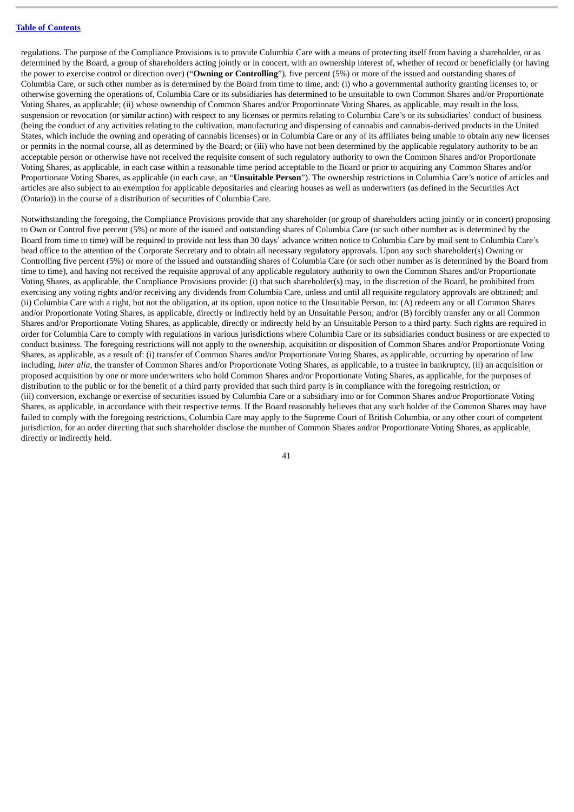regulations. The purpose of the Compliance Provisions is to provide Columbia Care with a means of protecting itself from having a shareholder, or as determined by the Board, a group of shareholders acting jointly or in concert, with an ownership interest of, whether of record or beneficially (or having the power to exercise control or direction over) ("**Owning or Controlling**"), five percent (5%) or more of the issued and outstanding shares of Columbia Care, or such other number as is determined by the Board from time to time, and: (i) who a governmental authority granting licenses to, or otherwise governing the operations of, Columbia Care or its subsidiaries has determined to be unsuitable to own Common Shares and/or Proportionate Voting Shares, as applicable; (ii) whose ownership of Common Shares and/or Proportionate Voting Shares, as applicable, may result in the loss, suspension or revocation (or similar action) with respect to any licenses or permits relating to Columbia Care's or its subsidiaries' conduct of business (being the conduct of any activities relating to the cultivation, manufacturing and dispensing of cannabis and cannabis-derived products in the United States, which include the owning and operating of cannabis licenses) or in Columbia Care or any of its affiliates being unable to obtain any new licenses or permits in the normal course, all as determined by the Board; or (iii) who have not been determined by the applicable regulatory authority to be an acceptable person or otherwise have not received the requisite consent of such regulatory authority to own the Common Shares and/or Proportionate Voting Shares, as applicable, in each case within a reasonable time period acceptable to the Board or prior to acquiring any Common Shares and/or Proportionate Voting Shares, as applicable (in each case, an "**Unsuitable Person**"). The ownership restrictions in Columbia Care's notice of articles and articles are also subject to an exemption for applicable depositaries and clearing houses as well as underwriters (as defined in the Securities Act (Ontario)) in the course of a distribution of securities of Columbia Care.

Notwithstanding the foregoing, the Compliance Provisions provide that any shareholder (or group of shareholders acting jointly or in concert) proposing to Own or Control five percent (5%) or more of the issued and outstanding shares of Columbia Care (or such other number as is determined by the Board from time to time) will be required to provide not less than 30 days' advance written notice to Columbia Care by mail sent to Columbia Care's head office to the attention of the Corporate Secretary and to obtain all necessary regulatory approvals. Upon any such shareholder(s) Owning or Controlling five percent (5%) or more of the issued and outstanding shares of Columbia Care (or such other number as is determined by the Board from time to time), and having not received the requisite approval of any applicable regulatory authority to own the Common Shares and/or Proportionate Voting Shares, as applicable, the Compliance Provisions provide: (i) that such shareholder(s) may, in the discretion of the Board, be prohibited from exercising any voting rights and/or receiving any dividends from Columbia Care, unless and until all requisite regulatory approvals are obtained; and (ii) Columbia Care with a right, but not the obligation, at its option, upon notice to the Unsuitable Person, to: (A) redeem any or all Common Shares and/or Proportionate Voting Shares, as applicable, directly or indirectly held by an Unsuitable Person; and/or (B) forcibly transfer any or all Common Shares and/or Proportionate Voting Shares, as applicable, directly or indirectly held by an Unsuitable Person to a third party. Such rights are required in order for Columbia Care to comply with regulations in various jurisdictions where Columbia Care or its subsidiaries conduct business or are expected to conduct business. The foregoing restrictions will not apply to the ownership, acquisition or disposition of Common Shares and/or Proportionate Voting Shares, as applicable, as a result of: (i) transfer of Common Shares and/or Proportionate Voting Shares, as applicable, occurring by operation of law including, *inter alia*, the transfer of Common Shares and/or Proportionate Voting Shares, as applicable, to a trustee in bankruptcy, (ii) an acquisition or proposed acquisition by one or more underwriters who hold Common Shares and/or Proportionate Voting Shares, as applicable, for the purposes of distribution to the public or for the benefit of a third party provided that such third party is in compliance with the foregoing restriction, or (iii) conversion, exchange or exercise of securities issued by Columbia Care or a subsidiary into or for Common Shares and/or Proportionate Voting Shares, as applicable, in accordance with their respective terms. If the Board reasonably believes that any such holder of the Common Shares may have failed to comply with the foregoing restrictions, Columbia Care may apply to the Supreme Court of British Columbia, or any other court of competent jurisdiction, for an order directing that such shareholder disclose the number of Common Shares and/or Proportionate Voting Shares, as applicable, directly or indirectly held.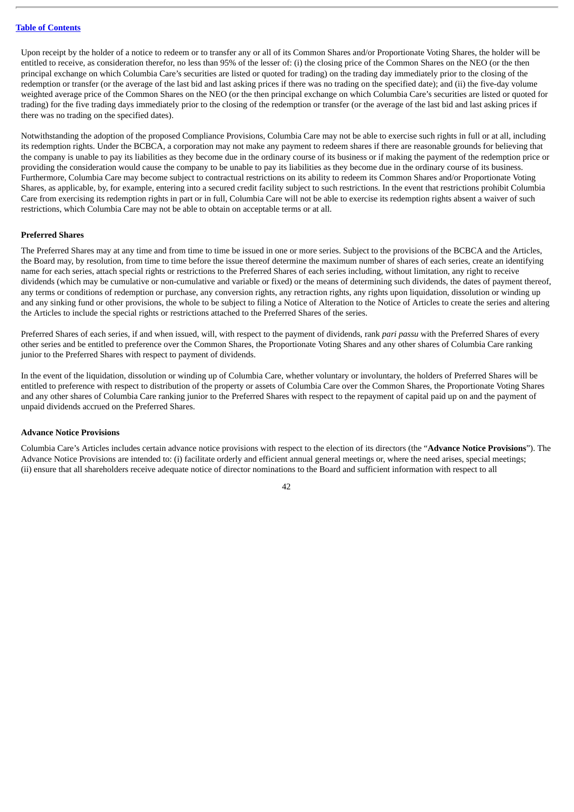Upon receipt by the holder of a notice to redeem or to transfer any or all of its Common Shares and/or Proportionate Voting Shares, the holder will be entitled to receive, as consideration therefor, no less than 95% of the lesser of: (i) the closing price of the Common Shares on the NEO (or the then principal exchange on which Columbia Care's securities are listed or quoted for trading) on the trading day immediately prior to the closing of the redemption or transfer (or the average of the last bid and last asking prices if there was no trading on the specified date); and (ii) the five-day volume weighted average price of the Common Shares on the NEO (or the then principal exchange on which Columbia Care's securities are listed or quoted for trading) for the five trading days immediately prior to the closing of the redemption or transfer (or the average of the last bid and last asking prices if there was no trading on the specified dates).

Notwithstanding the adoption of the proposed Compliance Provisions, Columbia Care may not be able to exercise such rights in full or at all, including its redemption rights. Under the BCBCA, a corporation may not make any payment to redeem shares if there are reasonable grounds for believing that the company is unable to pay its liabilities as they become due in the ordinary course of its business or if making the payment of the redemption price or providing the consideration would cause the company to be unable to pay its liabilities as they become due in the ordinary course of its business. Furthermore, Columbia Care may become subject to contractual restrictions on its ability to redeem its Common Shares and/or Proportionate Voting Shares, as applicable, by, for example, entering into a secured credit facility subject to such restrictions. In the event that restrictions prohibit Columbia Care from exercising its redemption rights in part or in full, Columbia Care will not be able to exercise its redemption rights absent a waiver of such restrictions, which Columbia Care may not be able to obtain on acceptable terms or at all.

#### **Preferred Shares**

The Preferred Shares may at any time and from time to time be issued in one or more series. Subject to the provisions of the BCBCA and the Articles, the Board may, by resolution, from time to time before the issue thereof determine the maximum number of shares of each series, create an identifying name for each series, attach special rights or restrictions to the Preferred Shares of each series including, without limitation, any right to receive dividends (which may be cumulative or non-cumulative and variable or fixed) or the means of determining such dividends, the dates of payment thereof, any terms or conditions of redemption or purchase, any conversion rights, any retraction rights, any rights upon liquidation, dissolution or winding up and any sinking fund or other provisions, the whole to be subject to filing a Notice of Alteration to the Notice of Articles to create the series and altering the Articles to include the special rights or restrictions attached to the Preferred Shares of the series.

Preferred Shares of each series, if and when issued, will, with respect to the payment of dividends, rank *pari passu* with the Preferred Shares of every other series and be entitled to preference over the Common Shares, the Proportionate Voting Shares and any other shares of Columbia Care ranking junior to the Preferred Shares with respect to payment of dividends.

In the event of the liquidation, dissolution or winding up of Columbia Care, whether voluntary or involuntary, the holders of Preferred Shares will be entitled to preference with respect to distribution of the property or assets of Columbia Care over the Common Shares, the Proportionate Voting Shares and any other shares of Columbia Care ranking junior to the Preferred Shares with respect to the repayment of capital paid up on and the payment of unpaid dividends accrued on the Preferred Shares.

#### **Advance Notice Provisions**

Columbia Care's Articles includes certain advance notice provisions with respect to the election of its directors (the "**Advance Notice Provisions**"). The Advance Notice Provisions are intended to: (i) facilitate orderly and efficient annual general meetings or, where the need arises, special meetings; (ii) ensure that all shareholders receive adequate notice of director nominations to the Board and sufficient information with respect to all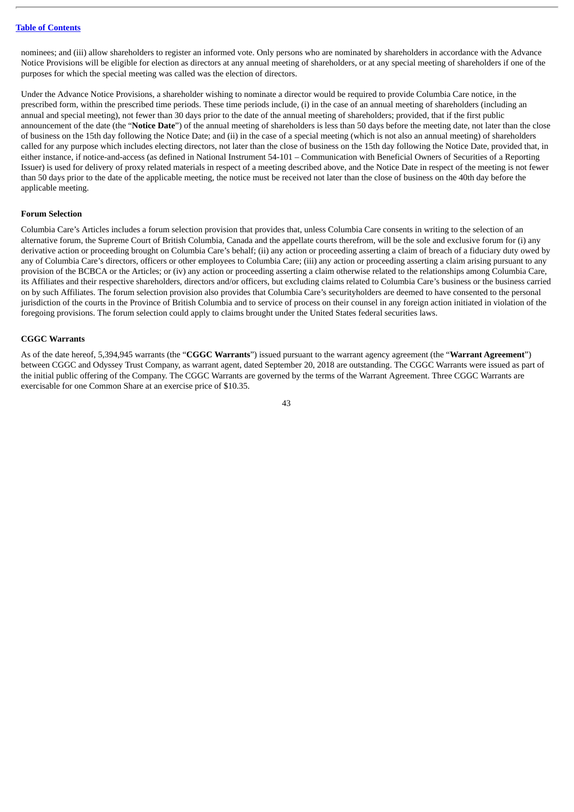nominees; and (iii) allow shareholders to register an informed vote. Only persons who are nominated by shareholders in accordance with the Advance Notice Provisions will be eligible for election as directors at any annual meeting of shareholders, or at any special meeting of shareholders if one of the purposes for which the special meeting was called was the election of directors.

Under the Advance Notice Provisions, a shareholder wishing to nominate a director would be required to provide Columbia Care notice, in the prescribed form, within the prescribed time periods. These time periods include, (i) in the case of an annual meeting of shareholders (including an annual and special meeting), not fewer than 30 days prior to the date of the annual meeting of shareholders; provided, that if the first public announcement of the date (the "**Notice Date**") of the annual meeting of shareholders is less than 50 days before the meeting date, not later than the close of business on the 15th day following the Notice Date; and (ii) in the case of a special meeting (which is not also an annual meeting) of shareholders called for any purpose which includes electing directors, not later than the close of business on the 15th day following the Notice Date, provided that, in either instance, if notice-and-access (as defined in National Instrument 54-101 – Communication with Beneficial Owners of Securities of a Reporting Issuer) is used for delivery of proxy related materials in respect of a meeting described above, and the Notice Date in respect of the meeting is not fewer than 50 days prior to the date of the applicable meeting, the notice must be received not later than the close of business on the 40th day before the applicable meeting.

#### **Forum Selection**

Columbia Care's Articles includes a forum selection provision that provides that, unless Columbia Care consents in writing to the selection of an alternative forum, the Supreme Court of British Columbia, Canada and the appellate courts therefrom, will be the sole and exclusive forum for (i) any derivative action or proceeding brought on Columbia Care's behalf; (ii) any action or proceeding asserting a claim of breach of a fiduciary duty owed by any of Columbia Care's directors, officers or other employees to Columbia Care; (iii) any action or proceeding asserting a claim arising pursuant to any provision of the BCBCA or the Articles; or (iv) any action or proceeding asserting a claim otherwise related to the relationships among Columbia Care, its Affiliates and their respective shareholders, directors and/or officers, but excluding claims related to Columbia Care's business or the business carried on by such Affiliates. The forum selection provision also provides that Columbia Care's securityholders are deemed to have consented to the personal jurisdiction of the courts in the Province of British Columbia and to service of process on their counsel in any foreign action initiated in violation of the foregoing provisions. The forum selection could apply to claims brought under the United States federal securities laws.

#### **CGGC Warrants**

As of the date hereof, 5,394,945 warrants (the "**CGGC Warrants**") issued pursuant to the warrant agency agreement (the "**Warrant Agreement**") between CGGC and Odyssey Trust Company, as warrant agent, dated September 20, 2018 are outstanding. The CGGC Warrants were issued as part of the initial public offering of the Company. The CGGC Warrants are governed by the terms of the Warrant Agreement. Three CGGC Warrants are exercisable for one Common Share at an exercise price of \$10.35.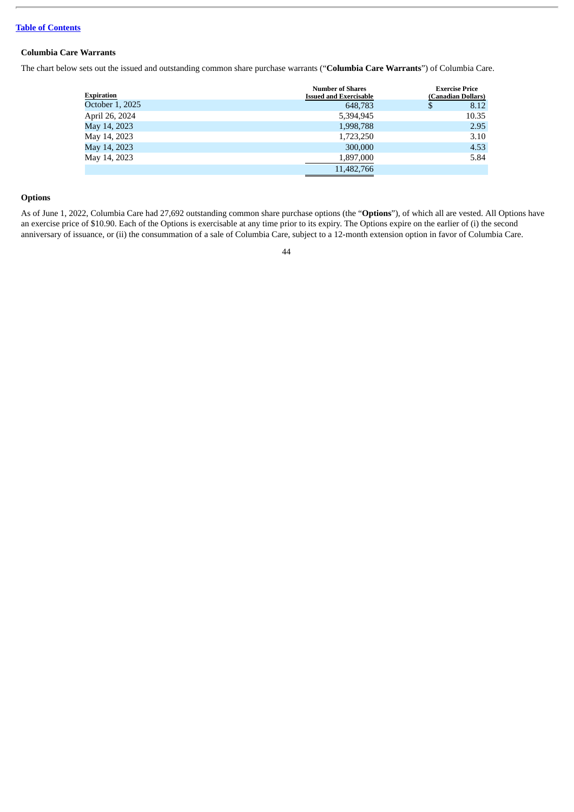# **Columbia Care Warrants**

The chart below sets out the issued and outstanding common share purchase warrants ("**Columbia Care Warrants**") of Columbia Care.

| Expiration      | <b>Number of Shares</b><br><b>Issued and Exercisable</b> | <b>Exercise Price</b><br>(Canadian Dollars) |
|-----------------|----------------------------------------------------------|---------------------------------------------|
| October 1, 2025 | 648,783                                                  | \$<br>8.12                                  |
| April 26, 2024  | 5,394,945                                                | 10.35                                       |
| May 14, 2023    | 1,998,788                                                | 2.95                                        |
| May 14, 2023    | 1,723,250                                                | 3.10                                        |
| May 14, 2023    | 300,000                                                  | 4.53                                        |
| May 14, 2023    | 1,897,000                                                | 5.84                                        |
|                 | 11,482,766                                               |                                             |

# **Options**

As of June 1, 2022, Columbia Care had 27,692 outstanding common share purchase options (the "**Options**"), of which all are vested. All Options have an exercise price of \$10.90. Each of the Options is exercisable at any time prior to its expiry. The Options expire on the earlier of (i) the second anniversary of issuance, or (ii) the consummation of a sale of Columbia Care, subject to a 12-month extension option in favor of Columbia Care.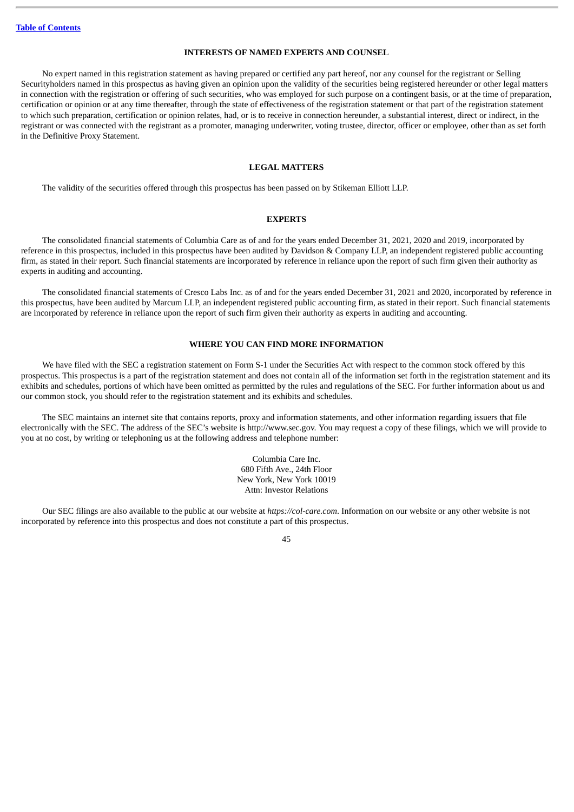#### **INTERESTS OF NAMED EXPERTS AND COUNSEL**

<span id="page-48-0"></span>No expert named in this registration statement as having prepared or certified any part hereof, nor any counsel for the registrant or Selling Securityholders named in this prospectus as having given an opinion upon the validity of the securities being registered hereunder or other legal matters in connection with the registration or offering of such securities, who was employed for such purpose on a contingent basis, or at the time of preparation, certification or opinion or at any time thereafter, through the state of effectiveness of the registration statement or that part of the registration statement to which such preparation, certification or opinion relates, had, or is to receive in connection hereunder, a substantial interest, direct or indirect, in the registrant or was connected with the registrant as a promoter, managing underwriter, voting trustee, director, officer or employee, other than as set forth in the Definitive Proxy Statement.

#### **LEGAL MATTERS**

<span id="page-48-1"></span>The validity of the securities offered through this prospectus has been passed on by Stikeman Elliott LLP.

#### **EXPERTS**

<span id="page-48-2"></span>The consolidated financial statements of Columbia Care as of and for the years ended December 31, 2021, 2020 and 2019, incorporated by reference in this prospectus, included in this prospectus have been audited by Davidson & Company LLP, an independent registered public accounting firm, as stated in their report. Such financial statements are incorporated by reference in reliance upon the report of such firm given their authority as experts in auditing and accounting.

The consolidated financial statements of Cresco Labs Inc. as of and for the years ended December 31, 2021 and 2020, incorporated by reference in this prospectus, have been audited by Marcum LLP, an independent registered public accounting firm, as stated in their report. Such financial statements are incorporated by reference in reliance upon the report of such firm given their authority as experts in auditing and accounting.

#### **WHERE YOU CAN FIND MORE INFORMATION**

<span id="page-48-3"></span>We have filed with the SEC a registration statement on Form S-1 under the Securities Act with respect to the common stock offered by this prospectus. This prospectus is a part of the registration statement and does not contain all of the information set forth in the registration statement and its exhibits and schedules, portions of which have been omitted as permitted by the rules and regulations of the SEC. For further information about us and our common stock, you should refer to the registration statement and its exhibits and schedules.

The SEC maintains an internet site that contains reports, proxy and information statements, and other information regarding issuers that file electronically with the SEC. The address of the SEC's website is http://www.sec.gov. You may request a copy of these filings, which we will provide to you at no cost, by writing or telephoning us at the following address and telephone number:

> Columbia Care Inc. 680 Fifth Ave., 24th Floor New York, New York 10019 Attn: Investor Relations

Our SEC filings are also available to the public at our website at *https://col-care.com*. Information on our website or any other website is not incorporated by reference into this prospectus and does not constitute a part of this prospectus.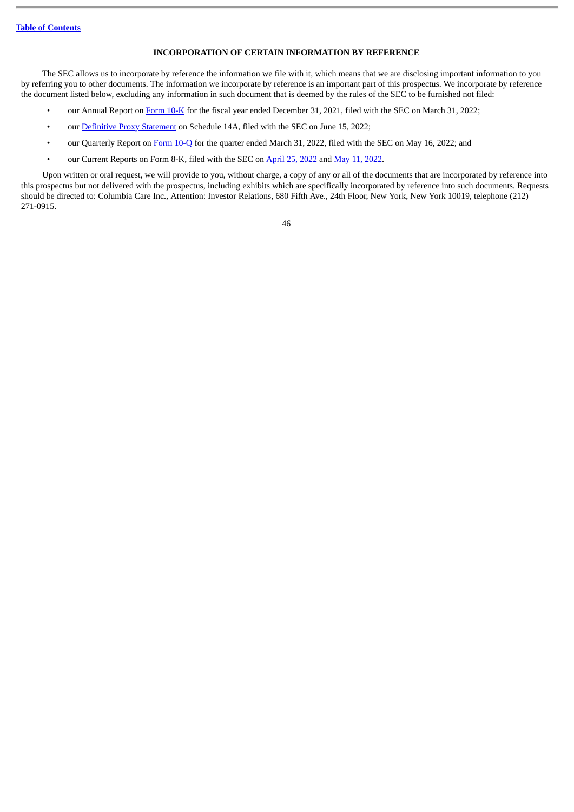#### **INCORPORATION OF CERTAIN INFORMATION BY REFERENCE**

<span id="page-49-0"></span>The SEC allows us to incorporate by reference the information we file with it, which means that we are disclosing important information to you by referring you to other documents. The information we incorporate by reference is an important part of this prospectus. We incorporate by reference the document listed below, excluding any information in such document that is deemed by the rules of the SEC to be furnished not filed:

- our Annual Report on [Form](http://www.sec.gov/Archives/edgar/data/0001776738/000119312522090262/d318065d10k.htm) 10-K for the fiscal year ended December 31, 2021, filed with the SEC on March 31, 2022;
- our [Definitive](http://www.sec.gov/Archives/edgar/data/1776738/000110465922071245/tm2213692-10_defm14a.htm) Proxy Statement on Schedule 14A, filed with the SEC on June 15, 2022;
- our Quarterly Report on [Form](http://www.sec.gov/ix?doc=/Archives/edgar/data/0001776738/000156459022020377/ck1776738-10q_20220331.htm) 10-Q for the quarter ended March 31, 2022, filed with the SEC on May 16, 2022; and
- our Current Reports on Form 8-K, filed with the SEC on [April](http://www.sec.gov/ix?doc=/Archives/edgar/data/0001776738/000119312522116367/d203953d8k.htm) 25, [2022](http://www.sec.gov/ix?doc=/Archives/edgar/data/1776738/000119312522147204/d315456d8k.htm) and May 11, 2022.

Upon written or oral request, we will provide to you, without charge, a copy of any or all of the documents that are incorporated by reference into this prospectus but not delivered with the prospectus, including exhibits which are specifically incorporated by reference into such documents. Requests should be directed to: Columbia Care Inc., Attention: Investor Relations, 680 Fifth Ave., 24th Floor, New York, New York 10019, telephone (212) 271-0915.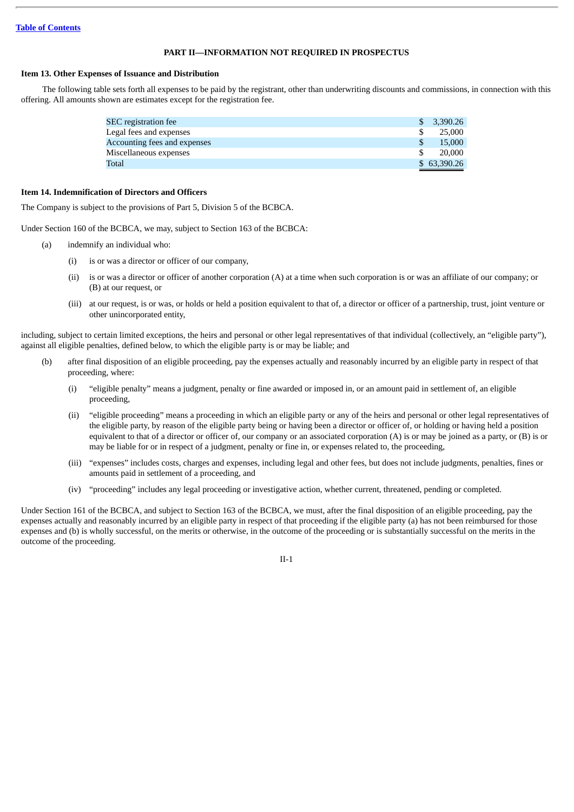#### **PART II—INFORMATION NOT REQUIRED IN PROSPECTUS**

#### **Item 13. Other Expenses of Issuance and Distribution**

The following table sets forth all expenses to be paid by the registrant, other than underwriting discounts and commissions, in connection with this offering. All amounts shown are estimates except for the registration fee.

| <b>SEC</b> registration fee  | \$3,390.26  |
|------------------------------|-------------|
| Legal fees and expenses      | 25,000      |
| Accounting fees and expenses | 15,000      |
| Miscellaneous expenses       | 20,000      |
| Total                        | \$63,390.26 |

#### **Item 14. Indemnification of Directors and Officers**

The Company is subject to the provisions of Part 5, Division 5 of the BCBCA.

Under Section 160 of the BCBCA, we may, subject to Section 163 of the BCBCA:

- (a) indemnify an individual who:
	- (i) is or was a director or officer of our company,
	- (ii) is or was a director or officer of another corporation (A) at a time when such corporation is or was an affiliate of our company; or (B) at our request, or
	- (iii) at our request, is or was, or holds or held a position equivalent to that of, a director or officer of a partnership, trust, joint venture or other unincorporated entity,

including, subject to certain limited exceptions, the heirs and personal or other legal representatives of that individual (collectively, an "eligible party"), against all eligible penalties, defined below, to which the eligible party is or may be liable; and

- (b) after final disposition of an eligible proceeding, pay the expenses actually and reasonably incurred by an eligible party in respect of that proceeding, where:
	- (i) "eligible penalty" means a judgment, penalty or fine awarded or imposed in, or an amount paid in settlement of, an eligible proceeding,
	- (ii) "eligible proceeding" means a proceeding in which an eligible party or any of the heirs and personal or other legal representatives of the eligible party, by reason of the eligible party being or having been a director or officer of, or holding or having held a position equivalent to that of a director or officer of, our company or an associated corporation  $(A)$  is or may be joined as a party, or  $(B)$  is or may be liable for or in respect of a judgment, penalty or fine in, or expenses related to, the proceeding,
	- (iii) "expenses" includes costs, charges and expenses, including legal and other fees, but does not include judgments, penalties, fines or amounts paid in settlement of a proceeding, and
	- (iv) "proceeding" includes any legal proceeding or investigative action, whether current, threatened, pending or completed.

Under Section 161 of the BCBCA, and subject to Section 163 of the BCBCA, we must, after the final disposition of an eligible proceeding, pay the expenses actually and reasonably incurred by an eligible party in respect of that proceeding if the eligible party (a) has not been reimbursed for those expenses and (b) is wholly successful, on the merits or otherwise, in the outcome of the proceeding or is substantially successful on the merits in the outcome of the proceeding.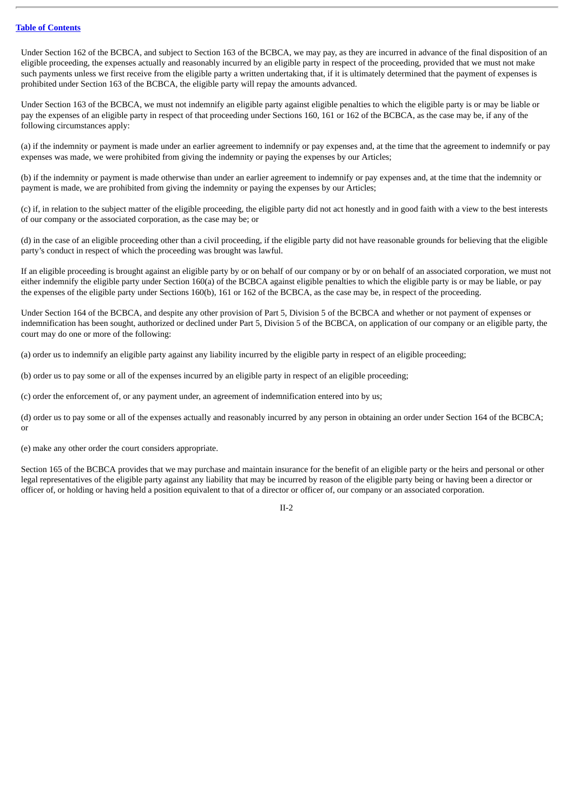Under Section 162 of the BCBCA, and subject to Section 163 of the BCBCA, we may pay, as they are incurred in advance of the final disposition of an eligible proceeding, the expenses actually and reasonably incurred by an eligible party in respect of the proceeding, provided that we must not make such payments unless we first receive from the eligible party a written undertaking that, if it is ultimately determined that the payment of expenses is prohibited under Section 163 of the BCBCA, the eligible party will repay the amounts advanced.

Under Section 163 of the BCBCA, we must not indemnify an eligible party against eligible penalties to which the eligible party is or may be liable or pay the expenses of an eligible party in respect of that proceeding under Sections 160, 161 or 162 of the BCBCA, as the case may be, if any of the following circumstances apply:

(a) if the indemnity or payment is made under an earlier agreement to indemnify or pay expenses and, at the time that the agreement to indemnify or pay expenses was made, we were prohibited from giving the indemnity or paying the expenses by our Articles;

(b) if the indemnity or payment is made otherwise than under an earlier agreement to indemnify or pay expenses and, at the time that the indemnity or payment is made, we are prohibited from giving the indemnity or paying the expenses by our Articles;

(c) if, in relation to the subject matter of the eligible proceeding, the eligible party did not act honestly and in good faith with a view to the best interests of our company or the associated corporation, as the case may be; or

(d) in the case of an eligible proceeding other than a civil proceeding, if the eligible party did not have reasonable grounds for believing that the eligible party's conduct in respect of which the proceeding was brought was lawful.

If an eligible proceeding is brought against an eligible party by or on behalf of our company or by or on behalf of an associated corporation, we must not either indemnify the eligible party under Section 160(a) of the BCBCA against eligible penalties to which the eligible party is or may be liable, or pay the expenses of the eligible party under Sections 160(b), 161 or 162 of the BCBCA, as the case may be, in respect of the proceeding.

Under Section 164 of the BCBCA, and despite any other provision of Part 5, Division 5 of the BCBCA and whether or not payment of expenses or indemnification has been sought, authorized or declined under Part 5, Division 5 of the BCBCA, on application of our company or an eligible party, the court may do one or more of the following:

(a) order us to indemnify an eligible party against any liability incurred by the eligible party in respect of an eligible proceeding;

(b) order us to pay some or all of the expenses incurred by an eligible party in respect of an eligible proceeding;

(c) order the enforcement of, or any payment under, an agreement of indemnification entered into by us;

(d) order us to pay some or all of the expenses actually and reasonably incurred by any person in obtaining an order under Section 164 of the BCBCA; or

(e) make any other order the court considers appropriate.

Section 165 of the BCBCA provides that we may purchase and maintain insurance for the benefit of an eligible party or the heirs and personal or other legal representatives of the eligible party against any liability that may be incurred by reason of the eligible party being or having been a director or officer of, or holding or having held a position equivalent to that of a director or officer of, our company or an associated corporation.

 $IL2$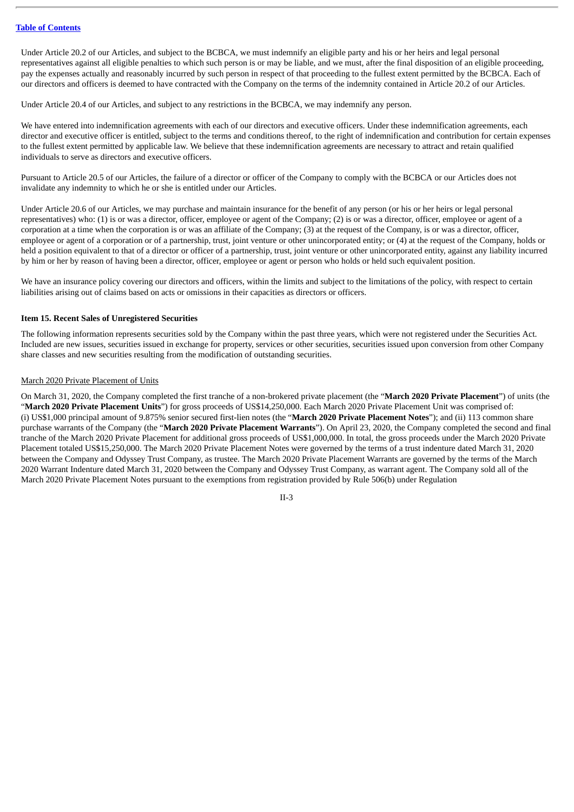Under Article 20.2 of our Articles, and subject to the BCBCA, we must indemnify an eligible party and his or her heirs and legal personal representatives against all eligible penalties to which such person is or may be liable, and we must, after the final disposition of an eligible proceeding, pay the expenses actually and reasonably incurred by such person in respect of that proceeding to the fullest extent permitted by the BCBCA. Each of our directors and officers is deemed to have contracted with the Company on the terms of the indemnity contained in Article 20.2 of our Articles.

Under Article 20.4 of our Articles, and subject to any restrictions in the BCBCA, we may indemnify any person.

We have entered into indemnification agreements with each of our directors and executive officers. Under these indemnification agreements, each director and executive officer is entitled, subject to the terms and conditions thereof, to the right of indemnification and contribution for certain expenses to the fullest extent permitted by applicable law. We believe that these indemnification agreements are necessary to attract and retain qualified individuals to serve as directors and executive officers.

Pursuant to Article 20.5 of our Articles, the failure of a director or officer of the Company to comply with the BCBCA or our Articles does not invalidate any indemnity to which he or she is entitled under our Articles.

Under Article 20.6 of our Articles, we may purchase and maintain insurance for the benefit of any person (or his or her heirs or legal personal representatives) who: (1) is or was a director, officer, employee or agent of the Company; (2) is or was a director, officer, employee or agent of a corporation at a time when the corporation is or was an affiliate of the Company; (3) at the request of the Company, is or was a director, officer, employee or agent of a corporation or of a partnership, trust, joint venture or other unincorporated entity; or (4) at the request of the Company, holds or held a position equivalent to that of a director or officer of a partnership, trust, joint venture or other unincorporated entity, against any liability incurred by him or her by reason of having been a director, officer, employee or agent or person who holds or held such equivalent position.

We have an insurance policy covering our directors and officers, within the limits and subject to the limitations of the policy, with respect to certain liabilities arising out of claims based on acts or omissions in their capacities as directors or officers.

#### **Item 15. Recent Sales of Unregistered Securities**

The following information represents securities sold by the Company within the past three years, which were not registered under the Securities Act. Included are new issues, securities issued in exchange for property, services or other securities, securities issued upon conversion from other Company share classes and new securities resulting from the modification of outstanding securities.

#### March 2020 Private Placement of Units

On March 31, 2020, the Company completed the first tranche of a non-brokered private placement (the "**March 2020 Private Placement**") of units (the "**March 2020 Private Placement Units**") for gross proceeds of US\$14,250,000. Each March 2020 Private Placement Unit was comprised of: (i) US\$1,000 principal amount of 9.875% senior secured first-lien notes (the "**March 2020 Private Placement Notes**"); and (ii) 113 common share purchase warrants of the Company (the "**March 2020 Private Placement Warrants**"). On April 23, 2020, the Company completed the second and final tranche of the March 2020 Private Placement for additional gross proceeds of US\$1,000,000. In total, the gross proceeds under the March 2020 Private Placement totaled US\$15,250,000. The March 2020 Private Placement Notes were governed by the terms of a trust indenture dated March 31, 2020 between the Company and Odyssey Trust Company, as trustee. The March 2020 Private Placement Warrants are governed by the terms of the March 2020 Warrant Indenture dated March 31, 2020 between the Company and Odyssey Trust Company, as warrant agent. The Company sold all of the March 2020 Private Placement Notes pursuant to the exemptions from registration provided by Rule 506(b) under Regulation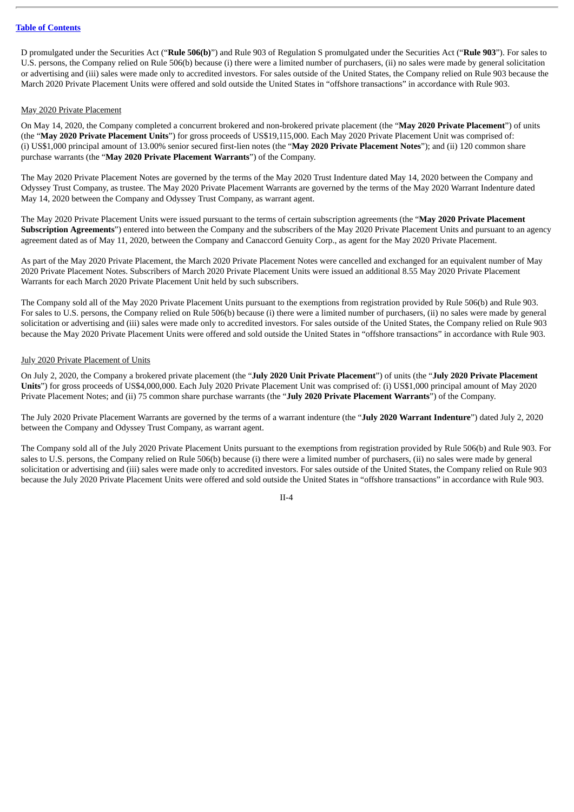D promulgated under the Securities Act ("**Rule 506(b)**") and Rule 903 of Regulation S promulgated under the Securities Act ("**Rule 903**"). For sales to U.S. persons, the Company relied on Rule 506(b) because (i) there were a limited number of purchasers, (ii) no sales were made by general solicitation or advertising and (iii) sales were made only to accredited investors. For sales outside of the United States, the Company relied on Rule 903 because the March 2020 Private Placement Units were offered and sold outside the United States in "offshore transactions" in accordance with Rule 903.

#### May 2020 Private Placement

On May 14, 2020, the Company completed a concurrent brokered and non-brokered private placement (the "**May 2020 Private Placement**") of units (the "**May 2020 Private Placement Units**") for gross proceeds of US\$19,115,000. Each May 2020 Private Placement Unit was comprised of: (i) US\$1,000 principal amount of 13.00% senior secured first-lien notes (the "**May 2020 Private Placement Notes**"); and (ii) 120 common share purchase warrants (the "**May 2020 Private Placement Warrants**") of the Company.

The May 2020 Private Placement Notes are governed by the terms of the May 2020 Trust Indenture dated May 14, 2020 between the Company and Odyssey Trust Company, as trustee. The May 2020 Private Placement Warrants are governed by the terms of the May 2020 Warrant Indenture dated May 14, 2020 between the Company and Odyssey Trust Company, as warrant agent.

The May 2020 Private Placement Units were issued pursuant to the terms of certain subscription agreements (the "**May 2020 Private Placement Subscription Agreements**") entered into between the Company and the subscribers of the May 2020 Private Placement Units and pursuant to an agency agreement dated as of May 11, 2020, between the Company and Canaccord Genuity Corp., as agent for the May 2020 Private Placement.

As part of the May 2020 Private Placement, the March 2020 Private Placement Notes were cancelled and exchanged for an equivalent number of May 2020 Private Placement Notes. Subscribers of March 2020 Private Placement Units were issued an additional 8.55 May 2020 Private Placement Warrants for each March 2020 Private Placement Unit held by such subscribers.

The Company sold all of the May 2020 Private Placement Units pursuant to the exemptions from registration provided by Rule 506(b) and Rule 903. For sales to U.S. persons, the Company relied on Rule 506(b) because (i) there were a limited number of purchasers, (ii) no sales were made by general solicitation or advertising and (iii) sales were made only to accredited investors. For sales outside of the United States, the Company relied on Rule 903 because the May 2020 Private Placement Units were offered and sold outside the United States in "offshore transactions" in accordance with Rule 903.

#### July 2020 Private Placement of Units

On July 2, 2020, the Company a brokered private placement (the "**July 2020 Unit Private Placement**") of units (the "**July 2020 Private Placement Units**") for gross proceeds of US\$4,000,000. Each July 2020 Private Placement Unit was comprised of: (i) US\$1,000 principal amount of May 2020 Private Placement Notes; and (ii) 75 common share purchase warrants (the "**July 2020 Private Placement Warrants**") of the Company.

The July 2020 Private Placement Warrants are governed by the terms of a warrant indenture (the "**July 2020 Warrant Indenture**") dated July 2, 2020 between the Company and Odyssey Trust Company, as warrant agent.

The Company sold all of the July 2020 Private Placement Units pursuant to the exemptions from registration provided by Rule 506(b) and Rule 903. For sales to U.S. persons, the Company relied on Rule 506(b) because (i) there were a limited number of purchasers, (ii) no sales were made by general solicitation or advertising and (iii) sales were made only to accredited investors. For sales outside of the United States, the Company relied on Rule 903 because the July 2020 Private Placement Units were offered and sold outside the United States in "offshore transactions" in accordance with Rule 903.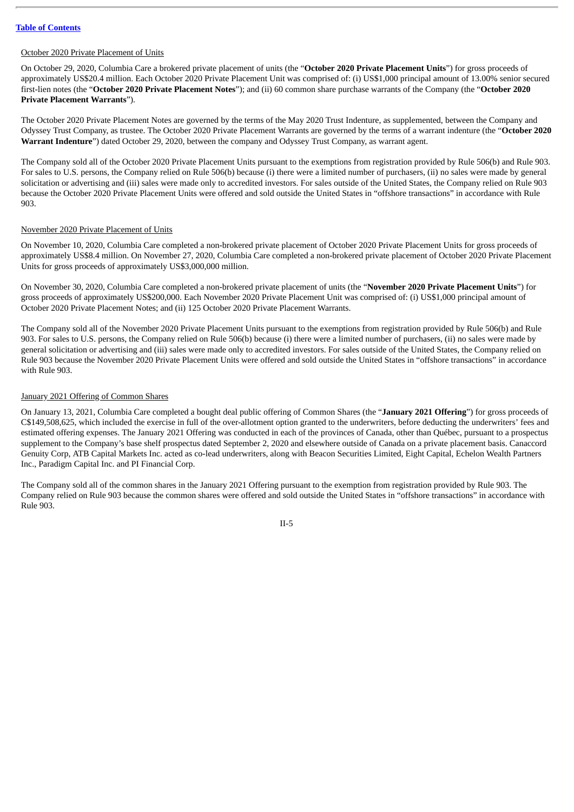#### October 2020 Private Placement of Units

On October 29, 2020, Columbia Care a brokered private placement of units (the "**October 2020 Private Placement Units**") for gross proceeds of approximately US\$20.4 million. Each October 2020 Private Placement Unit was comprised of: (i) US\$1,000 principal amount of 13.00% senior secured first-lien notes (the "**October 2020 Private Placement Notes**"); and (ii) 60 common share purchase warrants of the Company (the "**October 2020 Private Placement Warrants**").

The October 2020 Private Placement Notes are governed by the terms of the May 2020 Trust Indenture, as supplemented, between the Company and Odyssey Trust Company, as trustee. The October 2020 Private Placement Warrants are governed by the terms of a warrant indenture (the "**October 2020 Warrant Indenture**") dated October 29, 2020, between the company and Odyssey Trust Company, as warrant agent.

The Company sold all of the October 2020 Private Placement Units pursuant to the exemptions from registration provided by Rule 506(b) and Rule 903. For sales to U.S. persons, the Company relied on Rule 506(b) because (i) there were a limited number of purchasers, (ii) no sales were made by general solicitation or advertising and (iii) sales were made only to accredited investors. For sales outside of the United States, the Company relied on Rule 903 because the October 2020 Private Placement Units were offered and sold outside the United States in "offshore transactions" in accordance with Rule 903.

#### November 2020 Private Placement of Units

On November 10, 2020, Columbia Care completed a non-brokered private placement of October 2020 Private Placement Units for gross proceeds of approximately US\$8.4 million. On November 27, 2020, Columbia Care completed a non-brokered private placement of October 2020 Private Placement Units for gross proceeds of approximately US\$3,000,000 million.

On November 30, 2020, Columbia Care completed a non-brokered private placement of units (the "**November 2020 Private Placement Units**") for gross proceeds of approximately US\$200,000. Each November 2020 Private Placement Unit was comprised of: (i) US\$1,000 principal amount of October 2020 Private Placement Notes; and (ii) 125 October 2020 Private Placement Warrants.

The Company sold all of the November 2020 Private Placement Units pursuant to the exemptions from registration provided by Rule 506(b) and Rule 903. For sales to U.S. persons, the Company relied on Rule 506(b) because (i) there were a limited number of purchasers, (ii) no sales were made by general solicitation or advertising and (iii) sales were made only to accredited investors. For sales outside of the United States, the Company relied on Rule 903 because the November 2020 Private Placement Units were offered and sold outside the United States in "offshore transactions" in accordance with Rule 903.

#### January 2021 Offering of Common Shares

On January 13, 2021, Columbia Care completed a bought deal public offering of Common Shares (the "**January 2021 Offering**") for gross proceeds of C\$149,508,625, which included the exercise in full of the over-allotment option granted to the underwriters, before deducting the underwriters' fees and estimated offering expenses. The January 2021 Offering was conducted in each of the provinces of Canada, other than Québec, pursuant to a prospectus supplement to the Company's base shelf prospectus dated September 2, 2020 and elsewhere outside of Canada on a private placement basis. Canaccord Genuity Corp, ATB Capital Markets Inc. acted as co-lead underwriters, along with Beacon Securities Limited, Eight Capital, Echelon Wealth Partners Inc., Paradigm Capital Inc. and PI Financial Corp.

The Company sold all of the common shares in the January 2021 Offering pursuant to the exemption from registration provided by Rule 903. The Company relied on Rule 903 because the common shares were offered and sold outside the United States in "offshore transactions" in accordance with Rule 903.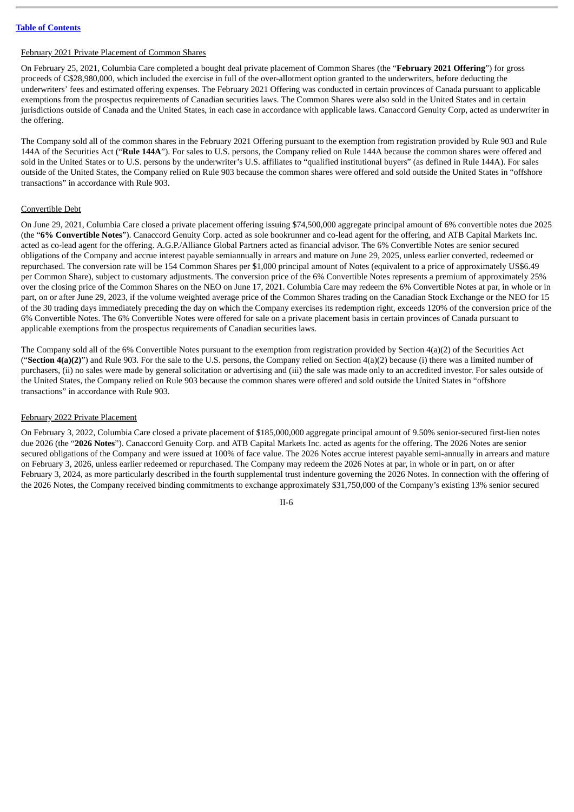#### February 2021 Private Placement of Common Shares

On February 25, 2021, Columbia Care completed a bought deal private placement of Common Shares (the "**February 2021 Offering**") for gross proceeds of C\$28,980,000, which included the exercise in full of the over-allotment option granted to the underwriters, before deducting the underwriters' fees and estimated offering expenses. The February 2021 Offering was conducted in certain provinces of Canada pursuant to applicable exemptions from the prospectus requirements of Canadian securities laws. The Common Shares were also sold in the United States and in certain jurisdictions outside of Canada and the United States, in each case in accordance with applicable laws. Canaccord Genuity Corp, acted as underwriter in the offering.

The Company sold all of the common shares in the February 2021 Offering pursuant to the exemption from registration provided by Rule 903 and Rule 144A of the Securities Act ("**Rule 144A**"). For sales to U.S. persons, the Company relied on Rule 144A because the common shares were offered and sold in the United States or to U.S. persons by the underwriter's U.S. affiliates to "qualified institutional buyers" (as defined in Rule 144A). For sales outside of the United States, the Company relied on Rule 903 because the common shares were offered and sold outside the United States in "offshore transactions" in accordance with Rule 903.

#### Convertible Debt

On June 29, 2021, Columbia Care closed a private placement offering issuing \$74,500,000 aggregate principal amount of 6% convertible notes due 2025 (the "**6% Convertible Notes**"). Canaccord Genuity Corp. acted as sole bookrunner and co-lead agent for the offering, and ATB Capital Markets Inc. acted as co-lead agent for the offering. A.G.P./Alliance Global Partners acted as financial advisor. The 6% Convertible Notes are senior secured obligations of the Company and accrue interest payable semiannually in arrears and mature on June 29, 2025, unless earlier converted, redeemed or repurchased. The conversion rate will be 154 Common Shares per \$1,000 principal amount of Notes (equivalent to a price of approximately US\$6.49 per Common Share), subject to customary adjustments. The conversion price of the 6% Convertible Notes represents a premium of approximately 25% over the closing price of the Common Shares on the NEO on June 17, 2021. Columbia Care may redeem the 6% Convertible Notes at par, in whole or in part, on or after June 29, 2023, if the volume weighted average price of the Common Shares trading on the Canadian Stock Exchange or the NEO for 15 of the 30 trading days immediately preceding the day on which the Company exercises its redemption right, exceeds 120% of the conversion price of the 6% Convertible Notes. The 6% Convertible Notes were offered for sale on a private placement basis in certain provinces of Canada pursuant to applicable exemptions from the prospectus requirements of Canadian securities laws.

The Company sold all of the 6% Convertible Notes pursuant to the exemption from registration provided by Section 4(a)(2) of the Securities Act ("Section  $4(a)(2)$ ") and Rule 903. For the sale to the U.S. persons, the Company relied on Section  $4(a)(2)$  because (i) there was a limited number of purchasers, (ii) no sales were made by general solicitation or advertising and (iii) the sale was made only to an accredited investor. For sales outside of the United States, the Company relied on Rule 903 because the common shares were offered and sold outside the United States in "offshore transactions" in accordance with Rule 903.

#### February 2022 Private Placement

On February 3, 2022, Columbia Care closed a private placement of \$185,000,000 aggregate principal amount of 9.50% senior-secured first-lien notes due 2026 (the "**2026 Notes**"). Canaccord Genuity Corp. and ATB Capital Markets Inc. acted as agents for the offering. The 2026 Notes are senior secured obligations of the Company and were issued at 100% of face value. The 2026 Notes accrue interest payable semi-annually in arrears and mature on February 3, 2026, unless earlier redeemed or repurchased. The Company may redeem the 2026 Notes at par, in whole or in part, on or after February 3, 2024, as more particularly described in the fourth supplemental trust indenture governing the 2026 Notes. In connection with the offering of the 2026 Notes, the Company received binding commitments to exchange approximately \$31,750,000 of the Company's existing 13% senior secured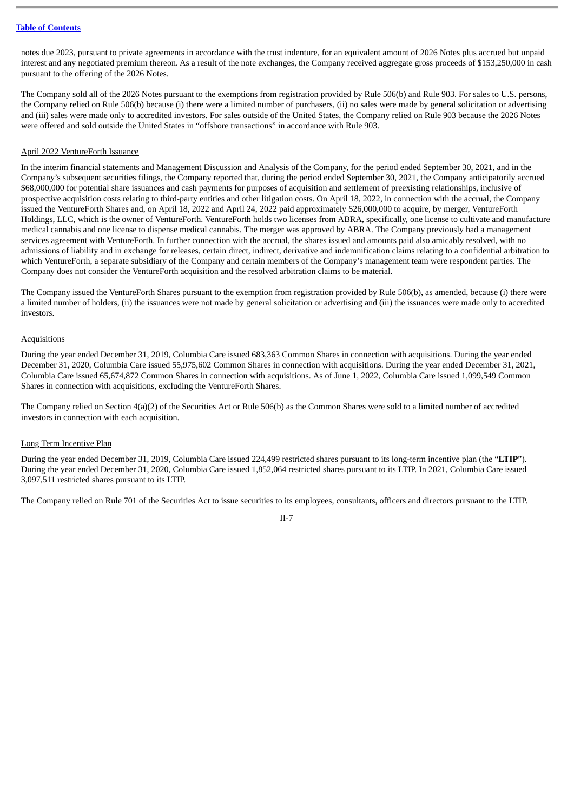notes due 2023, pursuant to private agreements in accordance with the trust indenture, for an equivalent amount of 2026 Notes plus accrued but unpaid interest and any negotiated premium thereon. As a result of the note exchanges, the Company received aggregate gross proceeds of \$153,250,000 in cash pursuant to the offering of the 2026 Notes.

The Company sold all of the 2026 Notes pursuant to the exemptions from registration provided by Rule 506(b) and Rule 903. For sales to U.S. persons, the Company relied on Rule 506(b) because (i) there were a limited number of purchasers, (ii) no sales were made by general solicitation or advertising and (iii) sales were made only to accredited investors. For sales outside of the United States, the Company relied on Rule 903 because the 2026 Notes were offered and sold outside the United States in "offshore transactions" in accordance with Rule 903.

#### April 2022 VentureForth Issuance

In the interim financial statements and Management Discussion and Analysis of the Company, for the period ended September 30, 2021, and in the Company's subsequent securities filings, the Company reported that, during the period ended September 30, 2021, the Company anticipatorily accrued \$68,000,000 for potential share issuances and cash payments for purposes of acquisition and settlement of preexisting relationships, inclusive of prospective acquisition costs relating to third-party entities and other litigation costs. On April 18, 2022, in connection with the accrual, the Company issued the VentureForth Shares and, on April 18, 2022 and April 24, 2022 paid approximately \$26,000,000 to acquire, by merger, VentureForth Holdings, LLC, which is the owner of VentureForth. VentureForth holds two licenses from ABRA, specifically, one license to cultivate and manufacture medical cannabis and one license to dispense medical cannabis. The merger was approved by ABRA. The Company previously had a management services agreement with VentureForth. In further connection with the accrual, the shares issued and amounts paid also amicably resolved, with no admissions of liability and in exchange for releases, certain direct, indirect, derivative and indemnification claims relating to a confidential arbitration to which VentureForth, a separate subsidiary of the Company and certain members of the Company's management team were respondent parties. The Company does not consider the VentureForth acquisition and the resolved arbitration claims to be material.

The Company issued the VentureForth Shares pursuant to the exemption from registration provided by Rule 506(b), as amended, because (i) there were a limited number of holders, (ii) the issuances were not made by general solicitation or advertising and (iii) the issuances were made only to accredited investors.

# **Acquisitions**

During the year ended December 31, 2019, Columbia Care issued 683,363 Common Shares in connection with acquisitions. During the year ended December 31, 2020, Columbia Care issued 55,975,602 Common Shares in connection with acquisitions. During the year ended December 31, 2021, Columbia Care issued 65,674,872 Common Shares in connection with acquisitions. As of June 1, 2022, Columbia Care issued 1,099,549 Common Shares in connection with acquisitions, excluding the VentureForth Shares.

The Company relied on Section 4(a)(2) of the Securities Act or Rule 506(b) as the Common Shares were sold to a limited number of accredited investors in connection with each acquisition.

#### Long Term Incentive Plan

During the year ended December 31, 2019, Columbia Care issued 224,499 restricted shares pursuant to its long-term incentive plan (the "**LTIP**"). During the year ended December 31, 2020, Columbia Care issued 1,852,064 restricted shares pursuant to its LTIP. In 2021, Columbia Care issued 3,097,511 restricted shares pursuant to its LTIP.

The Company relied on Rule 701 of the Securities Act to issue securities to its employees, consultants, officers and directors pursuant to the LTIP.

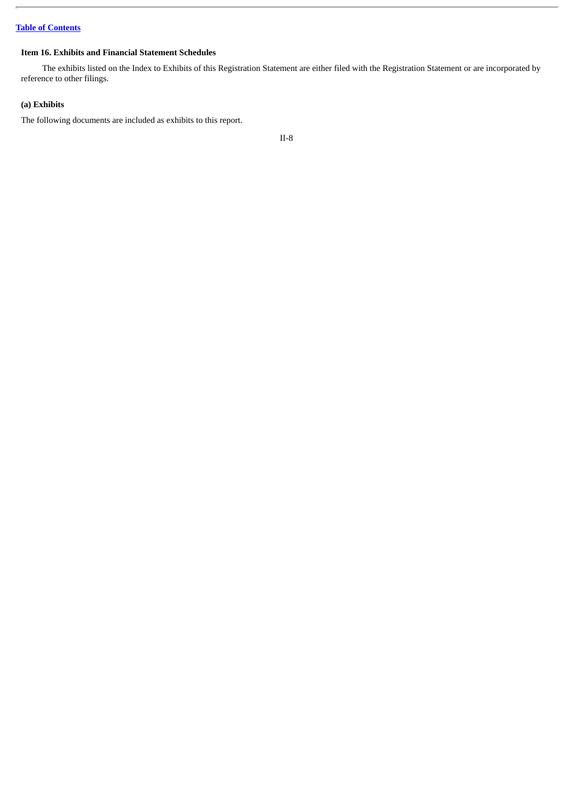# **Item 16. Exhibits and Financial Statement Schedules**

The exhibits listed on the Index to Exhibits of this Registration Statement are either filed with the Registration Statement or are incorporated by reference to other filings.

# **(a) Exhibits**

The following documents are included as exhibits to this report.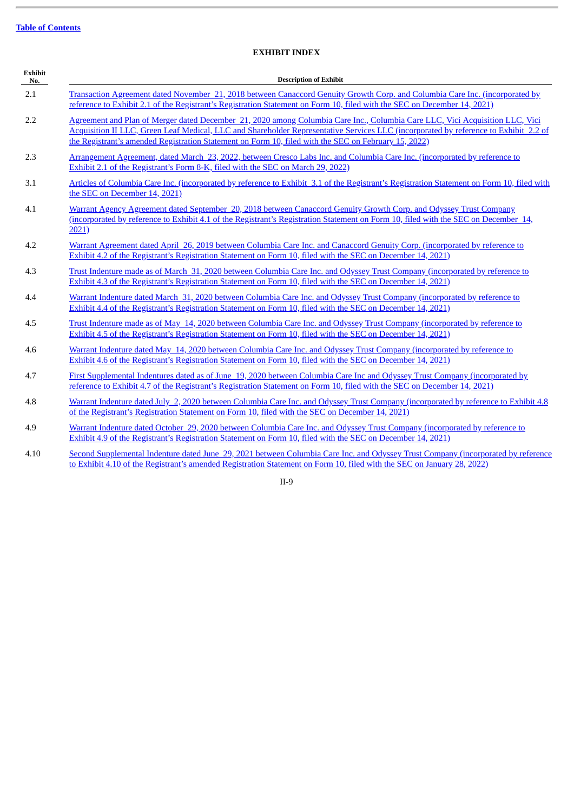# **EXHIBIT INDEX**

| <b>Exhibit</b><br>No. | <b>Description of Exhibit</b>                                                                                                                                                                                                                                                                                                                                                |
|-----------------------|------------------------------------------------------------------------------------------------------------------------------------------------------------------------------------------------------------------------------------------------------------------------------------------------------------------------------------------------------------------------------|
| 2.1                   | Transaction Agreement dated November 21, 2018 between Canaccord Genuity Growth Corp. and Columbia Care Inc. (incorporated by<br>reference to Exhibit 2.1 of the Registrant's Registration Statement on Form 10, filed with the SEC on December 14, 2021)                                                                                                                     |
| 2.2                   | Agreement and Plan of Merger dated December 21, 2020 among Columbia Care Inc., Columbia Care LLC, Vici Acquisition LLC, Vici<br>Acquisition II LLC, Green Leaf Medical, LLC and Shareholder Representative Services LLC (incorporated by reference to Exhibit 2.2 of<br>the Registrant's amended Registration Statement on Form 10, filed with the SEC on February 15, 2022) |
| 2.3                   | Arrangement Agreement, dated March 23, 2022, between Cresco Labs Inc. and Columbia Care Inc. (incorporated by reference to<br>Exhibit 2.1 of the Registrant's Form 8-K, filed with the SEC on March 29, 2022).                                                                                                                                                               |
| 3.1                   | Articles of Columbia Care Inc. (incorporated by reference to Exhibit 3.1 of the Registrant's Registration Statement on Form 10, filed with<br>the SEC on December 14, 2021)                                                                                                                                                                                                  |
| 4.1                   | Warrant Agency Agreement dated September 20, 2018 between Canaccord Genuity Growth Corp. and Odyssey Trust Company<br>(incorporated by reference to Exhibit 4.1 of the Registrant's Registration Statement on Form 10, filed with the SEC on December 14,<br>2021)                                                                                                           |
| 4.2                   | Warrant Agreement dated April 26, 2019 between Columbia Care Inc. and Canaccord Genuity Corp. (incorporated by reference to<br>Exhibit 4.2 of the Registrant's Registration Statement on Form 10, filed with the SEC on December 14, 2021)                                                                                                                                   |
| 4.3                   | Trust Indenture made as of March 31, 2020 between Columbia Care Inc. and Odyssey Trust Company (incorporated by reference to<br>Exhibit 4.3 of the Registrant's Registration Statement on Form 10, filed with the SEC on December 14, 2021)                                                                                                                                  |
| 4.4                   | Warrant Indenture dated March 31, 2020 between Columbia Care Inc. and Odyssey Trust Company (incorporated by reference to<br>Exhibit 4.4 of the Registrant's Registration Statement on Form 10, filed with the SEC on December 14, 2021)                                                                                                                                     |
| 4.5                   | Trust Indenture made as of May 14, 2020 between Columbia Care Inc. and Odyssey Trust Company (incorporated by reference to<br>Exhibit 4.5 of the Registrant's Registration Statement on Form 10, filed with the SEC on December 14, 2021)                                                                                                                                    |
| 4.6                   | Warrant Indenture dated May 14, 2020 between Columbia Care Inc. and Odyssey Trust Company (incorporated by reference to<br>Exhibit 4.6 of the Registrant's Registration Statement on Form 10, filed with the SEC on December 14, 2021)                                                                                                                                       |
| 4.7                   | First Supplemental Indentures dated as of June 19, 2020 between Columbia Care Inc and Odyssey Trust Company (incorporated by<br>reference to Exhibit 4.7 of the Registrant's Registration Statement on Form 10, filed with the SEC on December 14, 2021).                                                                                                                    |
| 4.8                   | Warrant Indenture dated July 2, 2020 between Columbia Care Inc. and Odyssey Trust Company (incorporated by reference to Exhibit 4.8<br>of the Registrant's Registration Statement on Form 10, filed with the SEC on December 14, 2021)                                                                                                                                       |
| 4.9                   | Warrant Indenture dated October 29, 2020 between Columbia Care Inc. and Odyssey Trust Company (incorporated by reference to<br>Exhibit 4.9 of the Registrant's Registration Statement on Form 10, filed with the SEC on December 14, 2021)                                                                                                                                   |

4.10 Second [Supplemental](http://www.sec.gov/Archives/edgar/data/1776738/000119312522021793/d252333dex410.htm) Indenture dated June 29, 2021 between Columbia Care Inc. and Odyssey Trust Company (incorporated by reference to Exhibit 4.10 of the Registrant's amended Registration Statement on Form 10, filed with the SEC on January 28, 2022)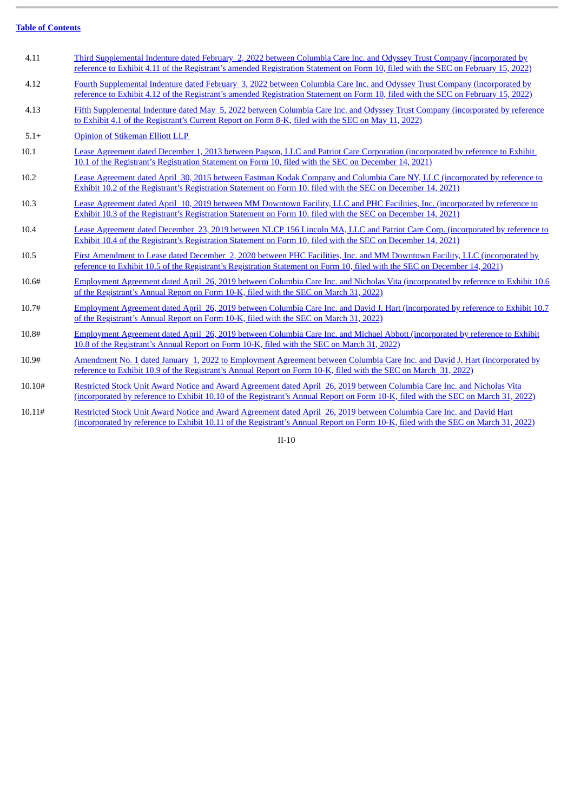$\overline{a}$ 

| 4.11   | Third Supplemental Indenture dated February 2, 2022 between Columbia Care Inc. and Odyssey Trust Company (incorporated by<br>reference to Exhibit 4.11 of the Registrant's amended Registration Statement on Form 10, filed with the SEC on February 15, 2022)  |
|--------|-----------------------------------------------------------------------------------------------------------------------------------------------------------------------------------------------------------------------------------------------------------------|
| 4.12   | Fourth Supplemental Indenture dated February 3, 2022 between Columbia Care Inc. and Odyssey Trust Company (incorporated by<br>reference to Exhibit 4.12 of the Registrant's amended Registration Statement on Form 10, filed with the SEC on February 15, 2022) |
| 4.13   | Fifth Supplemental Indenture dated May 5, 2022 between Columbia Care Inc. and Odyssey Trust Company (incorporated by reference<br>to Exhibit 4.1 of the Registrant's Current Report on Form 8-K, filed with the SEC on May 11, 2022)                            |
| $5.1+$ | Opinion of Stikeman Elliott LLP                                                                                                                                                                                                                                 |
| 10.1   | Lease Agreement dated December 1, 2013 between Pagson, LLC and Patriot Care Corporation (incorporated by reference to Exhibit<br>10.1 of the Registrant's Registration Statement on Form 10, filed with the SEC on December 14, 2021)                           |
| 10.2   | Lease Agreement dated April 30, 2015 between Eastman Kodak Company and Columbia Care NY, LLC (incorporated by reference to<br>Exhibit 10.2 of the Registrant's Registration Statement on Form 10, filed with the SEC on December 14, 2021)                      |
| 10.3   | Lease Agreement dated April 10, 2019 between MM Downtown Facility, LLC and PHC Facilities, Inc. (incorporated by reference to<br>Exhibit 10.3 of the Registrant's Registration Statement on Form 10, filed with the SEC on December 14, 2021)                   |
| 10.4   | Lease Agreement dated December 23, 2019 between NLCP 156 Lincoln MA, LLC and Patriot Care Corp. (incorporated by reference to<br>Exhibit 10.4 of the Registrant's Registration Statement on Form 10, filed with the SEC on December 14, 2021)                   |
| 10.5   | First Amendment to Lease dated December 2, 2020 between PHC Facilities, Inc. and MM Downtown Facility, LLC (incorporated by<br>reference to Exhibit 10.5 of the Registrant's Registration Statement on Form 10, filed with the SEC on December 14, 2021)        |
| 10.6#  | Employment Agreement dated April 26, 2019 between Columbia Care Inc. and Nicholas Vita (incorporated by reference to Exhibit 10.6<br>of the Registrant's Annual Report on Form 10-K, filed with the SEC on March 31, 2022)                                      |
| 10.7#  | Employment Agreement dated April 26, 2019 between Columbia Care Inc. and David J. Hart (incorporated by reference to Exhibit 10.7)<br>of the Registrant's Annual Report on Form 10-K, filed with the SEC on March 31, 2022)                                     |
| 10.8#  | Employment Agreement dated April 26, 2019 between Columbia Care Inc. and Michael Abbott (incorporated by reference to Exhibit<br>10.8 of the Registrant's Annual Report on Form 10-K, filed with the SEC on March 31, 2022)                                     |
| 10.9#  | Amendment No. 1 dated January 1, 2022 to Employment Agreement between Columbia Care Inc. and David J. Hart (incorporated by<br>reference to Exhibit 10.9 of the Registrant's Annual Report on Form 10-K, filed with the SEC on March 31, 2022)                  |
| 10.10# | Restricted Stock Unit Award Notice and Award Agreement dated April 26, 2019 between Columbia Care Inc. and Nicholas Vita<br>(incorporated by reference to Exhibit 10.10 of the Registrant's Annual Report on Form 10-K, filed with the SEC on March 31, 2022)   |
| 10.11# | Restricted Stock Unit Award Notice and Award Agreement dated April 26, 2019 between Columbia Care Inc. and David Hart<br>(incorporated by reference to Exhibit 10.11 of the Registrant's Annual Report on Form 10-K, filed with the SEC on March 31, 2022)      |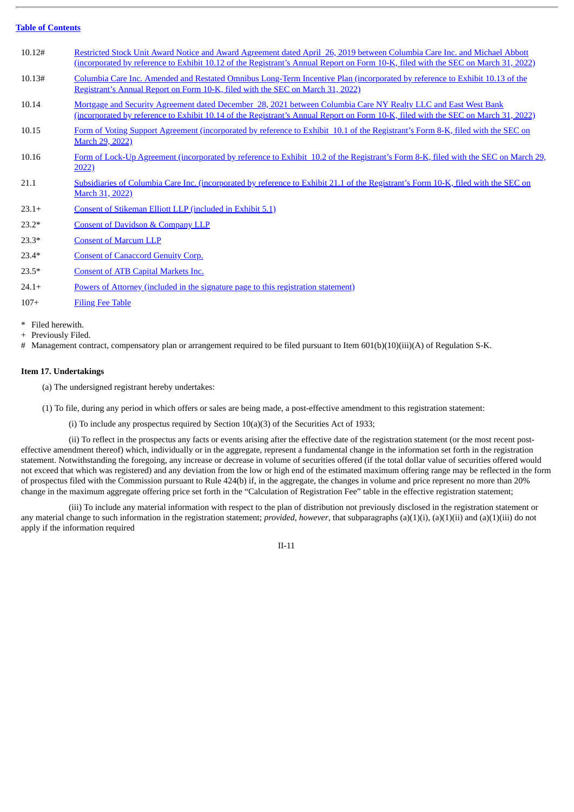| 10.12#            | Restricted Stock Unit Award Notice and Award Agreement dated April 26, 2019 between Columbia Care Inc. and Michael Abbott<br>(incorporated by reference to Exhibit 10.12 of the Registrant's Annual Report on Form 10-K, filed with the SEC on March 31, 2022) |
|-------------------|----------------------------------------------------------------------------------------------------------------------------------------------------------------------------------------------------------------------------------------------------------------|
| 10.13#            | Columbia Care Inc. Amended and Restated Omnibus Long-Term Incentive Plan (incorporated by reference to Exhibit 10.13 of the<br>Registrant's Annual Report on Form 10-K, filed with the SEC on March 31, 2022).                                                 |
| 10.14             | Mortgage and Security Agreement dated December 28, 2021 between Columbia Care NY Realty LLC and East West Bank<br>(incorporated by reference to Exhibit 10.14 of the Registrant's Annual Report on Form 10-K, filed with the SEC on March 31, 2022)            |
| 10.15             | Form of Voting Support Agreement (incorporated by reference to Exhibit 10.1 of the Registrant's Form 8-K, filed with the SEC on<br>March 29, 2022)                                                                                                             |
| 10.16             | Form of Lock-Up Agreement (incorporated by reference to Exhibit 10.2 of the Registrant's Form 8-K, filed with the SEC on March 29,<br>2022)                                                                                                                    |
| 21.1              | Subsidiaries of Columbia Care Inc. (incorporated by reference to Exhibit 21.1 of the Registrant's Form 10-K, filed with the SEC on<br>March 31, 2022)                                                                                                          |
| $23.1+$           | Consent of Stikeman Elliott LLP (included in Exhibit 5.1)                                                                                                                                                                                                      |
| $23.2*$           | <b>Consent of Davidson &amp; Company LLP</b>                                                                                                                                                                                                                   |
| $23.3*$           | <b>Consent of Marcum LLP</b>                                                                                                                                                                                                                                   |
| $23.4*$           | <b>Consent of Canaccord Genuity Corp.</b>                                                                                                                                                                                                                      |
| $23.5*$           | <b>Consent of ATB Capital Markets Inc.</b>                                                                                                                                                                                                                     |
| $24.1+$           | Powers of Attorney (included in the signature page to this registration statement)                                                                                                                                                                             |
| $107+$            | <b>Filing Fee Table</b>                                                                                                                                                                                                                                        |
| * Filed herewith. |                                                                                                                                                                                                                                                                |

+ Previously Filed.

# Management contract, compensatory plan or arrangement required to be filed pursuant to Item 601(b)(10)(iii)(A) of Regulation S-K.

#### **Item 17. Undertakings**

(a) The undersigned registrant hereby undertakes:

(1) To file, during any period in which offers or sales are being made, a post-effective amendment to this registration statement:

(i) To include any prospectus required by Section 10(a)(3) of the Securities Act of 1933;

(ii) To reflect in the prospectus any facts or events arising after the effective date of the registration statement (or the most recent posteffective amendment thereof) which, individually or in the aggregate, represent a fundamental change in the information set forth in the registration statement. Notwithstanding the foregoing, any increase or decrease in volume of securities offered (if the total dollar value of securities offered would not exceed that which was registered) and any deviation from the low or high end of the estimated maximum offering range may be reflected in the form of prospectus filed with the Commission pursuant to Rule 424(b) if, in the aggregate, the changes in volume and price represent no more than 20% change in the maximum aggregate offering price set forth in the "Calculation of Registration Fee" table in the effective registration statement;

(iii) To include any material information with respect to the plan of distribution not previously disclosed in the registration statement or any material change to such information in the registration statement; *provided*, *however*, that subparagraphs (a)(1)(i), (a)(1)(ii) and (a)(1)(iii) do not apply if the information required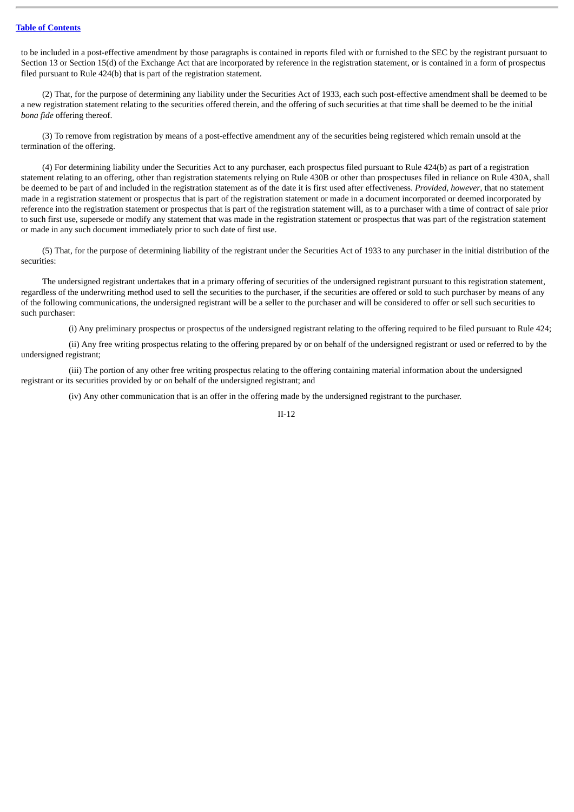to be included in a post-effective amendment by those paragraphs is contained in reports filed with or furnished to the SEC by the registrant pursuant to Section 13 or Section 15(d) of the Exchange Act that are incorporated by reference in the registration statement, or is contained in a form of prospectus filed pursuant to Rule 424(b) that is part of the registration statement.

(2) That, for the purpose of determining any liability under the Securities Act of 1933, each such post-effective amendment shall be deemed to be a new registration statement relating to the securities offered therein, and the offering of such securities at that time shall be deemed to be the initial *bona fide* offering thereof.

(3) To remove from registration by means of a post-effective amendment any of the securities being registered which remain unsold at the termination of the offering.

(4) For determining liability under the Securities Act to any purchaser, each prospectus filed pursuant to Rule 424(b) as part of a registration statement relating to an offering, other than registration statements relying on Rule 430B or other than prospectuses filed in reliance on Rule 430A, shall be deemed to be part of and included in the registration statement as of the date it is first used after effectiveness. *Provided, however*, that no statement made in a registration statement or prospectus that is part of the registration statement or made in a document incorporated or deemed incorporated by reference into the registration statement or prospectus that is part of the registration statement will, as to a purchaser with a time of contract of sale prior to such first use, supersede or modify any statement that was made in the registration statement or prospectus that was part of the registration statement or made in any such document immediately prior to such date of first use.

(5) That, for the purpose of determining liability of the registrant under the Securities Act of 1933 to any purchaser in the initial distribution of the securities:

The undersigned registrant undertakes that in a primary offering of securities of the undersigned registrant pursuant to this registration statement, regardless of the underwriting method used to sell the securities to the purchaser, if the securities are offered or sold to such purchaser by means of any of the following communications, the undersigned registrant will be a seller to the purchaser and will be considered to offer or sell such securities to such purchaser:

(i) Any preliminary prospectus or prospectus of the undersigned registrant relating to the offering required to be filed pursuant to Rule 424;

(ii) Any free writing prospectus relating to the offering prepared by or on behalf of the undersigned registrant or used or referred to by the undersigned registrant;

(iii) The portion of any other free writing prospectus relating to the offering containing material information about the undersigned registrant or its securities provided by or on behalf of the undersigned registrant; and

(iv) Any other communication that is an offer in the offering made by the undersigned registrant to the purchaser.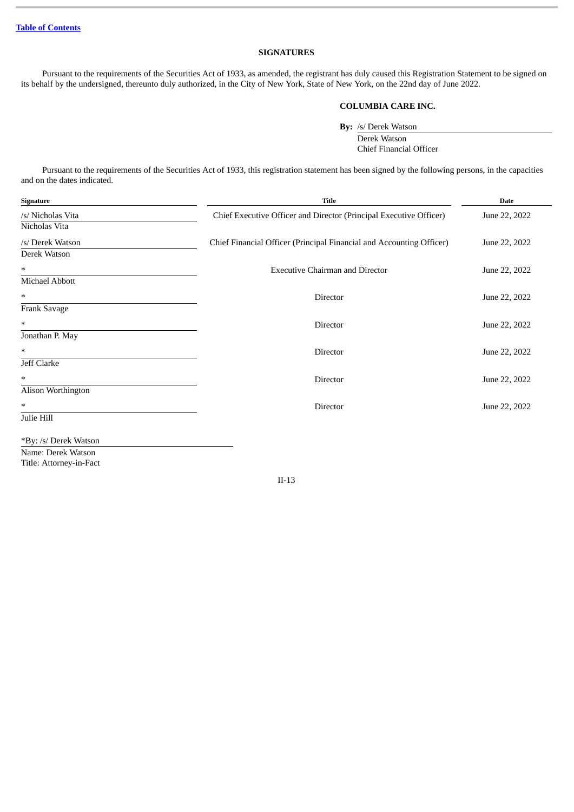# **SIGNATURES**

Pursuant to the requirements of the Securities Act of 1933, as amended, the registrant has duly caused this Registration Statement to be signed on its behalf by the undersigned, thereunto duly authorized, in the City of New York, State of New York, on the 22nd day of June 2022.

#### **COLUMBIA CARE INC.**

**By:** /s/ Derek Watson

Derek Watson Chief Financial Officer

Pursuant to the requirements of the Securities Act of 1933, this registration statement has been signed by the following persons, in the capacities and on the dates indicated.

| Signature             | <b>Title</b>                                                         | <b>Date</b>   |
|-----------------------|----------------------------------------------------------------------|---------------|
| /s/ Nicholas Vita     | Chief Executive Officer and Director (Principal Executive Officer)   | June 22, 2022 |
| Nicholas Vita         |                                                                      |               |
| /s/ Derek Watson      | Chief Financial Officer (Principal Financial and Accounting Officer) | June 22, 2022 |
| Derek Watson          |                                                                      |               |
| $\ast$                | <b>Executive Chairman and Director</b>                               | June 22, 2022 |
| <b>Michael Abbott</b> |                                                                      |               |
| $\ast$                | Director                                                             | June 22, 2022 |
| Frank Savage          |                                                                      |               |
| $\ast$                | Director                                                             | June 22, 2022 |
| Jonathan P. May       |                                                                      |               |
| $\ast$                | Director                                                             | June 22, 2022 |
| Jeff Clarke           |                                                                      |               |
| $\ast$                | <b>Director</b>                                                      | June 22, 2022 |
| Alison Worthington    |                                                                      |               |
| *                     | Director                                                             | June 22, 2022 |
| Julie Hill            |                                                                      |               |

\*By: /s/ Derek Watson

Name: Derek Watson Title: Attorney-in-Fact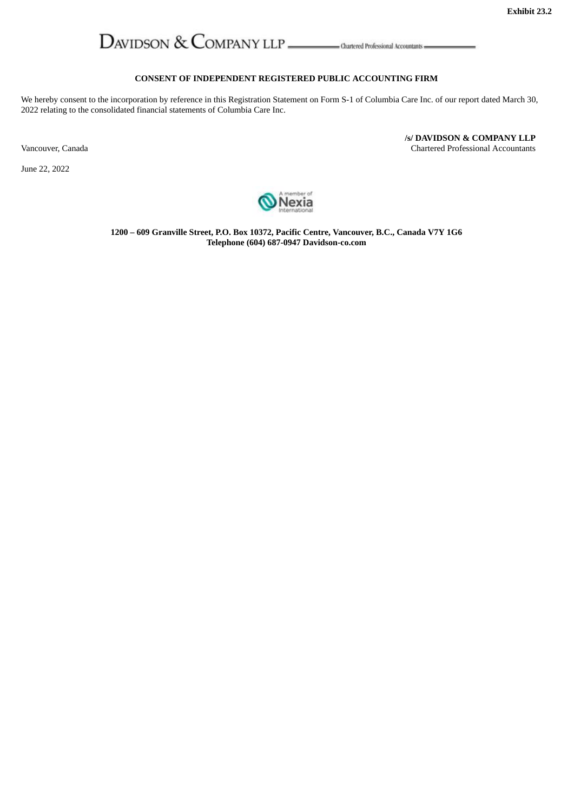**/s/ DAVIDSON & COMPANY LLP**

# <span id="page-63-0"></span>

### **CONSENT OF INDEPENDENT REGISTERED PUBLIC ACCOUNTING FIRM**

We hereby consent to the incorporation by reference in this Registration Statement on Form S-1 of Columbia Care Inc. of our report dated March 30, 2022 relating to the consolidated financial statements of Columbia Care Inc.

Vancouver, Canada **Chartered Professional Accountants** Chartered Professional Accountants

June 22, 2022



**1200 – 609 Granville Street, P.O. Box 10372, Pacific Centre, Vancouver, B.C., Canada V7Y 1G6 Telephone (604) 687-0947 Davidson-co.com**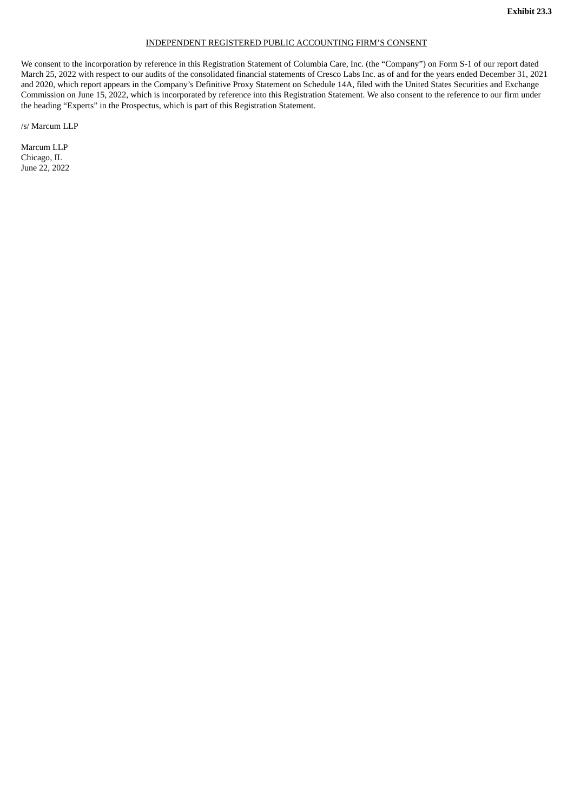#### INDEPENDENT REGISTERED PUBLIC ACCOUNTING FIRM'S CONSENT

<span id="page-64-0"></span>We consent to the incorporation by reference in this Registration Statement of Columbia Care, Inc. (the "Company") on Form S-1 of our report dated March 25, 2022 with respect to our audits of the consolidated financial statements of Cresco Labs Inc. as of and for the years ended December 31, 2021 and 2020, which report appears in the Company's Definitive Proxy Statement on Schedule 14A, filed with the United States Securities and Exchange Commission on June 15, 2022, which is incorporated by reference into this Registration Statement. We also consent to the reference to our firm under the heading "Experts" in the Prospectus, which is part of this Registration Statement.

/s/ Marcum LLP

Marcum LLP Chicago, IL June 22, 2022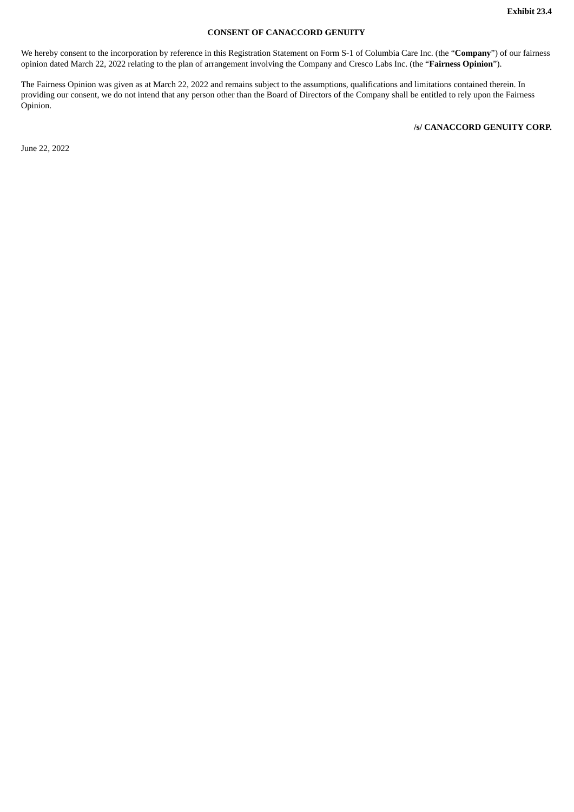# **CONSENT OF CANACCORD GENUITY**

<span id="page-65-0"></span>We hereby consent to the incorporation by reference in this Registration Statement on Form S-1 of Columbia Care Inc. (the "**Company**") of our fairness opinion dated March 22, 2022 relating to the plan of arrangement involving the Company and Cresco Labs Inc. (the "**Fairness Opinion**").

The Fairness Opinion was given as at March 22, 2022 and remains subject to the assumptions, qualifications and limitations contained therein. In providing our consent, we do not intend that any person other than the Board of Directors of the Company shall be entitled to rely upon the Fairness Opinion.

June 22, 2022